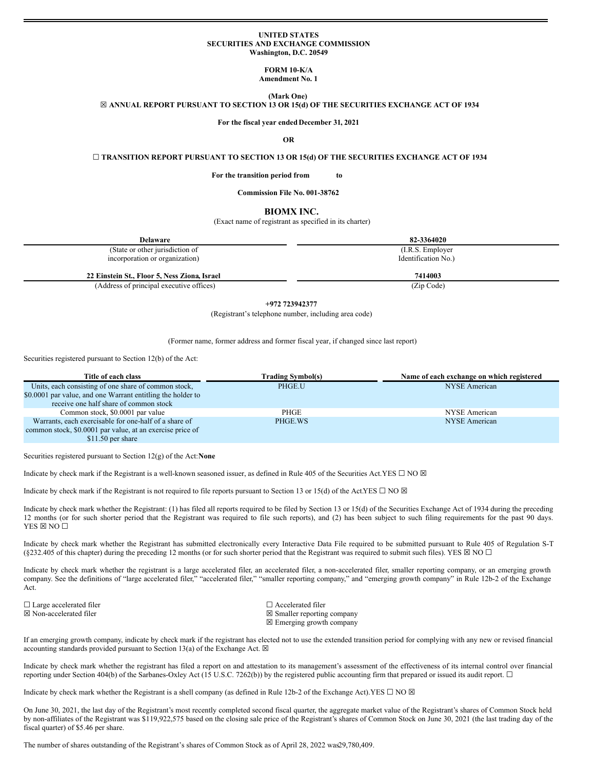### **UNITED STATES SECURITIES AND EXCHANGE COMMISSION Washington, D.C. 20549**

**FORM 10-K/A Amendment No. 1**

**(Mark One)**

<span id="page-0-0"></span>☒ **ANNUAL REPORT PURSUANT TO SECTION 13 OR 15(d) OF THE SECURITIES EXCHANGE ACT OF 1934**

**For the fiscal year ended December 31, 2021**

**OR**

### ☐ **TRANSITION REPORT PURSUANT TO SECTION 13 OR 15(d) OF THE SECURITIES EXCHANGE ACT OF 1934**

**For the transition period from to**

**Commission File No. 001-38762**

# **BIOMX INC.**

(Exact name of registrant as specified in its charter)

| <b>Delaware</b>                              | 82-3364020          |
|----------------------------------------------|---------------------|
| (State or other jurisdiction of              | (I.R.S. Employer)   |
| incorporation or organization)               | Identification No.) |
|                                              |                     |
| 22 Einstein St., Floor 5, Ness Ziona, Israel | 7414003             |
| (Address of principal executive offices)     | (Zip Code)          |

**+972 723942377**

(Registrant's telephone number, including area code)

(Former name, former address and former fiscal year, if changed since last report)

Securities registered pursuant to Section 12(b) of the Act:

| Title of each class                                         | Trading Symbol(s) | Name of each exchange on which registered |
|-------------------------------------------------------------|-------------------|-------------------------------------------|
| Units, each consisting of one share of common stock,        | PHGE.U            | NYSE American                             |
| \$0.0001 par value, and one Warrant entitling the holder to |                   |                                           |
| receive one half share of common stock                      |                   |                                           |
| Common stock, \$0.0001 par value                            | <b>PHGE</b>       | NYSE American                             |
| Warrants, each exercisable for one-half of a share of       | PHGE.WS           | NYSE American                             |
| common stock, \$0.0001 par value, at an exercise price of   |                   |                                           |
| $$11.50$ per share                                          |                   |                                           |

Securities registered pursuant to Section 12(g) of the Act:**None**

Indicate by check mark if the Registrant is a well-known seasoned issuer, as defined in Rule 405 of the Securities Act.YES  $\Box$  NO  $\boxtimes$ 

Indicate by check mark if the Registrant is not required to file reports pursuant to Section 13 or 15(d) of the Act.YES  $\Box$  NO  $\boxtimes$ 

Indicate by check mark whether the Registrant: (1) has filed all reports required to be filed by Section 13 or 15(d) of the Securities Exchange Act of 1934 during the preceding 12 months (or for such shorter period that the Registrant was required to file such reports), and (2) has been subject to such filing requirements for the past 90 days. YES ⊠ NO □

Indicate by check mark whether the Registrant has submitted electronically every Interactive Data File required to be submitted pursuant to Rule 405 of Regulation S-T (§232.405 of this chapter) during the preceding 12 months (or for such shorter period that the Registrant was required to submit such files). YES  $\boxtimes$  NO  $\Box$ 

Indicate by check mark whether the registrant is a large accelerated filer, an accelerated filer, a non-accelerated filer, smaller reporting company, or an emerging growth company. See the definitions of "large accelerated filer," "accelerated filer," "smaller reporting company," and "emerging growth company" in Rule 12b-2 of the Exchange Act.

☐ Large accelerated filer ☐ Accelerated filer

 $\boxtimes$  Smaller reporting company ☒ Emerging growth company

If an emerging growth company, indicate by check mark if the registrant has elected not to use the extended transition period for complying with any new or revised financial accounting standards provided pursuant to Section 13(a) of the Exchange Act.  $\boxtimes$ 

Indicate by check mark whether the registrant has filed a report on and attestation to its management's assessment of the effectiveness of its internal control over financial reporting under Section 404(b) of the Sarbanes-Oxley Act (15 U.S.C. 7262(b)) by the registered public accounting firm that prepared or issued its audit report.  $\Box$ 

Indicate by check mark whether the Registrant is a shell company (as defined in Rule 12b-2 of the Exchange Act).YES  $\Box$  NO  $\boxtimes$ 

On June 30, 2021, the last day of the Registrant's most recently completed second fiscal quarter, the aggregate market value of the Registrant's shares of Common Stock held by non-affiliates of the Registrant was \$119,922,575 based on the closing sale price of the Registrant's shares of Common Stock on June 30, 2021 (the last trading day of the fiscal quarter) of \$5.46 per share.

The number of shares outstanding of the Registrant's shares of Common Stock as of April 28, 2022 was29,780,409.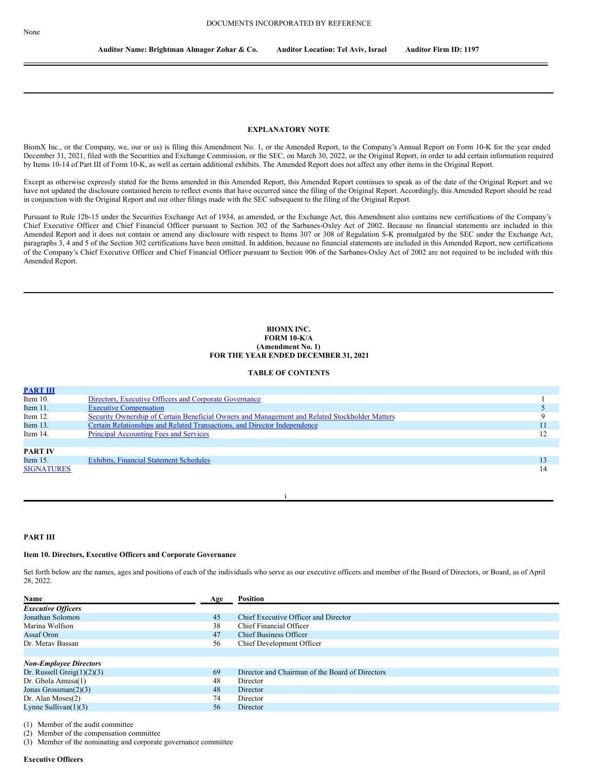# **EXPLANATORY NOTE**

BiomX Inc., or the Company, we, our or us) is filing this Amendment No. 1, or the Amended Report, to the Company's Annual Report on Form 10-K for the year ended December 31, 2021, filed with the Securities and Exchange Commission, or the SEC, on March 30, 2022, or the Original Report, in order to add certain information required by Items 10-14 of Part III of Form 10-K, as well as certain additional exhibits. The Amended Report does not affect any other items in the Original Report.

Except as otherwise expressly stated for the Items amended in this Amended Report, this Amended Report continues to speak as of the date of the Original Report and we have not updated the disclosure contained herein to reflect events that have occurred since the filing of the Original Report. Accordingly, this Amended Report should be read in conjunction with the Original Report and our other filings made with the SEC subsequent to the filing of the Original Report.

Pursuant to Rule 12b-15 under the Securities Exchange Act of 1934, as amended, or the Exchange Act, this Amendment also contains new certifications of the Company's Chief Executive Officer and Chief Financial Officer pursuant to Section 302 of the Sarbanes-Oxley Act of 2002. Because no financial statements are included in this Amended Report and it does not contain or amend any disclosure with respect to Items 307 or 308 of Regulation S-K promulgated by the SEC under the Exchange Act, paragraphs 3, 4 and 5 of the Section 302 certifications have been omitted. In addition, because no financial statements are included in this Amended Report, new certifications of the Company's Chief Executive Officer and Chief Financial Officer pursuant to Section 906 of the Sarbanes-Oxley Act of 2002 are not required to be included with this Amended Report.

### **BIOMX INC. FORM 10-K/A (Amendment No. 1) FOR THE YEAR ENDED DECEMBER 31, 2021**

# **TABLE OF CONTENTS**

| <b>PART III</b>   |                                                                                                |  |
|-------------------|------------------------------------------------------------------------------------------------|--|
| Item $10$ .       | Directors, Executive Officers and Corporate Governance                                         |  |
| Item 11.          | <b>Executive Compensation</b>                                                                  |  |
| Item 12.          | Security Ownership of Certain Beneficial Owners and Management and Related Stockholder Matters |  |
| Item $13$ .       | Certain Relationships and Related Transactions, and Director Independence                      |  |
| Item 14.          | <b>Principal Accounting Fees and Services</b>                                                  |  |
|                   |                                                                                                |  |
| <b>PART IV</b>    |                                                                                                |  |
| Item $15$ .       | <b>Exhibits, Financial Statement Schedules</b>                                                 |  |
| <b>SIGNATURES</b> |                                                                                                |  |
|                   |                                                                                                |  |

i

# **PART III**

### **Item 10. Directors, Executive Officers and Corporate Governance**

Set forth below are the names, ages and positions of each of the individuals who serve as our executive officers and member of the Board of Directors, or Board, as of April 28, 2022.

| Name                          | Age | Position                                        |
|-------------------------------|-----|-------------------------------------------------|
| <b>Executive Officers</b>     |     |                                                 |
| Jonathan Solomon              | 45  | Chief Executive Officer and Director            |
| Marina Wolfson                | 38  | Chief Financial Officer                         |
| Assaf Oron                    | 47  | <b>Chief Business Officer</b>                   |
| Dr. Merav Bassan              | 56  | Chief Development Officer                       |
|                               |     |                                                 |
| <b>Non-Employee Directors</b> |     |                                                 |
| Dr. Russell Greig $(1)(2)(3)$ | 69  | Director and Chairman of the Board of Directors |
| Dr. Gbola Amusa(1)            | 48  | Director                                        |
| Jonas Grossman $(2)(3)$       | 48  | Director                                        |
| Dr. Alan Moses(2)             | 74  | Director                                        |
| Lynne Sullivan $(1)(3)$       | 56  | Director                                        |
|                               |     |                                                 |

(1) Member of the audit committee

(2) Member of the compensation committee

(3) Member of the nominating and corporate governance committee

### **Executive Officers**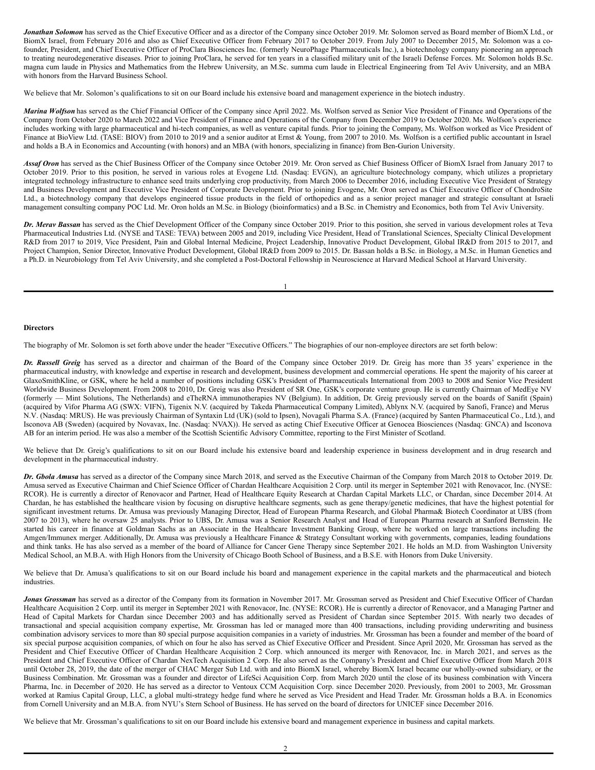*Jonathan Solomon* has served as the Chief Executive Officer and as a director of the Company since October 2019. Mr. Solomon served as Board member of BiomX Ltd., or BiomX Israel, from February 2016 and also as Chief Executive Officer from February 2017 to October 2019. From July 2007 to December 2015, Mr. Solomon was a cofounder, President, and Chief Executive Officer of ProClara Biosciences Inc. (formerly NeuroPhage Pharmaceuticals Inc.), a biotechnology company pioneering an approach to treating neurodegenerative diseases. Prior to joining ProClara, he served for ten years in a classified military unit of the Israeli Defense Forces. Mr. Solomon holds B.Sc. magna cum laude in Physics and Mathematics from the Hebrew University, an M.Sc. summa cum laude in Electrical Engineering from Tel Aviv University, and an MBA with honors from the Harvard Business School.

We believe that Mr. Solomon's qualifications to sit on our Board include his extensive board and management experience in the biotech industry.

*Marina Wolfson* has served as the Chief Financial Officer of the Company since April 2022. Ms. Wolfson served as Senior Vice President of Finance and Operations of the Company from October 2020 to March 2022 and Vice President of Finance and Operations of the Company from December 2019 to October 2020. Ms. Wolfson's experience includes working with large pharmaceutical and hi-tech companies, as well as venture capital funds. Prior to joining the Company, Ms. Wolfson worked as Vice President of Finance at BioView Ltd. (TASE: BIOV) from 2010 to 2019 and a senior auditor at Ernst & Young, from 2007 to 2010. Ms. Wolfson is a certified public accountant in Israel and holds a B.A in Economics and Accounting (with honors) and an MBA (with honors, specializing in finance) from Ben-Gurion University.

*Assaf Oron* has served as the Chief Business Officer of the Company since October 2019. Mr. Oron served as Chief Business Officer of BiomX Israel from January 2017 to October 2019. Prior to this position, he served in various roles at Evogene Ltd. (Nasdaq: EVGN), an agriculture biotechnology company, which utilizes a proprietary integrated technology infrastructure to enhance seed traits underlying crop productivity, from March 2006 to December 2016, including Executive Vice President of Strategy and Business Development and Executive Vice President of Corporate Development. Prior to joining Evogene, Mr. Oron served as Chief Executive Officer of ChondroSite Ltd., a biotechnology company that develops engineered tissue products in the field of orthopedics and as a senior project manager and strategic consultant at Israeli management consulting company POC Ltd. Mr. Oron holds an M.Sc. in Biology (bioinformatics) and a B.Sc. in Chemistry and Economics, both from Tel Aviv University.

*Dr. Merav Bassan* has served as the Chief Development Officer of the Company since October 2019. Prior to this position, she served in various development roles at Teva Pharmaceutical Industries Ltd. (NYSE and TASE: TEVA) between 2005 and 2019, including Vice President, Head of Translational Sciences, Specialty Clinical Development R&D from 2017 to 2019, Vice President, Pain and Global Internal Medicine, Project Leadership, Innovative Product Development, Global IR&D from 2015 to 2017, and Project Champion, Senior Director, Innovative Product Development, Global IR&D from 2009 to 2015. Dr. Bassan holds a B.Sc. in Biology, a M.Sc. in Human Genetics and a Ph.D. in Neurobiology from Tel Aviv University, and she completed a Post-Doctoral Fellowship in Neuroscience at Harvard Medical School at Harvard University.

#### **Directors**

The biography of Mr. Solomon is set forth above under the header "Executive Officers." The biographies of our non-employee directors are set forth below:

*Dr. Russell Greig* has served as a director and chairman of the Board of the Company since October 2019. Dr. Greig has more than 35 years' experience in the pharmaceutical industry, with knowledge and expertise in research and development, business development and commercial operations. He spent the majority of his career at GlaxoSmithKline, or GSK, where he held a number of positions including GSK's President of Pharmaceuticals International from 2003 to 2008 and Senior Vice President Worldwide Business Development. From 2008 to 2010, Dr. Greig was also President of SR One, GSK's corporate venture group. He is currently Chairman of MedEye NV (formerly — Mint Solutions, The Netherlands) and eTheRNA immunotherapies NV (Belgium). In addition, Dr. Greig previously served on the boards of Sanifit (Spain) (acquired by Vifor Pharma AG (SWX: VIFN), Tigenix N.V. (acquired by Takeda Pharmaceutical Company Limited), Ablynx N.V. (acquired by Sanofi, France) and Merus N.V. (Nasdaq: MRUS). He was previously Chairman of Syntaxin Ltd (UK) (sold to Ipsen), Novagali Pharma S.A. (France) (acquired by Santen Pharmaceutical Co., Ltd.), and Isconova AB (Sweden) (acquired by Novavax, Inc. (Nasdaq: NVAX)). He served as acting Chief Executive Officer at Genocea Biosciences (Nasdaq: GNCA) and Isconova AB for an interim period. He was also a member of the Scottish Scientific Advisory Committee, reporting to the First Minister of Scotland.

We believe that Dr. Greig's qualifications to sit on our Board include his extensive board and leadership experience in business development and in drug research and development in the pharmaceutical industry.

*Dr. Gbola Amusa* has served as a director of the Company since March 2018, and served as the Executive Chairman of the Company from March 2018 to October 2019. Dr. Amusa served as Executive Chairman and Chief Science Officer of Chardan Healthcare Acquisition 2 Corp. until its merger in September 2021 with Renovacor, Inc. (NYSE: RCOR). He is currently a director of Renovacor and Partner, Head of Healthcare Equity Research at Chardan Capital Markets LLC, or Chardan, since December 2014. At Chardan, he has established the healthcare vision by focusing on disruptive healthcare segments, such as gene therapy/genetic medicines, that have the highest potential for significant investment returns. Dr. Amusa was previously Managing Director, Head of European Pharma Research, and Global Pharma& Biotech Coordinator at UBS (from 2007 to 2013), where he oversaw 25 analysts. Prior to UBS, Dr. Amusa was a Senior Research Analyst and Head of European Pharma research at Sanford Bernstein. He started his career in finance at Goldman Sachs as an Associate in the Healthcare Investment Banking Group, where he worked on large transactions including the Amgen/Immunex merger. Additionally, Dr. Amusa was previously a Healthcare Finance & Strategy Consultant working with governments, companies, leading foundations and think tanks. He has also served as a member of the board of Alliance for Cancer Gene Therapy since September 2021. He holds an M.D. from Washington University Medical School, an M.B.A. with High Honors from the University of Chicago Booth School of Business, and a B.S.E. with Honors from Duke University.

We believe that Dr. Amusa's qualifications to sit on our Board include his board and management experience in the capital markets and the pharmaceutical and biotech industries.

Jonas Grossman has served as a director of the Company from its formation in November 2017. Mr. Grossman served as President and Chief Executive Officer of Chardan Healthcare Acquisition 2 Corp. until its merger in September 2021 with Renovacor, Inc. (NYSE: RCOR). He is currently a director of Renovacor, and a Managing Partner and Head of Capital Markets for Chardan since December 2003 and has additionally served as President of Chardan since September 2015. With nearly two decades of transactional and special acquisition company expertise, Mr. Grossman has led or managed more than 400 transactions, including providing underwriting and business combination advisory services to more than 80 special purpose acquisition companies in a variety of industries. Mr. Grossman has been a founder and member of the board of six special purpose acquisition companies, of which on four he also has served as Chief Executive Officer and President. Since April 2020, Mr. Grossman has served as the President and Chief Executive Officer of Chardan Healthcare Acquisition 2 Corp. which announced its merger with Renovacor, Inc. in March 2021, and serves as the President and Chief Executive Officer of Chardan NexTech Acquisition 2 Corp. He also served as the Company's President and Chief Executive Officer from March 2018 until October 28, 2019, the date of the merger of CHAC Merger Sub Ltd. with and into BiomX Israel, whereby BiomX Israel became our wholly-owned subsidiary, or the Business Combination. Mr. Grossman was a founder and director of LifeSci Acquisition Corp. from March 2020 until the close of its business combination with Vincera Pharma, Inc. in December of 2020. He has served as a director to Ventoux CCM Acquisition Corp. since December 2020. Previously, from 2001 to 2003, Mr. Grossman worked at Ramius Capital Group, LLC, a global multi-strategy hedge fund where he served as Vice President and Head Trader. Mr. Grossman holds a B.A. in Economics from Cornell University and an M.B.A. from NYU's Stern School of Business. He has served on the board of directors for UNICEF since December 2016.

We believe that Mr. Grossman's qualifications to sit on our Board include his extensive board and management experience in business and capital markets.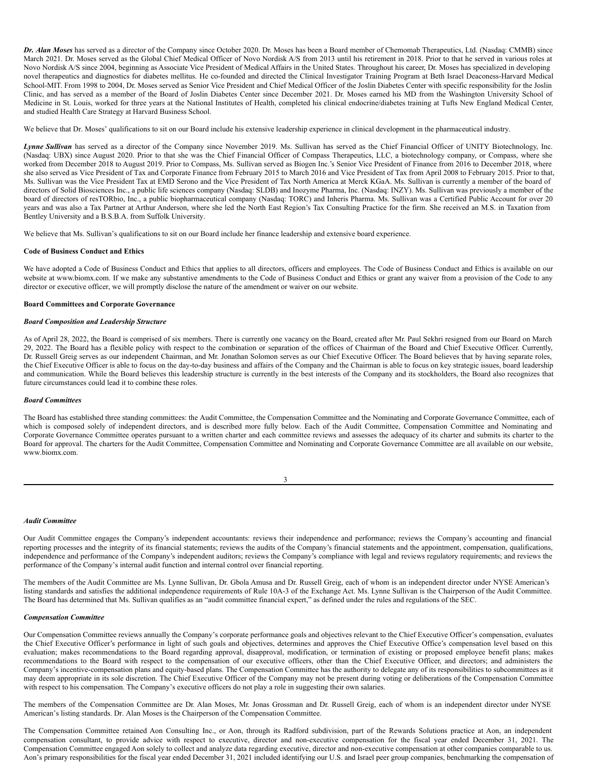*Dr. Alan Moses* has served as a director of the Company since October 2020. Dr. Moses has been a Board member of Chemomab Therapeutics, Ltd. (Nasdaq: CMMB) since March 2021. Dr. Moses served as the Global Chief Medical Officer of Novo Nordisk A/S from 2013 until his retirement in 2018. Prior to that he served in various roles at Novo Nordisk A/S since 2004, beginning as Associate Vice President of Medical Affairs in the United States. Throughout his career, Dr. Moses has specialized in developing novel therapeutics and diagnostics for diabetes mellitus. He co-founded and directed the Clinical Investigator Training Program at Beth Israel Deaconess-Harvard Medical School-MIT. From 1998 to 2004, Dr. Moses served as Senior Vice President and Chief Medical Officer of the Joslin Diabetes Center with specific responsibility for the Joslin Clinic, and has served as a member of the Board of Joslin Diabetes Center since December 2021. Dr. Moses earned his MD from the Washington University School of Medicine in St. Louis, worked for three years at the National Institutes of Health, completed his clinical endocrine/diabetes training at Tufts New England Medical Center, and studied Health Care Strategy at Harvard Business School.

We believe that Dr. Moses' qualifications to sit on our Board include his extensive leadership experience in clinical development in the pharmaceutical industry.

*Lynne Sullivan* has served as a director of the Company since November 2019. Ms. Sullivan has served as the Chief Financial Officer of UNITY Biotechnology, Inc. (Nasdaq: UBX) since August 2020. Prior to that she was the Chief Financial Officer of Compass Therapeutics, LLC, a biotechnology company, or Compass, where she worked from December 2018 to August 2019. Prior to Compass, Ms. Sullivan served as Biogen Inc.'s Senior Vice President of Finance from 2016 to December 2018, where she also served as Vice President of Tax and Corporate Finance from February 2015 to March 2016 and Vice President of Tax from April 2008 to February 2015. Prior to that, Ms. Sullivan was the Vice President Tax at EMD Serono and the Vice President of Tax North America at Merck KGaA. Ms. Sullivan is currently a member of the board of directors of Solid Biosciences Inc., a public life sciences company (Nasdaq: SLDB) and Inozyme Pharma, Inc. (Nasdaq: INZY). Ms. Sullivan was previously a member of the board of directors of resTORbio, Inc., a public biopharmaceutical company (Nasdaq: TORC) and Inheris Pharma. Ms. Sullivan was a Certified Public Account for over 20 years and was also a Tax Partner at Arthur Anderson, where she led the North East Region's Tax Consulting Practice for the firm. She received an M.S. in Taxation from Bentley University and a B.S.B.A. from Suffolk University.

We believe that Ms. Sullivan's qualifications to sit on our Board include her finance leadership and extensive board experience.

### **Code of Business Conduct and Ethics**

We have adopted a Code of Business Conduct and Ethics that applies to all directors, officers and employees. The Code of Business Conduct and Ethics is available on our website at www.biomx.com. If we make any substantive amendments to the Code of Business Conduct and Ethics or grant any waiver from a provision of the Code to any director or executive officer, we will promptly disclose the nature of the amendment or waiver on our website.

#### **Board Committees and Corporate Governance**

#### *Board Composition and Leadership Structure*

As of April 28, 2022, the Board is comprised of six members. There is currently one vacancy on the Board, created after Mr. Paul Sekhri resigned from our Board on March 29, 2022. The Board has a flexible policy with respect to the combination or separation of the offices of Chairman of the Board and Chief Executive Officer. Currently, Dr. Russell Greig serves as our independent Chairman, and Mr. Jonathan Solomon serves as our Chief Executive Officer. The Board believes that by having separate roles, the Chief Executive Officer is able to focus on the day-to-day business and affairs of the Company and the Chairman is able to focus on key strategic issues, board leadership and communication. While the Board believes this leadership structure is currently in the best interests of the Company and its stockholders, the Board also recognizes that future circumstances could lead it to combine these roles.

#### *Board Committees*

The Board has established three standing committees: the Audit Committee, the Compensation Committee and the Nominating and Corporate Governance Committee, each of which is composed solely of independent directors, and is described more fully below. Each of the Audit Committee, Compensation Committee and Nominating and Corporate Governance Committee operates pursuant to a written charter and each committee reviews and assesses the adequacy of its charter and submits its charter to the Board for approval. The charters for the Audit Committee, Compensation Committee and Nominating and Corporate Governance Committee are all available on our website, www.biomx.com.

| ۰,<br>I<br>×<br>۰. |  |
|--------------------|--|

## *Audit Committee*

Our Audit Committee engages the Company's independent accountants: reviews their independence and performance; reviews the Company's accounting and financial reporting processes and the integrity of its financial statements; reviews the audits of the Company's financial statements and the appointment, compensation, qualifications, independence and performance of the Company's independent auditors; reviews the Company's compliance with legal and reviews regulatory requirements; and reviews the performance of the Company's internal audit function and internal control over financial reporting.

The members of the Audit Committee are Ms. Lynne Sullivan, Dr. Gbola Amusa and Dr. Russell Greig, each of whom is an independent director under NYSE American's listing standards and satisfies the additional independence requirements of Rule 10A-3 of the Exchange Act. Ms. Lynne Sullivan is the Chairperson of the Audit Committee. The Board has determined that Ms. Sullivan qualifies as an "audit committee financial expert," as defined under the rules and regulations of the SEC.

## *Compensation Committee*

Our Compensation Committee reviews annually the Company's corporate performance goals and objectives relevant to the Chief Executive Officer's compensation, evaluates the Chief Executive Officer's performance in light of such goals and objectives, determines and approves the Chief Executive Office's compensation level based on this evaluation; makes recommendations to the Board regarding approval, disapproval, modification, or termination of existing or proposed employee benefit plans; makes recommendations to the Board with respect to the compensation of our executive officers, other than the Chief Executive Officer, and directors; and administers the Company's incentive-compensation plans and equity-based plans. The Compensation Committee has the authority to delegate any of its responsibilities to subcommittees as it may deem appropriate in its sole discretion. The Chief Executive Officer of the Company may not be present during voting or deliberations of the Compensation Committee with respect to his compensation. The Company's executive officers do not play a role in suggesting their own salaries.

The members of the Compensation Committee are Dr. Alan Moses, Mr. Jonas Grossman and Dr. Russell Greig, each of whom is an independent director under NYSE American's listing standards. Dr. Alan Moses is the Chairperson of the Compensation Committee.

The Compensation Committee retained Aon Consulting Inc., or Aon, through its Radford subdivision, part of the Rewards Solutions practice at Aon, an independent compensation consultant, to provide advice with respect to executive, director and non-executive compensation for the fiscal year ended December 31, 2021. The Compensation Committee engaged Aon solely to collect and analyze data regarding executive, director and non-executive compensation at other companies comparable to us. Aon's primary responsibilities for the fiscal year ended December 31, 2021 included identifying our U.S. and Israel peer group companies, benchmarking the compensation of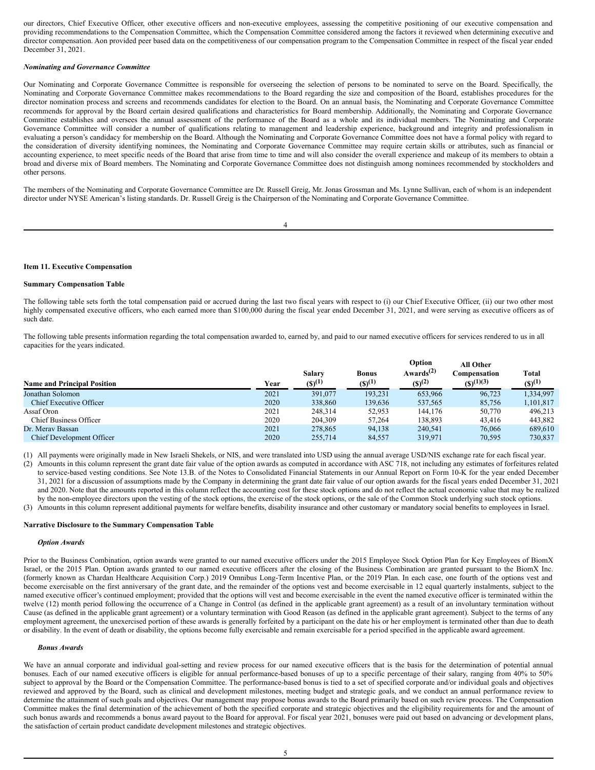our directors, Chief Executive Officer, other executive officers and non-executive employees, assessing the competitive positioning of our executive compensation and providing recommendations to the Compensation Committee, which the Compensation Committee considered among the factors it reviewed when determining executive and director compensation. Aon provided peer based data on the competitiveness of our compensation program to the Compensation Committee in respect of the fiscal year ended December 31, 2021.

### *Nominating and Governance Committee*

Our Nominating and Corporate Governance Committee is responsible for overseeing the selection of persons to be nominated to serve on the Board. Specifically, the Nominating and Corporate Governance Committee makes recommendations to the Board regarding the size and composition of the Board, establishes procedures for the director nomination process and screens and recommends candidates for election to the Board. On an annual basis, the Nominating and Corporate Governance Committee recommends for approval by the Board certain desired qualifications and characteristics for Board membership. Additionally, the Nominating and Corporate Governance Committee establishes and oversees the annual assessment of the performance of the Board as a whole and its individual members. The Nominating and Corporate Governance Committee will consider a number of qualifications relating to management and leadership experience, background and integrity and professionalism in evaluating a person's candidacy for membership on the Board. Although the Nominating and Corporate Governance Committee does not have a formal policy with regard to the consideration of diversity identifying nominees, the Nominating and Corporate Governance Committee may require certain skills or attributes, such as financial or accounting experience, to meet specific needs of the Board that arise from time to time and will also consider the overall experience and makeup of its members to obtain a broad and diverse mix of Board members. The Nominating and Corporate Governance Committee does not distinguish among nominees recommended by stockholders and other persons.

The members of the Nominating and Corporate Governance Committee are Dr. Russell Greig, Mr. Jonas Grossman and Ms. Lynne Sullivan, each of whom is an independent director under NYSE American's listing standards. Dr. Russell Greig is the Chairperson of the Nominating and Corporate Governance Committee.

4

### **Item 11. Executive Compensation**

#### **Summary Compensation Table**

The following table sets forth the total compensation paid or accrued during the last two fiscal years with respect to (i) our Chief Executive Officer, (ii) our two other most highly compensated executive officers, who each earned more than \$100,000 during the fiscal year ended December 31, 2021, and were serving as executive officers as of such date.

The following table presents information regarding the total compensation awarded to, earned by, and paid to our named executive officers for services rendered to us in all capacities for the years indicated.

| <b>Name and Principal Position</b> | Year | Salary<br>$(S)^{(1)}$ | <b>Bonus</b><br>$(S)$ <sup>(1)</sup> | Option<br>Awards <sup><math>(2)</math></sup><br>$(S)^{(2)}$ | All Other<br>Compensation<br>$(5)^{(1)(3)}$ | <b>Total</b><br>$(S)^{(1)}$ |
|------------------------------------|------|-----------------------|--------------------------------------|-------------------------------------------------------------|---------------------------------------------|-----------------------------|
| Jonathan Solomon                   | 2021 | 391,077               | 193.231                              | 653,966                                                     | 96.723                                      | 1,334,997                   |
| Chief Executive Officer            | 2020 | 338,860               | 139,636                              | 537,565                                                     | 85,756                                      | 1,101,817                   |
| Assaf Oron                         | 2021 | 248.314               | 52,953                               | 144,176                                                     | 50,770                                      | 496.213                     |
| <b>Chief Business Officer</b>      | 2020 | 204,309               | 57.264                               | 138.893                                                     | 43.416                                      | 443,882                     |
| Dr. Merav Bassan                   | 2021 | 278,865               | 94,138                               | 240.541                                                     | 76,066                                      | 689,610                     |
| Chief Development Officer          | 2020 | 255,714               | 84,557                               | 319,971                                                     | 70,595                                      | 730,837                     |

(1) All payments were originally made in New Israeli Shekels, or NIS, and were translated into USD using the annual average USD/NIS exchange rate for each fiscal year.

(2) Amounts in this column represent the grant date fair value of the option awards as computed in accordance with ASC 718, not including any estimates of forfeitures related to service-based vesting conditions. See Note 13.B. of the Notes to Consolidated Financial Statements in our Annual Report on Form 10-K for the year ended December 31, 2021 for a discussion of assumptions made by the Company in determining the grant date fair value of our option awards for the fiscal years ended December 31, 2021 and 2020. Note that the amounts reported in this column reflect the accounting cost for these stock options and do not reflect the actual economic value that may be realized by the non-employee directors upon the vesting of the stock options, the exercise of the stock options, or the sale of the Common Stock underlying such stock options. (3) Amounts in this column represent additional payments for welfare benefits, disability insurance and other customary or mandatory social benefits to employees in Israel.

#### **Narrative Disclosure to the Summary Compensation Table**

#### *Option Awards*

Prior to the Business Combination, option awards were granted to our named executive officers under the 2015 Employee Stock Option Plan for Key Employees of BiomX Israel, or the 2015 Plan. Option awards granted to our named executive officers after the closing of the Business Combination are granted pursuant to the BiomX Inc. (formerly known as Chardan Healthcare Acquisition Corp.) 2019 Omnibus Long-Term Incentive Plan, or the 2019 Plan. In each case, one fourth of the options vest and become exercisable on the first anniversary of the grant date, and the remainder of the options vest and become exercisable in 12 equal quarterly instalments, subject to the named executive officer's continued employment; provided that the options will vest and become exercisable in the event the named executive officer is terminated within the twelve (12) month period following the occurrence of a Change in Control (as defined in the applicable grant agreement) as a result of an involuntary termination without Cause (as defined in the applicable grant agreement) or a voluntary termination with Good Reason (as defined in the applicable grant agreement). Subject to the terms of any employment agreement, the unexercised portion of these awards is generally forfeited by a participant on the date his or her employment is terminated other than due to death or disability. In the event of death or disability, the options become fully exercisable and remain exercisable for a period specified in the applicable award agreement.

#### *Bonus Awards*

We have an annual corporate and individual goal-setting and review process for our named executive officers that is the basis for the determination of potential annual bonuses. Each of our named executive officers is eligible for annual performance-based bonuses of up to a specific percentage of their salary, ranging from 40% to 50% subject to approval by the Board or the Compensation Committee. The performance-based bonus is tied to a set of specified corporate and/or individual goals and objectives reviewed and approved by the Board, such as clinical and development milestones, meeting budget and strategic goals, and we conduct an annual performance review to determine the attainment of such goals and objectives. Our management may propose bonus awards to the Board primarily based on such review process. The Compensation Committee makes the final determination of the achievement of both the specified corporate and strategic objectives and the eligibility requirements for and the amount of such bonus awards and recommends a bonus award payout to the Board for approval. For fiscal year 2021, bonuses were paid out based on advancing or development plans, the satisfaction of certain product candidate development milestones and strategic objectives.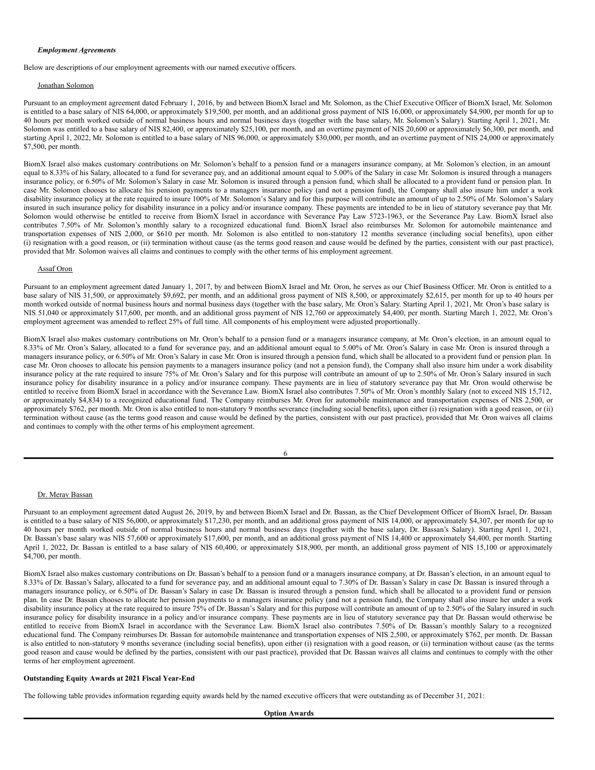#### *Employment Agreements*

Below are descriptions of our employment agreements with our named executive officers.

### Jonathan Solomon

Pursuant to an employment agreement dated February 1, 2016, by and between BiomX Israel and Mr. Solomon, as the Chief Executive Officer of BiomX Israel, Mr. Solomon is entitled to a base salary of NIS 64,000, or approximately \$19,500, per month, and an additional gross payment of NIS 16,000, or approximately \$4,900, per month for up to 40 hours per month worked outside of normal business hours and normal business days (together with the base salary, Mr. Solomon's Salary). Starting April 1, 2021, Mr. Solomon was entitled to a base salary of NIS 82,400, or approximately \$25,100, per month, and an overtime payment of NIS 20,600 or approximately \$6,300, per month, and starting April 1, 2022, Mr. Solomon is entitled to a base salary of NIS 96,000, or approximately \$30,000, per month, and an overtime payment of NIS 24,000 or approximately \$7,500, per month.

BiomX Israel also makes customary contributions on Mr. Solomon's behalf to a pension fund or a managers insurance company, at Mr. Solomon's election, in an amount equal to 8.33% of his Salary, allocated to a fund for severance pay, and an additional amount equal to 5.00% of the Salary in case Mr. Solomon is insured through a managers insurance policy, or 6.50% of Mr. Solomon's Salary in case Mr. Solomon is insured through a pension fund, which shall be allocated to a provident fund or pension plan. In case Mr. Solomon chooses to allocate his pension payments to a managers insurance policy (and not a pension fund), the Company shall also insure him under a work disability insurance policy at the rate required to insure 100% of Mr. Solomon's Salary and for this purpose will contribute an amount of up to 2.50% of Mr. Solomon's Salary insured in such insurance policy for disability insurance in a policy and/or insurance company. These payments are intended to be in lieu of statutory severance pay that Mr. Solomon would otherwise be entitled to receive from BiomX Israel in accordance with Severance Pay Law 5723-1963, or the Severance Pay Law. BiomX Israel also contributes 7.50% of Mr. Solomon's monthly salary to a recognized educational fund. BiomX Israel also reimburses Mr. Solomon for automobile maintenance and transportation expenses of NIS 2,000, or \$610 per month. Mr. Solomon is also entitled to non-statutory 12 months severance (including social benefits), upon either (i) resignation with a good reason, or (ii) termination without cause (as the terms good reason and cause would be defined by the parties, consistent with our past practice), provided that Mr. Solomon waives all claims and continues to comply with the other terms of his employment agreement.

### Assaf Oron

Pursuant to an employment agreement dated January 1, 2017, by and between BiomX Israel and Mr. Oron, he serves as our Chief Business Officer. Mr. Oron is entitled to a base salary of NIS 31,500, or approximately \$9,692, per month, and an additional gross payment of NIS 8,500, or approximately \$2,615, per month for up to 40 hours per month worked outside of normal business hours and normal business days (together with the base salary, Mr. Oron's Salary. Starting April 1, 2021, Mr. Oron's base salary is NIS 51,040 or approximately \$17,600, per month, and an additional gross payment of NIS 12,760 or approximately \$4,400, per month. Starting March 1, 2022, Mr. Oron's employment agreement was amended to reflect 25% of full time. All components of his employment were adjusted proportionally.

BiomX Israel also makes customary contributions on Mr. Oron's behalf to a pension fund or a managers insurance company, at Mr. Oron's election, in an amount equal to 8.33% of Mr. Oron's Salary, allocated to a fund for severance pay, and an additional amount equal to 5.00% of Mr. Oron's Salary in case Mr. Oron is insured through a managers insurance policy, or 6.50% of Mr. Oron's Salary in case Mr. Oron is insured through a pension fund, which shall be allocated to a provident fund or pension plan. In case Mr. Oron chooses to allocate his pension payments to a managers insurance policy (and not a pension fund), the Company shall also insure him under a work disability insurance policy at the rate required to insure 75% of Mr. Oron's Salary and for this purpose will contribute an amount of up to 2.50% of Mr. Oron's Salary insured in such insurance policy for disability insurance in a policy and/or insurance company. These payments are in lieu of statutory severance pay that Mr. Oron would otherwise be entitled to receive from BiomX Israel in accordance with the Severance Law. BiomX Israel also contributes 7.50% of Mr. Oron's monthly Salary (not to exceed NIS 15,712, or approximately \$4,834) to a recognized educational fund. The Company reimburses Mr. Oron for automobile maintenance and transportation expenses of NIS 2,500, or approximately \$762, per month. Mr. Oron is also entitled to non-statutory 9 months severance (including social benefits), upon either (i) resignation with a good reason, or (ii) termination without cause (as the terms good reason and cause would be defined by the parties, consistent with our past practice), provided that Mr. Oron waives all claims and continues to comply with the other terms of his employment agreement.

| I<br>٦ |  |  |
|--------|--|--|

#### Dr. Merav Bassan

Pursuant to an employment agreement dated August 26, 2019, by and between BiomX Israel and Dr. Bassan, as the Chief Development Officer of BiomX Israel, Dr. Bassan is entitled to a base salary of NIS 56,000, or approximately \$17,230, per month, and an additional gross payment of NIS 14,000, or approximately \$4,307, per month for up to 40 hours per month worked outside of normal business hours and normal business days (together with the base salary, Dr. Bassan's Salary). Starting April 1, 2021, Dr. Bassan's base salary was NIS 57,600 or approximately \$17,600, per month, and an additional gross payment of NIS 14,400 or approximately \$4,400, per month. Starting April 1, 2022, Dr. Bassan is entitled to a base salary of NIS 60,400, or approximately \$18,900, per month, an additional gross payment of NIS 15,100 or approximately \$4,700, per month.

BiomX Israel also makes customary contributions on Dr. Bassan's behalf to a pension fund or a managers insurance company, at Dr. Bassan's election, in an amount equal to 8.33% of Dr. Bassan's Salary, allocated to a fund for severance pay, and an additional amount equal to 7.30% of Dr. Bassan's Salary in case Dr. Bassan is insured through a managers insurance policy, or 6.50% of Dr. Bassan's Salary in case Dr. Bassan is insured through a pension fund, which shall be allocated to a provident fund or pension plan. In case Dr. Bassan chooses to allocate her pension payments to a managers insurance policy (and not a pension fund), the Company shall also insure her under a work disability insurance policy at the rate required to insure 75% of Dr. Bassan's Salary and for this purpose will contribute an amount of up to 2.50% of the Salary insured in such insurance policy for disability insurance in a policy and/or insurance company. These payments are in lieu of statutory severance pay that Dr. Bassan would otherwise be entitled to receive from BiomX Israel in accordance with the Severance Law. BiomX Israel also contributes 7.50% of Dr. Bassan's monthly Salary to a recognized educational fund. The Company reimburses Dr. Bassan for automobile maintenance and transportation expenses of NIS 2,500, or approximately \$762, per month. Dr. Bassan is also entitled to non-statutory 9 months severance (including social benefits), upon either (i) resignation with a good reason, or (ii) termination without cause (as the terms good reason and cause would be defined by the parties, consistent with our past practice), provided that Dr. Bassan waives all claims and continues to comply with the other terms of her employment agreement.

## **Outstanding Equity Awards at 2021 Fiscal Year-End**

The following table provides information regarding equity awards held by the named executive officers that were outstanding as of December 31, 2021: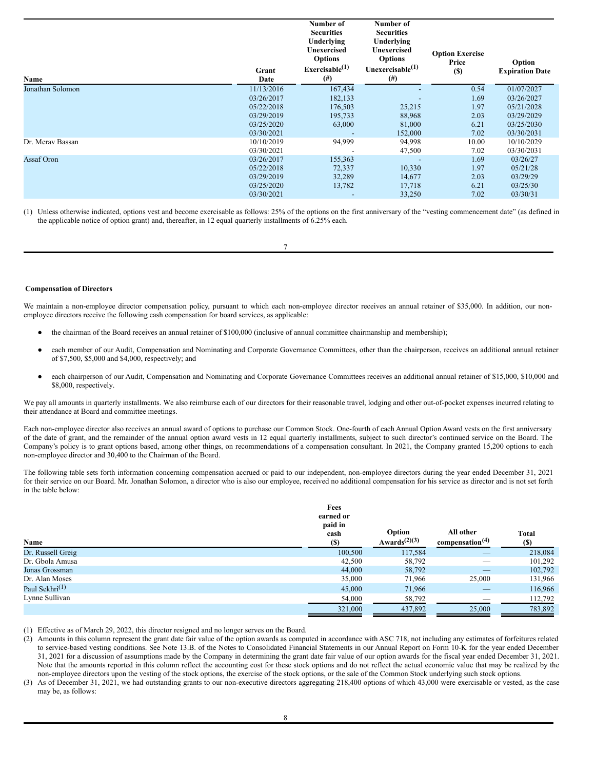| Name             | Grant<br>Date | Number of<br><b>Securities</b><br>Underlying<br>Unexercised<br><b>Options</b><br>Exerciseable <sup>(1)</sup><br>$(\#)$ | Number of<br><b>Securities</b><br>Underlying<br>Unexercised<br><b>Options</b><br>Unexercisable $^{(1)}$<br>$^{(#)}$ | <b>Option Exercise</b><br>Price<br>(S) | Option<br><b>Expiration Date</b> |
|------------------|---------------|------------------------------------------------------------------------------------------------------------------------|---------------------------------------------------------------------------------------------------------------------|----------------------------------------|----------------------------------|
| Jonathan Solomon | 11/13/2016    | 167,434                                                                                                                |                                                                                                                     | 0.54                                   | 01/07/2027                       |
|                  | 03/26/2017    | 182,133                                                                                                                |                                                                                                                     | 1.69                                   | 03/26/2027                       |
|                  | 05/22/2018    | 176,503                                                                                                                | 25,215                                                                                                              | 1.97                                   | 05/21/2028                       |
|                  | 03/29/2019    | 195,733                                                                                                                | 88,968                                                                                                              | 2.03                                   | 03/29/2029                       |
|                  | 03/25/2020    | 63,000                                                                                                                 | 81,000                                                                                                              | 6.21                                   | 03/25/2030                       |
|                  | 03/30/2021    | $\overline{\phantom{a}}$                                                                                               | 152,000                                                                                                             | 7.02                                   | 03/30/2031                       |
| Dr. Meray Bassan | 10/10/2019    | 94,999                                                                                                                 | 94,998                                                                                                              | 10.00                                  | 10/10/2029                       |
|                  | 03/30/2021    | ۰                                                                                                                      | 47,500                                                                                                              | 7.02                                   | 03/30/2031                       |
| Assaf Oron       | 03/26/2017    | 155,363                                                                                                                |                                                                                                                     | 1.69                                   | 03/26/27                         |
|                  | 05/22/2018    | 72,337                                                                                                                 | 10,330                                                                                                              | 1.97                                   | 05/21/28                         |
|                  | 03/29/2019    | 32,289                                                                                                                 | 14,677                                                                                                              | 2.03                                   | 03/29/29                         |
|                  | 03/25/2020    | 13,782                                                                                                                 | 17,718                                                                                                              | 6.21                                   | 03/25/30                         |
|                  | 03/30/2021    |                                                                                                                        | 33,250                                                                                                              | 7.02                                   | 03/30/31                         |

(1) Unless otherwise indicated, options vest and become exercisable as follows: 25% of the options on the first anniversary of the "vesting commencement date" (as defined in the applicable notice of option grant) and, thereafter, in 12 equal quarterly installments of 6.25% each.

### **Compensation of Directors**

We maintain a non-employee director compensation policy, pursuant to which each non-employee director receives an annual retainer of \$35,000. In addition, our nonemployee directors receive the following cash compensation for board services, as applicable:

- the chairman of the Board receives an annual retainer of \$100,000 (inclusive of annual committee chairmanship and membership);
- each member of our Audit, Compensation and Nominating and Corporate Governance Committees, other than the chairperson, receives an additional annual retainer of \$7,500, \$5,000 and \$4,000, respectively; and
- each chairperson of our Audit, Compensation and Nominating and Corporate Governance Committees receives an additional annual retainer of \$15,000, \$10,000 and \$8,000, respectively.

We pay all amounts in quarterly installments. We also reimburse each of our directors for their reasonable travel, lodging and other out-of-pocket expenses incurred relating to their attendance at Board and committee meetings.

Each non-employee director also receives an annual award of options to purchase our Common Stock. One-fourth of each Annual Option Award vests on the first anniversary of the date of grant, and the remainder of the annual option award vests in 12 equal quarterly installments, subject to such director's continued service on the Board. The Company's policy is to grant options based, among other things, on recommendations of a compensation consultant. In 2021, the Company granted 15,200 options to each non-employee director and 30,400 to the Chairman of the Board.

The following table sets forth information concerning compensation accrued or paid to our independent, non-employee directors during the year ended December 31, 2021 for their service on our Board. Mr. Jonathan Solomon, a director who is also our employee, received no additional compensation for his service as director and is not set forth in the table below:

| Name                       | Fees<br>earned or<br>paid in<br>cash<br>(\$) | Option<br>Awards <sup><math>(2)(3)</math></sup> | All other<br>compensation <sup>(4)</sup> | <b>Total</b><br><b>(S)</b> |
|----------------------------|----------------------------------------------|-------------------------------------------------|------------------------------------------|----------------------------|
| Dr. Russell Greig          | 100,500                                      | 117,584                                         | $\overline{\phantom{a}}$                 | 218,084                    |
| Dr. Gbola Amusa            | 42,500                                       | 58,792                                          | $-$                                      | 101,292                    |
| Jonas Grossman             | 44,000                                       | 58,792                                          |                                          | 102,792                    |
| Dr. Alan Moses             | 35,000                                       | 71,966                                          | 25,000                                   | 131,966                    |
| Paul Sekhri <sup>(1)</sup> | 45,000                                       | 71,966                                          | $-$                                      | 116,966                    |
| Lynne Sullivan             | 54,000                                       | 58,792                                          |                                          | 112,792                    |
|                            | 321,000                                      | 437,892                                         | 25,000                                   | 783,892                    |

(1) Effective as of March 29, 2022, this director resigned and no longer serves on the Board.

(2) Amounts in this column represent the grant date fair value of the option awards as computed in accordance with ASC 718, not including any estimates of forfeitures related to service-based vesting conditions. See Note 13.B. of the Notes to Consolidated Financial Statements in our Annual Report on Form 10-K for the year ended December 31, 2021 for a discussion of assumptions made by the Company in determining the grant date fair value of our option awards for the fiscal year ended December 31, 2021. Note that the amounts reported in this column reflect the accounting cost for these stock options and do not reflect the actual economic value that may be realized by the non-employee directors upon the vesting of the stock options, the exercise of the stock options, or the sale of the Common Stock underlying such stock options.

<sup>(3)</sup> As of December 31, 2021, we had outstanding grants to our non-executive directors aggregating 218,400 options of which 43,000 were exercisable or vested, as the case may be, as follows: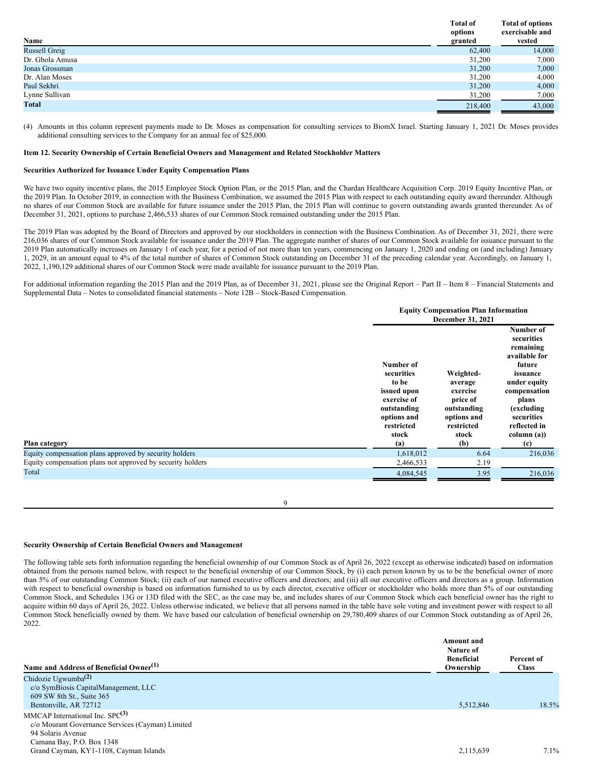|                      | <b>Total of</b><br>options | <b>Total of options</b><br>exercisable and |
|----------------------|----------------------------|--------------------------------------------|
| Name                 | granted                    | vested                                     |
| <b>Russell Greig</b> | 62,400                     | 14,000                                     |
| Dr. Gbola Amusa      | 31,200                     | 7,000                                      |
| Jonas Grossman       | 31,200                     | 7,000                                      |
| Dr. Alan Moses       | 31,200                     | 4,000                                      |
| Paul Sekhri          | 31,200                     | 4,000                                      |
| Lynne Sullivan       | 31,200                     | 7,000                                      |
| <b>Total</b>         | 218,400                    | 43,000                                     |

(4) Amounts in this column represent payments made to Dr. Moses as compensation for consulting services to BiomX Israel. Starting January 1, 2021 Dr. Moses provides additional consulting services to the Company for an annual fee of \$25,000.

#### **Item 12. Security Ownership of Certain Beneficial Owners and Management and Related Stockholder Matters**

## **Securities Authorized for Issuance Under Equity Compensation Plans**

We have two equity incentive plans, the 2015 Employee Stock Option Plan, or the 2015 Plan, and the Chardan Healthcare Acquisition Corp. 2019 Equity Incentive Plan, or the 2019 Plan. In October 2019, in connection with the Business Combination, we assumed the 2015 Plan with respect to each outstanding equity award thereunder. Although no shares of our Common Stock are available for future issuance under the 2015 Plan, the 2015 Plan will continue to govern outstanding awards granted thereunder. As of December 31, 2021, options to purchase 2,466,533 shares of our Common Stock remained outstanding under the 2015 Plan.

The 2019 Plan was adopted by the Board of Directors and approved by our stockholders in connection with the Business Combination. As of December 31, 2021, there were 216,036 shares of our Common Stock available for issuance under the 2019 Plan. The aggregate number of shares of our Common Stock available for issuance pursuant to the 2019 Plan automatically increases on January 1 of each year, for a period of not more than ten years, commencing on January 1, 2020 and ending on (and including) January 1, 2029, in an amount equal to 4% of the total number of shares of Common Stock outstanding on December 31 of the preceding calendar year. Accordingly, on January 1, 2022, 1,190,129 additional shares of our Common Stock were made available for issuance pursuant to the 2019 Plan.

For additional information regarding the 2015 Plan and the 2019 Plan, as of December 31, 2021, please see the Original Report – Part II – Item 8 – Financial Statements and Supplemental Data – Notes to consolidated financial statements – Note 12B – Stock-Based Compensation.

|                                                            |                                                                                                                            | <b>Equity Compensation Plan Information</b><br>December 31, 2021                                         |                                                                                                                                                                                        |
|------------------------------------------------------------|----------------------------------------------------------------------------------------------------------------------------|----------------------------------------------------------------------------------------------------------|----------------------------------------------------------------------------------------------------------------------------------------------------------------------------------------|
| Plan category                                              | Number of<br>securities<br>to be<br>issued upon<br>exercise of<br>outstanding<br>options and<br>restricted<br>stock<br>(a) | Weighted-<br>average<br>exercise<br>price of<br>outstanding<br>options and<br>restricted<br>stock<br>(b) | Number of<br>securities<br>remaining<br>available for<br>future<br>issuance<br>under equity<br>compensation<br>plans<br>(excluding<br>securities<br>reflected in<br>column (a))<br>(c) |
| Equity compensation plans approved by security holders     | 1,618,012                                                                                                                  | 6.64                                                                                                     | 216,036                                                                                                                                                                                |
| Equity compensation plans not approved by security holders | 2,466,533                                                                                                                  | 2.19                                                                                                     |                                                                                                                                                                                        |
| Total                                                      | 4,084,545                                                                                                                  | 3.95                                                                                                     | 216,036                                                                                                                                                                                |

9

### **Security Ownership of Certain Beneficial Owners and Management**

The following table sets forth information regarding the beneficial ownership of our Common Stock as of April 26, 2022 (except as otherwise indicated) based on information obtained from the persons named below, with respect to the beneficial ownership of our Common Stock, by (i) each person known by us to be the beneficial owner of more than 5% of our outstanding Common Stock; (ii) each of our named executive officers and directors; and (iii) all our executive officers and directors as a group. Information with respect to beneficial ownership is based on information furnished to us by each director, executive officer or stockholder who holds more than 5% of our outstanding Common Stock, and Schedules 13G or 13D filed with the SEC, as the case may be, and includes shares of our Common Stock which each beneficial owner has the right to acquire within 60 days of April 26, 2022. Unless otherwise indicated, we believe that all persons named in the table have sole voting and investment power with respect to all Common Stock beneficially owned by them. We have based our calculation of beneficial ownership on 29,780,409 shares of our Common Stock outstanding as of April 26, 2022.

| Name and Address of Beneficial Owner <sup>(1)</sup> | <b>Amount</b> and<br>Nature of<br><b>Beneficial</b><br>Ownership | Percent of<br><b>Class</b> |
|-----------------------------------------------------|------------------------------------------------------------------|----------------------------|
| Chidozie Ugwumba <sup>(2)</sup>                     |                                                                  |                            |
| c/o SymBiosis CapitalManagement, LLC                |                                                                  |                            |
| 609 SW 8th St., Suite 365                           |                                                                  |                            |
| Bentonville, AR 72712                               | 5,512,846                                                        | 18.5%                      |
| MMCAP International Inc. $SPC^{(3)}$                |                                                                  |                            |
| c/o Mourant Governance Services (Cayman) Limited    |                                                                  |                            |
| 94 Solaris Avenue                                   |                                                                  |                            |
| Camana Bay, P.O. Box 1348                           |                                                                  |                            |
| Grand Cayman, KY1-1108, Cayman Islands              | 2,115,639                                                        | $7.1\%$                    |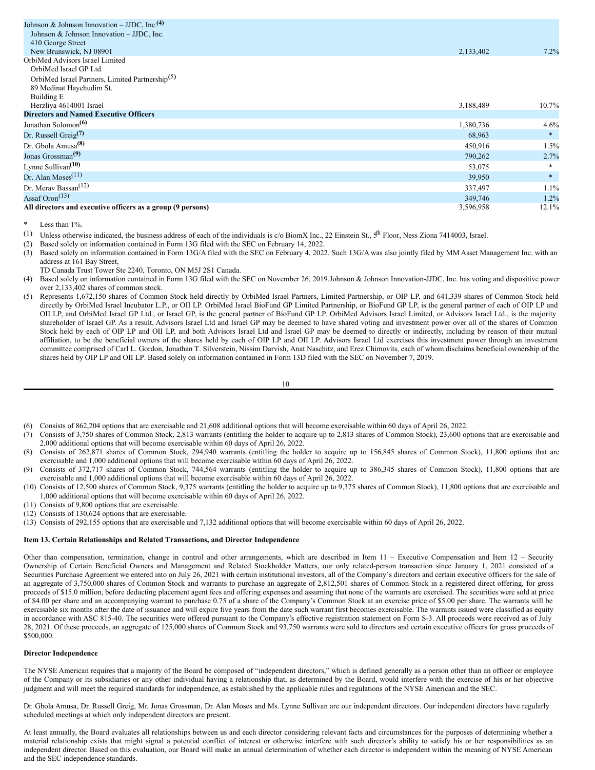| Johnson & Johnson Innovation – JJDC, Inc. <sup>(4)</sup>                 |           |          |
|--------------------------------------------------------------------------|-----------|----------|
| Johnson & Johnson Innovation $-JJDC$ , Inc.                              |           |          |
| 410 George Street                                                        |           |          |
| New Brunswick, NJ 08901                                                  | 2,133,402 | 7.2%     |
| OrbiMed Advisors Israel Limited                                          |           |          |
| OrbiMed Israel GP Ltd.                                                   |           |          |
| OrbiMed Israel Partners, Limited Partnership <sup>(5)</sup>              |           |          |
| 89 Medinat Hayehudim St.                                                 |           |          |
| Building E                                                               |           |          |
| Herzliya 4614001 Israel<br><b>Directors and Named Executive Officers</b> | 3,188,489 | $10.7\%$ |
|                                                                          |           |          |
| Jonathan Solomon <sup>(6)</sup>                                          | 1,380,736 | 4.6%     |
| Dr. Russell Greig <sup>(7)</sup>                                         | 68,963    | $\ast$   |
| Dr. Gbola Amusa <sup>(8)</sup>                                           | 450,916   | $1.5\%$  |
| Jonas Grossman <sup>(9)</sup>                                            | 790,262   | 2.7%     |
| Lynne Sullivan $(10)$                                                    | 53,075    | *        |
| Dr. Alan Moses $(11)$                                                    | 39,950    | $\ast$   |
| Dr. Merav Bassan <sup>(12)</sup>                                         | 337,497   | $1.1\%$  |
| Assaf Oron $(13)$                                                        | 349,746   | 1.2%     |
| All directors and executive officers as a group (9 persons)              | 3,596,958 | 12.1%    |

Less than  $1\%$ .

(1) Unless otherwise indicated, the business address of each of the individuals is  $c/\sigma$  BiomX Inc., 22 Einstein St.,  $\mathbf{\hat{s}}^{\text{h}}$  Floor, Ness Ziona 7414003, Israel.

(2) Based solely on information contained in Form 13G filed with the SEC on February 14, 2022.

(3) Based solely on information contained in Form 13G/A filed with the SEC on February 4, 2022. Such 13G/A was also jointly filed by MM Asset Management Inc. with an address at 161 Bay Street,

TD Canada Trust Tower Ste 2240, Toronto, ON M5J 2S1 Canada.

- (4) Based solely on information contained in Form 13G filed with the SEC on November 26, 2019.Johnson & Johnson Innovation-JJDC, Inc. has voting and dispositive power over 2,133,402 shares of common stock.
- (5) Represents 1,672,150 shares of Common Stock held directly by OrbiMed Israel Partners, Limited Partnership, or OIP LP, and 641,339 shares of Common Stock held directly by OrbiMed Israel Incubator L.P., or OII LP. OrbiMed Israel BioFund GP Limited Partnership, or BioFund GP LP, is the general partner of each of OIP LP and OII LP, and OrbiMed Israel GP Ltd., or Israel GP, is the general partner of BioFund GP LP. OrbiMed Advisors Israel Limited, or Advisors Israel Ltd., is the majority shareholder of Israel GP. As a result, Advisors Israel Ltd and Israel GP may be deemed to have shared voting and investment power over all of the shares of Common Stock held by each of OIP LP and OII LP, and both Advisors Israel Ltd and Israel GP may be deemed to directly or indirectly, including by reason of their mutual affiliation, to be the beneficial owners of the shares held by each of OIP LP and OII LP. Advisors Israel Ltd exercises this investment power through an investment committee comprised of Carl L. Gordon, Jonathan T. Silverstein, Nissim Darvish, Anat Naschitz, and Erez Chimovits, each of whom disclaims beneficial ownership of the shares held by OIP LP and OII LP. Based solely on information contained in Form 13D filed with the SEC on November 7, 2019.

10

- (6) Consists of 862,204 options that are exercisable and 21,608 additional options that will become exercisable within 60 days of April 26, 2022.
- (7) Consists of 3,750 shares of Common Stock, 2,813 warrants (entitling the holder to acquire up to 2,813 shares of Common Stock), 23,600 options that are exercisable and 2,000 additional options that will become exercisable within 60 days of April 26, 2022.
- (8) Consists of 262,871 shares of Common Stock, 294,940 warrants (entitling the holder to acquire up to 156,845 shares of Common Stock), 11,800 options that are exercisable and 1,000 additional options that will become exercisable within 60 days of April 26, 2022.
- (9) Consists of 372,717 shares of Common Stock, 744,564 warrants (entitling the holder to acquire up to 386,345 shares of Common Stock), 11,800 options that are exercisable and 1,000 additional options that will become exercisable within 60 days of April 26, 2022.
- (10) Consists of 12,500 shares of Common Stock, 9,375 warrants (entitling the holder to acquire up to 9,375 shares of Common Stock), 11,800 options that are exercisable and 1,000 additional options that will become exercisable within 60 days of April 26, 2022.
- (11) Consists of 9,800 options that are exercisable.
- (12) Consists of 130,624 options that are exercisable.
- (13) Consists of 292,155 options that are exercisable and 7,132 additional options that will become exercisable within 60 days of April 26, 2022.

# **Item 13. Certain Relationships and Related Transactions, and Director Independence**

Other than compensation, termination, change in control and other arrangements, which are described in Item 11 - Executive Compensation and Item 12 - Security Ownership of Certain Beneficial Owners and Management and Related Stockholder Matters, our only related-person transaction since January 1, 2021 consisted of a Securities Purchase Agreement we entered into on July 26, 2021 with certain institutional investors, all of the Company's directors and certain executive officers for the sale of an aggregate of 3,750,000 shares of Common Stock and warrants to purchase an aggregate of 2,812,501 shares of Common Stock in a registered direct offering, for gross proceeds of \$15.0 million, before deducting placement agent fees and offering expenses and assuming that none of the warrants are exercised. The securities were sold at price of \$4.00 per share and an accompanying warrant to purchase 0.75 of a share of the Company's Common Stock at an exercise price of \$5.00 per share. The warrants will be exercisable six months after the date of issuance and will expire five years from the date such warrant first becomes exercisable. The warrants issued were classified as equity in accordance with ASC 815-40. The securities were offered pursuant to the Company's effective registration statement on Form S-3. All proceeds were received as of July 28, 2021. Of these proceeds, an aggregate of 125,000 shares of Common Stock and 93,750 warrants were sold to directors and certain executive officers for gross proceeds of \$500,000.

## **Director Independence**

The NYSE American requires that a majority of the Board be composed of "independent directors," which is defined generally as a person other than an officer or employee of the Company or its subsidiaries or any other individual having a relationship that, as determined by the Board, would interfere with the exercise of his or her objective judgment and will meet the required standards for independence, as established by the applicable rules and regulations of the NYSE American and the SEC.

Dr. Gbola Amusa, Dr. Russell Greig, Mr. Jonas Grossman, Dr. Alan Moses and Ms. Lynne Sullivan are our independent directors. Our independent directors have regularly scheduled meetings at which only independent directors are present.

At least annually, the Board evaluates all relationships between us and each director considering relevant facts and circumstances for the purposes of determining whether a material relationship exists that might signal a potential conflict of interest or otherwise interfere with such director's ability to satisfy his or her responsibilities as an independent director. Based on this evaluation, our Board will make an annual determination of whether each director is independent within the meaning of NYSE American and the SEC independence standards.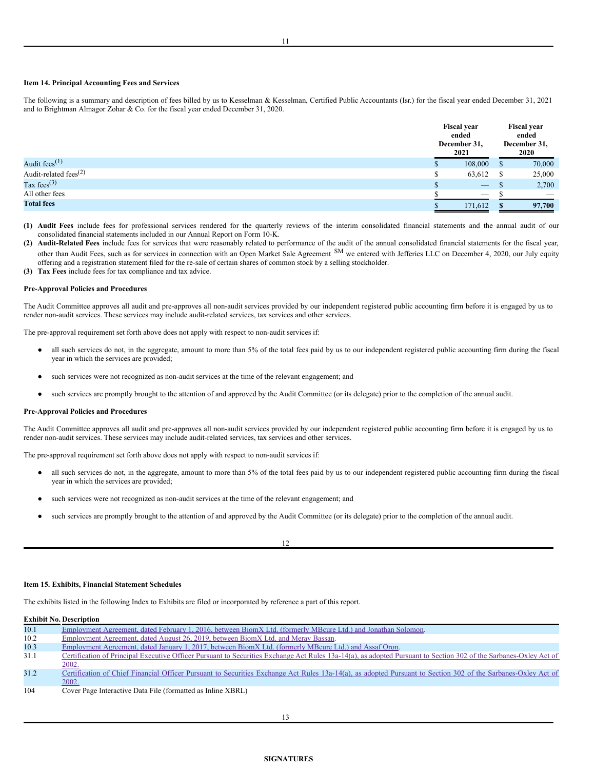#### **Item 14. Principal Accounting Fees and Services**

The following is a summary and description of fees billed by us to Kesselman & Kesselman, Certified Public Accountants (Isr.) for the fiscal year ended December 31, 2021 and to Brightman Almagor Zohar & Co. for the fiscal year ended December 31, 2020.

|                                                |   | <b>Fiscal year</b><br>ended<br>December 31,<br>2021 |      | <b>Fiscal year</b><br>ended<br>December 31,<br>2020 |
|------------------------------------------------|---|-----------------------------------------------------|------|-----------------------------------------------------|
| Audit fees $^{(1)}$                            |   | 108,000                                             | - \$ | 70,000                                              |
| Audit-related fees <sup><math>(2)</math></sup> | S | 63,612                                              | - \$ | 25,000                                              |
| Tax fees <sup>(3)</sup>                        |   | $\hspace{0.1mm}-\hspace{0.1mm}$                     | D    | 2,700                                               |
| All other fees                                 |   | $\hspace{0.1mm}-\hspace{0.1mm}$                     |      |                                                     |
| <b>Total fees</b>                              |   | 171,612                                             |      | 97,700                                              |

**(1) Audit Fees** include fees for professional services rendered for the quarterly reviews of the interim consolidated financial statements and the annual audit of our consolidated financial statements included in our Annual Report on Form 10-K.

**(2) Audit-Related Fees** include fees for services that were reasonably related to performance of the audit of the annual consolidated financial statements for the fiscal year, other than Audit Fees, such as for services in connection with an Open Market Sale Agreement SM we entered with Jefferies LLC on December 4, 2020, our July equity offering and a registration statement filed for the re-sale of certain shares of common stock by a selling stockholder.

**(3) Tax Fees** include fees for tax compliance and tax advice.

### **Pre-Approval Policies and Procedures**

The Audit Committee approves all audit and pre-approves all non-audit services provided by our independent registered public accounting firm before it is engaged by us to render non-audit services. These services may include audit-related services, tax services and other services.

The pre-approval requirement set forth above does not apply with respect to non-audit services if:

- all such services do not, in the aggregate, amount to more than 5% of the total fees paid by us to our independent registered public accounting firm during the fiscal year in which the services are provided;
- such services were not recognized as non-audit services at the time of the relevant engagement; and
- such services are promptly brought to the attention of and approved by the Audit Committee (or its delegate) prior to the completion of the annual audit.

#### **Pre-Approval Policies and Procedures**

The Audit Committee approves all audit and pre-approves all non-audit services provided by our independent registered public accounting firm before it is engaged by us to render non-audit services. These services may include audit-related services, tax services and other services.

The pre-approval requirement set forth above does not apply with respect to non-audit services if:

- all such services do not, in the aggregate, amount to more than 5% of the total fees paid by us to our independent registered public accounting firm during the fiscal year in which the services are provided;
- such services were not recognized as non-audit services at the time of the relevant engagement; and
- such services are promptly brought to the attention of and approved by the Audit Committee (or its delegate) prior to the completion of the annual audit.

# **Item 15. Exhibits, Financial Statement Schedules**

The exhibits listed in the following Index to Exhibits are filed or incorporated by reference a part of this report.

# **Exhibit No. Description**

| 10.1 | Employment Agreement, dated February 1, 2016, between BiomX Ltd. (formerly MBcure Ltd.) and Jonathan Solomon.                                                     |
|------|-------------------------------------------------------------------------------------------------------------------------------------------------------------------|
| 10.2 | Employment Agreement, dated August 26, 2019, between BiomX Ltd. and Meray Bassan.                                                                                 |
| 10.3 | Employment Agreement, dated January 1, 2017, between BiomX Ltd. (formerly MBcure Ltd.) and Assaf Oron.                                                            |
| 31.1 | Certification of Principal Executive Officer Pursuant to Securities Exchange Act Rules 13a-14(a), as adopted Pursuant to Section 302 of the Sarbanes-Oxley Act of |
|      | <u>2002.</u>                                                                                                                                                      |
| 31.2 | Certification of Chief Financial Officer Pursuant to Securities Exchange Act Rules 13a-14(a), as adopted Pursuant to Section 302 of the Sarbanes-Oxley Act of     |
|      | 2002.                                                                                                                                                             |
| 104  | Cover Page Interactive Data File (formatted as Inline XBRL)                                                                                                       |

13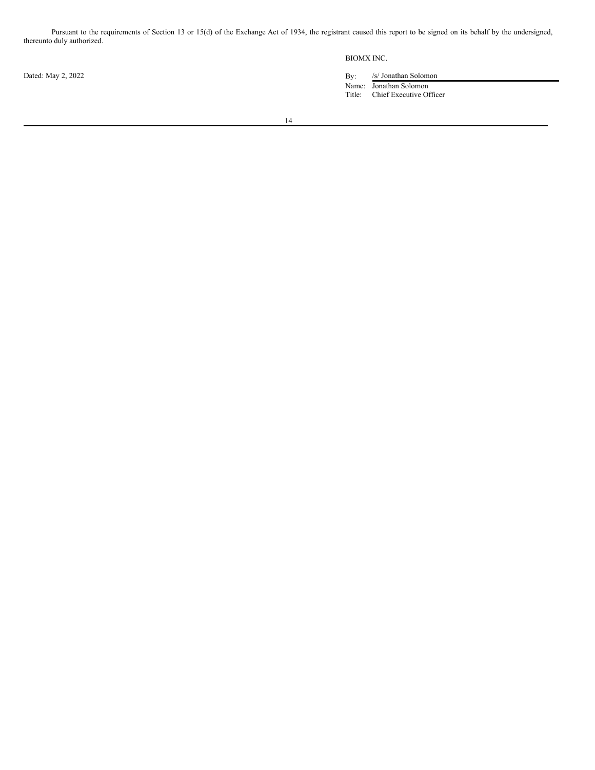Pursuant to the requirements of Section 13 or 15(d) of the Exchange Act of 1934, the registrant caused this report to be signed on its behalf by the undersigned, thereunto duly authorized.

BIOMX INC.

| By: | /s/ Jonathan Solomon           |
|-----|--------------------------------|
|     | Name: Jonathan Solomon         |
|     | Title: Chief Executive Officer |

14

Dated: May 2, 2022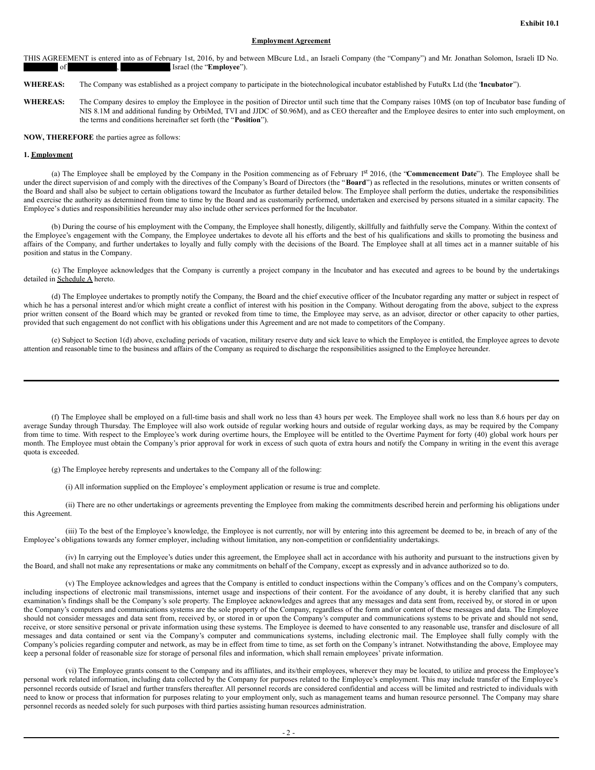## **Employment Agreement**

THIS AGREEMENT is entered into as of February 1st, 2016, by and between MBcure Ltd., an Israeli Company (the "Company") and Mr. Jonathan Solomon, Israeli ID No. 017745555 of 7 Mordechai.St., Mayer Tel Aviv, Israel (the "**Employee**").

**WHEREAS:** The Company was established as a project company to participate in the biotechnological incubator established by FutuRx Ltd (the "**Incubator**").

**WHEREAS:** The Company desires to employ the Employee in the position of Director until such time that the Company raises 10M\$ (on top of Incubator base funding of NIS 8.1M and additional funding by OrbiMed, TVI and JJDC of \$0.96M), and as CEO thereafter and the Employee desires to enter into such employment, on the terms and conditions hereinafter set forth (the "**Position**").

# **NOW, THEREFORE** the parties agree as follows:

### **1. Employment**

(a) The Employee shall be employed by the Company in the Position commencing as of February 1 st 2016, (the "**Commencement Date**"). The Employee shall be under the direct supervision of and comply with the directives of the Company's Board of Directors (the "**Board**") as reflected in the resolutions, minutes or written consents of the Board and shall also be subject to certain obligations toward the Incubator as further detailed below. The Employee shall perform the duties, undertake the responsibilities and exercise the authority as determined from time to time by the Board and as customarily performed, undertaken and exercised by persons situated in a similar capacity. The Employee's duties and responsibilities hereunder may also include other services performed for the Incubator.

(b) During the course of his employment with the Company, the Employee shall honestly, diligently, skillfully and faithfully serve the Company. Within the context of the Employee's engagement with the Company, the Employee undertakes to devote all his efforts and the best of his qualifications and skills to promoting the business and affairs of the Company, and further undertakes to loyally and fully comply with the decisions of the Board. The Employee shall at all times act in a manner suitable of his position and status in the Company.

(c) The Employee acknowledges that the Company is currently a project company in the Incubator and has executed and agrees to be bound by the undertakings detailed in Schedule A hereto.

(d) The Employee undertakes to promptly notify the Company, the Board and the chief executive officer of the Incubator regarding any matter or subject in respect of which he has a personal interest and/or which might create a conflict of interest with his position in the Company. Without derogating from the above, subject to the express prior written consent of the Board which may be granted or revoked from time to time, the Employee may serve, as an advisor, director or other capacity to other parties, provided that such engagement do not conflict with his obligations under this Agreement and are not made to competitors of the Company.

(e) Subject to Section 1(d) above, excluding periods of vacation, military reserve duty and sick leave to which the Employee is entitled, the Employee agrees to devote attention and reasonable time to the business and affairs of the Company as required to discharge the responsibilities assigned to the Employee hereunder.

(f) The Employee shall be employed on a full-time basis and shall work no less than 43 hours per week. The Employee shall work no less than 8.6 hours per day on average Sunday through Thursday. The Employee will also work outside of regular working hours and outside of regular working days, as may be required by the Company from time to time. With respect to the Employee's work during overtime hours, the Employee will be entitled to the Overtime Payment for forty (40) global work hours per month. The Employee must obtain the Company's prior approval for work in excess of such quota of extra hours and notify the Company in writing in the event this average quota is exceeded.

(g) The Employee hereby represents and undertakes to the Company all of the following:

(i) All information supplied on the Employee's employment application or resume is true and complete.

(ii) There are no other undertakings or agreements preventing the Employee from making the commitments described herein and performing his obligations under this Agreement.

(iii) To the best of the Employee's knowledge, the Employee is not currently, nor will by entering into this agreement be deemed to be, in breach of any of the Employee's obligations towards any former employer, including without limitation, any non-competition or confidentiality undertakings.

(iv) In carrying out the Employee's duties under this agreement, the Employee shall act in accordance with his authority and pursuant to the instructions given by the Board, and shall not make any representations or make any commitments on behalf of the Company, except as expressly and in advance authorized so to do.

(v) The Employee acknowledges and agrees that the Company is entitled to conduct inspections within the Company's offices and on the Company's computers, including inspections of electronic mail transmissions, internet usage and inspections of their content. For the avoidance of any doubt, it is hereby clarified that any such examination's findings shall be the Company's sole property. The Employee acknowledges and agrees that any messages and data sent from, received by, or stored in or upon the Company's computers and communications systems are the sole property of the Company, regardless of the form and/or content of these messages and data. The Employee should not consider messages and data sent from, received by, or stored in or upon the Company's computer and communications systems to be private and should not send, receive, or store sensitive personal or private information using these systems. The Employee is deemed to have consented to any reasonable use, transfer and disclosure of all messages and data contained or sent via the Company's computer and communications systems, including electronic mail. The Employee shall fully comply with the Company's policies regarding computer and network, as may be in effect from time to time, as set forth on the Company's intranet. Notwithstanding the above, Employee may keep a personal folder of reasonable size for storage of personal files and information, which shall remain employees' private information.

(vi) The Employee grants consent to the Company and its affiliates, and its/their employees, wherever they may be located, to utilize and process the Employee's personal work related information, including data collected by the Company for purposes related to the Employee's employment. This may include transfer of the Employee's personnel records outside of Israel and further transfers thereafter. All personnel records are considered confidential and access will be limited and restricted to individuals with need to know or process that information for purposes relating to your employment only, such as management teams and human resource personnel. The Company may share personnel records as needed solely for such purposes with third parties assisting human resources administration.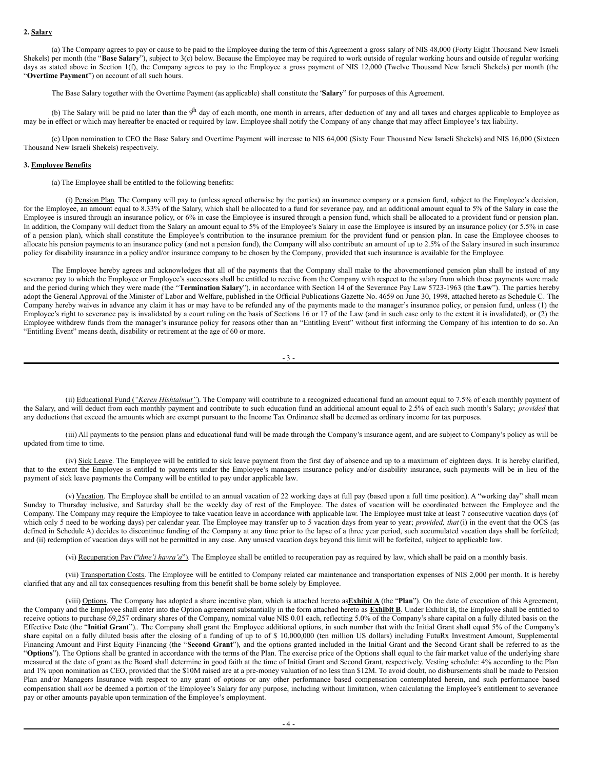### **2. Salary**

(a) The Company agrees to pay or cause to be paid to the Employee during the term of this Agreement a gross salary of NIS 48,000 (Forty Eight Thousand New Israeli Shekels) per month (the "**Base Salary**"), subject to 3(c) below. Because the Employee may be required to work outside of regular working hours and outside of regular working days as stated above in Section 1(f), the Company agrees to pay to the Employee a gross payment of NIS 12,000 (Twelve Thousand New Israeli Shekels) per month (the "**Overtime Payment**") on account of all such hours.

The Base Salary together with the Overtime Payment (as applicable) shall constitute the "**Salary**" for purposes of this Agreement.

(b) The Salary will be paid no later than the  $9<sup>h</sup>$  day of each month, one month in arrears, after deduction of any and all taxes and charges applicable to Employee as may be in effect or which may hereafter be enacted or required by law. Employee shall notify the Company of any change that may affect Employee's tax liability.

(c) Upon nomination to CEO the Base Salary and Overtime Payment will increase to NIS 64,000 (Sixty Four Thousand New Israeli Shekels) and NIS 16,000 (Sixteen Thousand New Israeli Shekels) respectively.

#### **3. Employee Benefits**

(a) The Employee shall be entitled to the following benefits:

(i) Pension Plan. The Company will pay to (unless agreed otherwise by the parties) an insurance company or a pension fund, subject to the Employee's decision, for the Employee, an amount equal to 8.33% of the Salary, which shall be allocated to a fund for severance pay, and an additional amount equal to 5% of the Salary in case the Employee is insured through an insurance policy, or 6% in case the Employee is insured through a pension fund, which shall be allocated to a provident fund or pension plan. In addition, the Company will deduct from the Salary an amount equal to 5% of the Employee's Salary in case the Employee is insured by an insurance policy (or 5.5% in case of a pension plan), which shall constitute the Employee's contribution to the insurance premium for the provident fund or pension plan. In case the Employee chooses to allocate his pension payments to an insurance policy (and not a pension fund), the Company will also contribute an amount of up to 2.5% of the Salary insured in such insurance policy for disability insurance in a policy and/or insurance company to be chosen by the Company, provided that such insurance is available for the Employee.

The Employee hereby agrees and acknowledges that all of the payments that the Company shall make to the abovementioned pension plan shall be instead of any severance pay to which the Employee or Employee's successors shall be entitled to receive from the Company with respect to the salary from which these payments were made and the period during which they were made (the "**Termination Salary**"), in accordance with Section 14 of the Severance Pay Law 5723-1963 (the "**Law**"). The parties hereby adopt the General Approval of the Minister of Labor and Welfare, published in the Official Publications Gazette No. 4659 on June 30, 1998, attached hereto as Schedule C. The Company hereby waives in advance any claim it has or may have to be refunded any of the payments made to the manager's insurance policy, or pension fund, unless (1) the Employee's right to severance pay is invalidated by a court ruling on the basis of Sections 16 or 17 of the Law (and in such case only to the extent it is invalidated), or (2) the Employee withdrew funds from the manager's insurance policy for reasons other than an "Entitling Event" without first informing the Company of his intention to do so. An "Entitling Event" means death, disability or retirement at the age of 60 or more.

$$
-3 -
$$

(ii) Educational Fund (*"Keren Hishtalmut"*). The Company will contribute to a recognized educational fund an amount equal to 7.5% of each monthly payment of the Salary, and will deduct from each monthly payment and contribute to such education fund an additional amount equal to 2.5% of each such month's Salary; *provided* that any deductions that exceed the amounts which are exempt pursuant to the Income Tax Ordinance shall be deemed as ordinary income for tax purposes.

(iii) All payments to the pension plans and educational fund will be made through the Company's insurance agent, and are subject to Company's policy as will be updated from time to time.

(iv) Sick Leave. The Employee will be entitled to sick leave payment from the first day of absence and up to a maximum of eighteen days. It is hereby clarified, that to the extent the Employee is entitled to payments under the Employee's managers insurance policy and/or disability insurance, such payments will be in lieu of the payment of sick leave payments the Company will be entitled to pay under applicable law.

(v) Vacation. The Employee shall be entitled to an annual vacation of 22 working days at full pay (based upon a full time position). A "working day" shall mean Sunday to Thursday inclusive, and Saturday shall be the weekly day of rest of the Employee. The dates of vacation will be coordinated between the Employee and the Company. The Company may require the Employee to take vacation leave in accordance with applicable law. The Employee must take at least 7 consecutive vacation days (of which only 5 need to be working days) per calendar year. The Employee may transfer up to 5 vacation days from year to year; *provided, that* (i) in the event that the OCS (as defined in Schedule A) decides to discontinue funding of the Company at any time prior to the lapse of a three year period, such accumulated vacation days shall be forfeited; and (ii) redemption of vacation days will not be permitted in any case. Any unused vacation days beyond this limit will be forfeited, subject to applicable law.

(vi) Recuperation Pay ("*dme'i havra'a*"). The Employee shall be entitled to recuperation pay as required by law, which shall be paid on a monthly basis.

(vii) Transportation Costs. The Employee will be entitled to Company related car maintenance and transportation expenses of NIS 2,000 per month. It is hereby clarified that any and all tax consequences resulting from this benefit shall be borne solely by Employee.

(viii) Options. The Company has adopted a share incentive plan, which is attached hereto as**Exhibit A** (the "**Plan**"). On the date of execution of this Agreement, the Company and the Employee shall enter into the Option agreement substantially in the form attached hereto as **Exhibit B**. Under Exhibit B, the Employee shall be entitled to receive options to purchase 69,257 ordinary shares of the Company, nominal value NIS 0.01 each, reflecting 5.0% of the Company's share capital on a fully diluted basis on the Effective Date (the "**Initial Grant**").. The Company shall grant the Employee additional options, in such number that with the Initial Grant shall equal 5% of the Company's share capital on a fully diluted basis after the closing of a funding of up to of \$ 10,000,000 (ten million US dollars) including FutuRx Investment Amount, Supplemental Financing Amount and First Equity Financing (the "**Second Grant**"), and the options granted included in the Initial Grant and the Second Grant shall be referred to as the "Options"). The Options shall be granted in accordance with the terms of the Plan. The exercise price of the Options shall equal to the fair market value of the underlying share measured at the date of grant as the Board shall determine in good faith at the time of Initial Grant and Second Grant, respectively. Vesting schedule: 4% according to the Plan and 1% upon nomination as CEO, provided that the \$10M raised are at a pre-money valuation of no less than \$12M. To avoid doubt, no disbursements shall be made to Pension Plan and/or Managers Insurance with respect to any grant of options or any other performance based compensation contemplated herein, and such performance based compensation shall *not* be deemed a portion of the Employee's Salary for any purpose, including without limitation, when calculating the Employee's entitlement to severance pay or other amounts payable upon termination of the Employee's employment.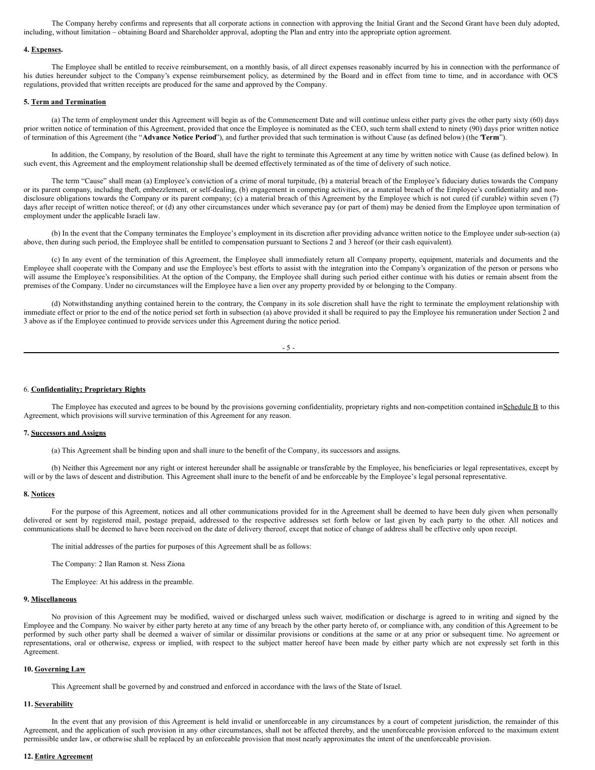The Company hereby confirms and represents that all corporate actions in connection with approving the Initial Grant and the Second Grant have been duly adopted, including, without limitation – obtaining Board and Shareholder approval, adopting the Plan and entry into the appropriate option agreement.

#### **4. Expenses.**

The Employee shall be entitled to receive reimbursement, on a monthly basis, of all direct expenses reasonably incurred by his in connection with the performance of his duties hereunder subject to the Company's expense reimbursement policy, as determined by the Board and in effect from time to time, and in accordance with OCS regulations, provided that written receipts are produced for the same and approved by the Company.

### **5. Term and Termination**

(a) The term of employment under this Agreement will begin as of the Commencement Date and will continue unless either party gives the other party sixty (60) days prior written notice of termination of this Agreement, provided that once the Employee is nominated as the CEO, such term shall extend to ninety (90) days prior written notice of termination of this Agreement (the "**Advance Notice Period**"), and further provided that such termination is without Cause (as defined below) (the "**Term**").

In addition, the Company, by resolution of the Board, shall have the right to terminate this Agreement at any time by written notice with Cause (as defined below). In such event, this Agreement and the employment relationship shall be deemed effectively terminated as of the time of delivery of such notice.

The term "Cause" shall mean (a) Employee's conviction of a crime of moral turpitude, (b) a material breach of the Employee's fiduciary duties towards the Company or its parent company, including theft, embezzlement, or self-dealing, (b) engagement in competing activities, or a material breach of the Employee's confidentiality and nondisclosure obligations towards the Company or its parent company; (c) a material breach of this Agreement by the Employee which is not cured (if curable) within seven (7) days after receipt of written notice thereof; or (d) any other circumstances under which severance pay (or part of them) may be denied from the Employee upon termination of employment under the applicable Israeli law.

(b) In the event that the Company terminates the Employee's employment in its discretion after providing advance written notice to the Employee under sub-section (a) above, then during such period, the Employee shall be entitled to compensation pursuant to Sections 2 and 3 hereof (or their cash equivalent).

(c) In any event of the termination of this Agreement, the Employee shall immediately return all Company property, equipment, materials and documents and the Employee shall cooperate with the Company and use the Employee's best efforts to assist with the integration into the Company's organization of the person or persons who will assume the Employee's responsibilities. At the option of the Company, the Employee shall during such period either continue with his duties or remain absent from the premises of the Company. Under no circumstances will the Employee have a lien over any property provided by or belonging to the Company.

(d) Notwithstanding anything contained herein to the contrary, the Company in its sole discretion shall have the right to terminate the employment relationship with immediate effect or prior to the end of the notice period set forth in subsection (a) above provided it shall be required to pay the Employee his remuneration under Section 2 and 3 above as if the Employee continued to provide services under this Agreement during the notice period.

$$
-5 -
$$

#### 6. **Confidentiality; Proprietary Rights**

The Employee has executed and agrees to be bound by the provisions governing confidentiality, proprietary rights and non-competition contained in Schedule B to this Agreement, which provisions will survive termination of this Agreement for any reason.

### **7. Successors and Assigns**

(a) This Agreement shall be binding upon and shall inure to the benefit of the Company, its successors and assigns.

(b) Neither this Agreement nor any right or interest hereunder shall be assignable or transferable by the Employee, his beneficiaries or legal representatives, except by will or by the laws of descent and distribution. This Agreement shall inure to the benefit of and be enforceable by the Employee's legal personal representative.

#### **8. Notices**

For the purpose of this Agreement, notices and all other communications provided for in the Agreement shall be deemed to have been duly given when personally delivered or sent by registered mail, postage prepaid, addressed to the respective addresses set forth below or last given by each party to the other. All notices and communications shall be deemed to have been received on the date of delivery thereof, except that notice of change of address shall be effective only upon receipt.

The initial addresses of the parties for purposes of this Agreement shall be as follows:

The Company: 2 Ilan Ramon st. Ness Ziona

The Employee: At his address in the preamble.

### **9. Miscellaneous**

No provision of this Agreement may be modified, waived or discharged unless such waiver, modification or discharge is agreed to in writing and signed by the Employee and the Company. No waiver by either party hereto at any time of any breach by the other party hereto of, or compliance with, any condition of this Agreement to be performed by such other party shall be deemed a waiver of similar or dissimilar provisions or conditions at the same or at any prior or subsequent time. No agreement or representations, oral or otherwise, express or implied, with respect to the subject matter hereof have been made by either party which are not expressly set forth in this Agreement.

# **10. Governing Law**

This Agreement shall be governed by and construed and enforced in accordance with the laws of the State of Israel.

# **11. Severability**

In the event that any provision of this Agreement is held invalid or unenforceable in any circumstances by a court of competent jurisdiction, the remainder of this Agreement, and the application of such provision in any other circumstances, shall not be affected thereby, and the unenforceable provision enforced to the maximum extent permissible under law, or otherwise shall be replaced by an enforceable provision that most nearly approximates the intent of the unenforceable provision.

### **12. Entire Agreement**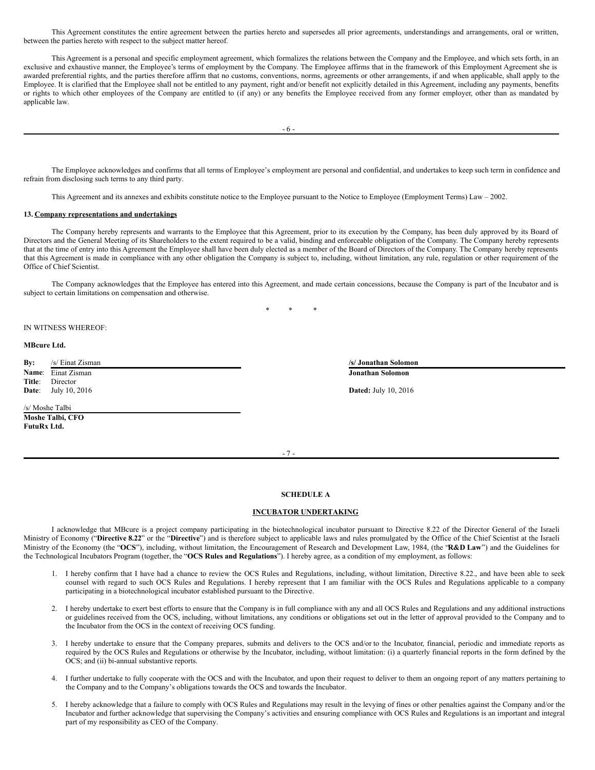<span id="page-14-0"></span>This Agreement constitutes the entire agreement between the parties hereto and supersedes all prior agreements, understandings and arrangements, oral or written, between the parties hereto with respect to the subject matter hereof.

This Agreement is a personal and specific employment agreement, which formalizes the relations between the Company and the Employee, and which sets forth, in an exclusive and exhaustive manner, the Employee's terms of employment by the Company. The Employee affirms that in the framework of this Employment Agreement she is awarded preferential rights, and the parties therefore affirm that no customs, conventions, norms, agreements or other arrangements, if and when applicable, shall apply to the Employee. It is clarified that the Employee shall not be entitled to any payment, right and/or benefit not explicitly detailed in this Agreement, including any payments, benefits or rights to which other employees of the Company are entitled to (if any) or any benefits the Employee received from any former employer, other than as mandated by applicable law.

The Employee acknowledges and confirms that all terms of Employee's employment are personal and confidential, and undertakes to keep such term in confidence and refrain from disclosing such terms to any third party.

This Agreement and its annexes and exhibits constitute notice to the Employee pursuant to the Notice to Employee (Employment Terms) Law - 2002.

### **13. Company representations and undertakings**

The Company hereby represents and warrants to the Employee that this Agreement, prior to its execution by the Company, has been duly approved by its Board of Directors and the General Meeting of its Shareholders to the extent required to be a valid, binding and enforceable obligation of the Company. The Company hereby represents that at the time of entry into this Agreement the Employee shall have been duly elected as a member of the Board of Directors of the Company. The Company hereby represents that this Agreement is made in compliance with any other obligation the Company is subject to, including, without limitation, any rule, regulation or other requirement of the Office of Chief Scientist.

The Company acknowledges that the Employee has entered into this Agreement, and made certain concessions, because the Company is part of the Incubator and is subject to certain limitations on compensation and otherwise.

\* \* \*

IN WITNESS WHEREOF:

### **MBcure Ltd.**

**By:** /s/ Einat Zisman **/s/ Jonathan Solomon Name**: Einat Zisman **Jonathan Solomon Title**: Director **Date:** July 10, 2016 **Dated:** July 10, 2016

/s/ Moshe Talbi

**Moshe Talbi, CFO FutuRx Ltd.**

- 7

#### **SCHEDULE A**

# **INCUBATOR UNDERTAKING**

I acknowledge that MBcure is a project company participating in the biotechnological incubator pursuant to Directive 8.22 of the Director General of the Israeli Ministry of Economy ("**Directive 8.22**" or the "**Directive**") and is therefore subject to applicable laws and rules promulgated by the Office of the Chief Scientist at the Israeli Ministry of the Economy (the "**OCS**"), including, without limitation, the Encouragement of Research and Development Law, 1984, (the "**R&D Law**") and the Guidelines for the Technological Incubators Program (together, the "**OCS Rules and Regulations**"). I hereby agree, as a condition of my employment, as follows:

- 1. I hereby confirm that I have had a chance to review the OCS Rules and Regulations, including, without limitation, Directive 8.22., and have been able to seek counsel with regard to such OCS Rules and Regulations. I hereby represent that I am familiar with the OCS Rules and Regulations applicable to a company participating in a biotechnological incubator established pursuant to the Directive.
- 2. I hereby undertake to exert best efforts to ensure that the Company is in full compliance with any and all OCS Rules and Regulations and any additional instructions or guidelines received from the OCS, including, without limitations, any conditions or obligations set out in the letter of approval provided to the Company and to the Incubator from the OCS in the context of receiving OCS funding.
- 3. I hereby undertake to ensure that the Company prepares, submits and delivers to the OCS and/or to the Incubator, financial, periodic and immediate reports as required by the OCS Rules and Regulations or otherwise by the Incubator, including, without limitation: (i) a quarterly financial reports in the form defined by the OCS; and (ii) bi-annual substantive reports.
- 4. I further undertake to fully cooperate with the OCS and with the Incubator, and upon their request to deliver to them an ongoing report of any matters pertaining to the Company and to the Company's obligations towards the OCS and towards the Incubator.
- 5. I hereby acknowledge that a failure to comply with OCS Rules and Regulations may result in the levying of fines or other penalties against the Company and/or the Incubator and further acknowledge that supervising the Company's activities and ensuring compliance with OCS Rules and Regulations is an important and integral part of my responsibility as CEO of the Company.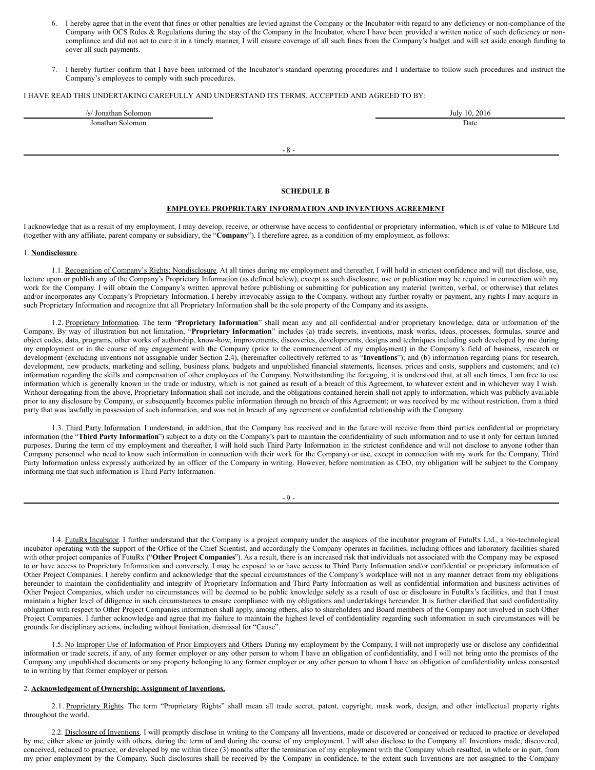- 6. I hereby agree that in the event that fines or other penalties are levied against the Company or the Incubator with regard to any deficiency or non-compliance of the Company with OCS Rules & Regulations during the stay of the Company in the Incubator, where I have been provided a written notice of such deficiency or noncompliance and did not act to cure it in a timely manner, I will ensure coverage of all such fines from the Company's budget and will set aside enough funding to cover all such payments.
- 7. I hereby further confirm that I have been informed of the Incubator's standard operating procedures and I undertake to follow such procedures and instruct the Company's employees to comply with such procedures.

I HAVE READ THIS UNDERTAKING CAREFULLY AND UNDERSTAND ITS TERMS. ACCEPTED AND AGREED TO BY:

 $\frac{1}{s}$  Jonathan Solomon July 10, 2016 **Jonathan Solomon** Date

- 8 -

## **SCHEDULE B**

## **EMPLOYEE PROPRIETARY INFORMATION AND INVENTIONS AGREEMENT**

I acknowledge that as a result of my employment, I may develop, receive, or otherwise have access to confidential or proprietary information, which is of value to MBcure Ltd (together with any affiliate, parent company or subsidiary, the "**Company**"). I therefore agree, as a condition of my employment, as follows:

### 1. **Nondisclosure**.

1.1. Recognition of Company's Rights; Nondisclosure. At all times during my employment and thereafter, I will hold in strictest confidence and will not disclose, use, lecture upon or publish any of the Company's Proprietary Information (as defined below), except as such disclosure, use or publication may be required in connection with my work for the Company. I will obtain the Company's written approval before publishing or submitting for publication any material (written, verbal, or otherwise) that relates and/or incorporates any Company's Proprietary Information. I hereby irrevocably assign to the Company, without any further royalty or payment, any rights I may acquire in such Proprietary Information and recognize that all Proprietary Information shall be the sole property of the Company and its assigns.

1.2. Proprietary Information. The term "**Proprietary Information**" shall mean any and all confidential and/or proprietary knowledge, data or information of the Company. By way of illustration but not limitation, "**Proprietary Information**" includes (a) trade secrets, inventions, mask works, ideas, processes, formulas, source and object codes, data, programs, other works of authorship, know-how, improvements, discoveries, developments, designs and techniques including such developed by me during my employment or in the course of my engagement with the Company (prior to the commencement of my employment) in the Company's field of business, research or development (excluding inventions not assignable under Section 2.4), (hereinafter collectively referred to as "**Inventions**"); and (b) information regarding plans for research, development, new products, marketing and selling, business plans, budgets and unpublished financial statements, licenses, prices and costs, suppliers and customers; and (c) information regarding the skills and compensation of other employees of the Company. Notwithstanding the foregoing, it is understood that, at all such times, I am free to use information which is generally known in the trade or industry, which is not gained as result of a breach of this Agreement, to whatever extent and in whichever way I wish. Without derogating from the above, Proprietary Information shall not include, and the obligations contained herein shall not apply to information, which was publicly available prior to any disclosure by Company, or subsequently becomes public information through no breach of this Agreement; or was received by me without restriction, from a third party that was lawfully in possession of such information, and was not in breach of any agreement or confidential relationship with the Company.

1.3. Third Party Information. I understand, in addition, that the Company has received and in the future will receive from third parties confidential or proprietary information (the "**Third Party Information**") subject to a duty on the Company's part to maintain the confidentiality of such information and to use it only for certain limited purposes. During the term of my employment and thereafter, I will hold such Third Party Information in the strictest confidence and will not disclose to anyone (other than Company personnel who need to know such information in connection with their work for the Company) or use, except in connection with my work for the Company, Third Party Information unless expressly authorized by an officer of the Company in writing. However, before nomination as CEO, my obligation will be subject to the Company informing me that such information is Third Party Information.

| _<br>-<br>ł<br>۰.<br>v |
|------------------------|
|------------------------|

1.4. FutuRx Incubator. I further understand that the Company is a project company under the auspices of the incubator program of FutuRx Ltd., a bio-technological incubator operating with the support of the Office of the Chief Scientist, and accordingly the Company operates in facilities, including offices and laboratory facilities shared with other project companies of FutuRx ("**Other Project Companies**"). As a result, there is an increased risk that individuals not associated with the Company may be exposed to or have access to Proprietary Information and conversely, I may be exposed to or have access to Third Party Information and/or confidential or proprietary information of Other Project Companies. I hereby confirm and acknowledge that the special circumstances of the Company's workplace will not in any manner detract from my obligations hereunder to maintain the confidentiality and integrity of Proprietary Information and Third Party Information as well as confidential information and business activities of Other Project Companies, which under no circumstances will be deemed to be public knowledge solely as a result of use or disclosure in FutuRx's facilities, and that I must maintain a higher level of diligence in such circumstances to ensure compliance with my obligations and undertakings hereunder. It is further clarified that said confidentiality obligation with respect to Other Project Companies information shall apply, among others, also to shareholders and Board members of the Company not involved in such Other Project Companies. I further acknowledge and agree that my failure to maintain the highest level of confidentiality regarding such information in such circumstances will be grounds for disciplinary actions, including without limitation, dismissal for "Cause".

1.5. No Improper Use of Information of Prior Employers and Others. During my employment by the Company, I will not improperly use or disclose any confidential information or trade secrets, if any, of any former employer or any other person to whom I have an obligation of confidentiality, and I will not bring onto the premises of the Company any unpublished documents or any property belonging to any former employer or any other person to whom I have an obligation of confidentiality unless consented to in writing by that former employer or person.

### 2. **Acknowledgement of Ownership; Assignment of Inventions.**

2.1. Proprietary Rights. The term "Proprietary Rights" shall mean all trade secret, patent, copyright, mask work, design, and other intellectual property rights throughout the world.

2.2. Disclosure of Inventions. I will promptly disclose in writing to the Company all Inventions, made or discovered or conceived or reduced to practice or developed by me, either alone or jointly with others, during the term of and during the course of my employment. I will also disclose to the Company all Inventions made, discovered, conceived, reduced to practice, or developed by me within three (3) months after the termination of my employment with the Company which resulted, in whole or in part, from my prior employment by the Company. Such disclosures shall be received by the Company in confidence, to the extent such Inventions are not assigned to the Company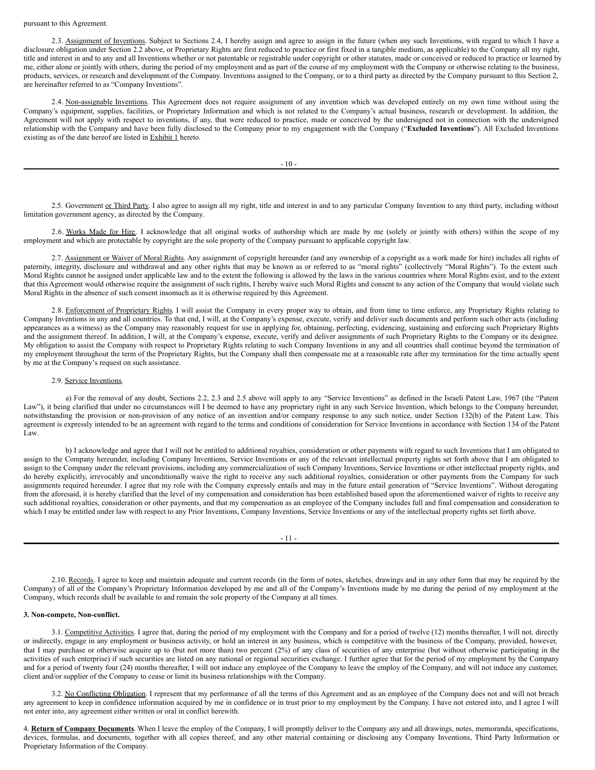pursuant to this Agreement.

2.3. Assignment of Inventions. Subject to Sections 2.4, I hereby assign and agree to assign in the future (when any such Inventions, with regard to which I have a disclosure obligation under Section 2.2 above, or Proprietary Rights are first reduced to practice or first fixed in a tangible medium, as applicable) to the Company all my right, title and interest in and to any and all Inventions whether or not patentable or registrable under copyright or other statutes, made or conceived or reduced to practice or learned by me, either alone or jointly with others, during the period of my employment and as part of the course of my employment with the Company or otherwise relating to the business, products, services, or research and development of the Company. Inventions assigned to the Company, or to a third party as directed by the Company pursuant to this Section 2, are hereinafter referred to as "Company Inventions".

2.4. Non-assignable Inventions. This Agreement does not require assignment of any invention which was developed entirely on my own time without using the Company's equipment, supplies, facilities, or Proprietary Information and which is not related to the Company's actual business, research or development. In addition, the Agreement will not apply with respect to inventions, if any, that were reduced to practice, made or conceived by the undersigned not in connection with the undersigned relationship with the Company and have been fully disclosed to the Company prior to my engagement with the Company ("**Excluded Inventions**"). All Excluded Inventions existing as of the date hereof are listed in **Exhibit 1** hereto.

 $-10-$ 

2.5. Government or Third Party. I also agree to assign all my right, title and interest in and to any particular Company Invention to any third party, including without limitation government agency, as directed by the Company.

2.6. Works Made for Hire. I acknowledge that all original works of authorship which are made by me (solely or jointly with others) within the scope of my employment and which are protectable by copyright are the sole property of the Company pursuant to applicable copyright law.

2.7. Assignment or Waiver of Moral Rights. Any assignment of copyright hereunder (and any ownership of a copyright as a work made for hire) includes all rights of paternity, integrity, disclosure and withdrawal and any other rights that may be known as or referred to as "moral rights" (collectively "Moral Rights"). To the extent such Moral Rights cannot be assigned under applicable law and to the extent the following is allowed by the laws in the various countries where Moral Rights exist, and to the extent that this Agreement would otherwise require the assignment of such rights, I hereby waive such Moral Rights and consent to any action of the Company that would violate such Moral Rights in the absence of such consent insomuch as it is otherwise required by this Agreement.

2.8. Enforcement of Proprietary Rights. I will assist the Company in every proper way to obtain, and from time to time enforce, any Proprietary Rights relating to Company Inventions in any and all countries. To that end, I will, at the Company's expense, execute, verify and deliver such documents and perform such other acts (including appearances as a witness) as the Company may reasonably request for use in applying for, obtaining, perfecting, evidencing, sustaining and enforcing such Proprietary Rights and the assignment thereof. In addition, I will, at the Company's expense, execute, verify and deliver assignments of such Proprietary Rights to the Company or its designee. My obligation to assist the Company with respect to Proprietary Rights relating to such Company Inventions in any and all countries shall continue beyond the termination of my employment throughout the term of the Proprietary Rights, but the Company shall then compensate me at a reasonable rate after my termination for the time actually spent by me at the Company's request on such assistance.

# 2.9. Service Inventions.

a) For the removal of any doubt, Sections 2.2, 2.3 and 2.5 above will apply to any "Service Inventions" as defined in the Israeli Patent Law, 1967 (the "Patent Law"), it being clarified that under no circumstances will I be deemed to have any proprietary right in any such Service Invention, which belongs to the Company hereunder, notwithstanding the provision or non-provision of any notice of an invention and/or company response to any such notice, under Section 132(b) of the Patent Law. This agreement is expressly intended to be an agreement with regard to the terms and conditions of consideration for Service Inventions in accordance with Section 134 of the Patent Law.

b) I acknowledge and agree that I will not be entitled to additional royalties, consideration or other payments with regard to such Inventions that I am obligated to assign to the Company hereunder, including Company Inventions, Service Inventions or any of the relevant intellectual property rights set forth above that I am obligated to assign to the Company under the relevant provisions, including any commercialization of such Company Inventions, Service Inventions or other intellectual property rights, and do hereby explicitly, irrevocably and unconditionally waive the right to receive any such additional royalties, consideration or other payments from the Company for such assignments required hereunder. I agree that my role with the Company expressly entails and may in the future entail generation of "Service Inventions". Without derogating from the aforesaid, it is hereby clarified that the level of my compensation and consideration has been established based upon the aforementioned waiver of rights to receive any such additional royalties, consideration or other payments, and that my compensation as an employee of the Company includes full and final compensation and consideration to which I may be entitled under law with respect to any Prior Inventions, Company Inventions, Service Inventions or any of the intellectual property rights set forth above.

- 11 -

2.10. Records. I agree to keep and maintain adequate and current records (in the form of notes, sketches, drawings and in any other form that may be required by the Company) of all of the Company's Proprietary Information developed by me and all of the Company's Inventions made by me during the period of my employment at the Company, which records shall be available to and remain the sole property of the Company at all times.

#### **3. Non-compete, Non-conflict.**

3.1. Competitive Activities. I agree that, during the period of my employment with the Company and for a period of twelve (12) months thereafter, I will not, directly or indirectly, engage in any employment or business activity, or hold an interest in any business, which is competitive with the business of the Company, provided, however, that I may purchase or otherwise acquire up to (but not more than) two percent (2%) of any class of securities of any enterprise (but without otherwise participating in the activities of such enterprise) if such securities are listed on any national or regional securities exchange. I further agree that for the period of my employment by the Company and for a period of twenty four (24) months thereafter, I will not induce any employee of the Company to leave the employ of the Company, and will not induce any customer, client and/or supplier of the Company to cease or limit its business relationships with the Company.

3.2. No Conflicting Obligation. I represent that my performance of all the terms of this Agreement and as an employee of the Company does not and will not breach any agreement to keep in confidence information acquired by me in confidence or in trust prior to my employment by the Company. I have not entered into, and I agree I will not enter into, any agreement either written or oral in conflict herewith.

4. **Return of Company Documents**. When I leave the employ of the Company, I will promptly deliver to the Company any and all drawings, notes, memoranda, specifications, devices, formulas, and documents, together with all copies thereof, and any other material containing or disclosing any Company Inventions, Third Party Information or Proprietary Information of the Company.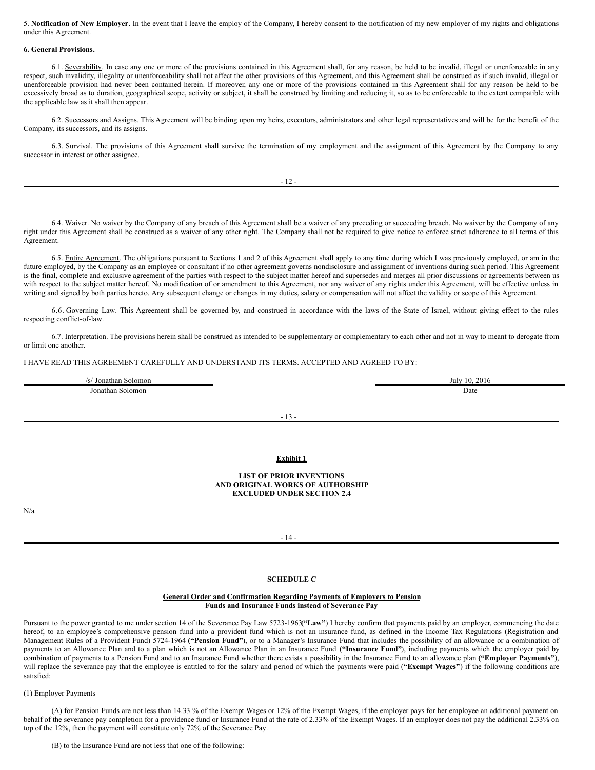5. **Notification of New Employer**. In the event that I leave the employ of the Company, I hereby consent to the notification of my new employer of my rights and obligations under this Agreement.

# **6. General Provisions.**

6.1. Severability. In case any one or more of the provisions contained in this Agreement shall, for any reason, be held to be invalid, illegal or unenforceable in any respect, such invalidity, illegality or unenforceability shall not affect the other provisions of this Agreement, and this Agreement shall be construed as if such invalid, illegal or unenforceable provision had never been contained herein. If moreover, any one or more of the provisions contained in this Agreement shall for any reason be held to be excessively broad as to duration, geographical scope, activity or subject, it shall be construed by limiting and reducing it, so as to be enforceable to the extent compatible with the applicable law as it shall then appear.

6.2. Successors and Assigns. This Agreement will be binding upon my heirs, executors, administrators and other legal representatives and will be for the benefit of the Company, its successors, and its assigns.

6.3. Survival. The provisions of this Agreement shall survive the termination of my employment and the assignment of this Agreement by the Company to any successor in interest or other assignee.

 $-12-$ 

6.4. Waiver. No waiver by the Company of any breach of this Agreement shall be a waiver of any preceding or succeeding breach. No waiver by the Company of any right under this Agreement shall be construed as a waiver of any other right. The Company shall not be required to give notice to enforce strict adherence to all terms of this Agreement.

6.5. Entire Agreement. The obligations pursuant to Sections 1 and 2 of this Agreement shall apply to any time during which I was previously employed, or am in the future employed, by the Company as an employee or consultant if no other agreement governs nondisclosure and assignment of inventions during such period. This Agreement is the final, complete and exclusive agreement of the parties with respect to the subject matter hereof and supersedes and merges all prior discussions or agreements between us with respect to the subject matter hereof. No modification of or amendment to this Agreement, nor any waiver of any rights under this Agreement, will be effective unless in writing and signed by both parties hereto. Any subsequent change or changes in my duties, salary or compensation will not affect the validity or scope of this Agreement.

6.6. Governing Law. This Agreement shall be governed by, and construed in accordance with the laws of the State of Israel, without giving effect to the rules respecting conflict-of-law.

6.7. Interpretation. The provisions herein shall be construed as intended to be supplementary or complementary to each other and not in way to meant to derogate from or limit one another.

I HAVE READ THIS AGREEMENT CAREFULLY AND UNDERSTAND ITS TERMS. ACCEPTED AND AGREED TO BY:

/s/ Jonathan Solomon July 10, 2016 Jonathan Solomon Date

- 13 -

### **Exhibit 1**

# **LIST OF PRIOR INVENTIONS AND ORIGINAL WORKS OF AUTHORSHIP EXCLUDED UNDER SECTION 2.4**

N/a

- 14 -

#### **SCHEDULE C**

### **General Order and Confirmation Regarding Payments of Employers to Pension Funds and Insurance Funds instead of Severance Pay**

Pursuant to the power granted to me under section 14 of the Severance Pay Law 5723-1963**("Law"**) I hereby confirm that payments paid by an employer, commencing the date hereof, to an employee's comprehensive pension fund into a provident fund which is not an insurance fund, as defined in the Income Tax Regulations (Registration and Management Rules of a Provident Fund) 5724-1964 **("Pension Fund"**), or to a Manager's Insurance Fund that includes the possibility of an allowance or a combination of payments to an Allowance Plan and to a plan which is not an Allowance Plan in an Insurance Fund **("Insurance Fund"**), including payments which the employer paid by combination of payments to a Pension Fund and to an Insurance Fund whether there exists a possibility in the Insurance Fund to an allowance plan **("Employer Payments"**), will replace the severance pay that the employee is entitled to for the salary and period of which the payments were paid (**"Exempt Wages"**) if the following conditions are satisfied:

(1) Employer Payments –

(A) for Pension Funds are not less than 14.33 % of the Exempt Wages or 12% of the Exempt Wages, if the employer pays for her employee an additional payment on behalf of the severance pay completion for a providence fund or Insurance Fund at the rate of 2.33% of the Exempt Wages. If an employer does not pay the additional 2.33% on top of the 12%, then the payment will constitute only 72% of the Severance Pay.

(B) to the Insurance Fund are not less that one of the following: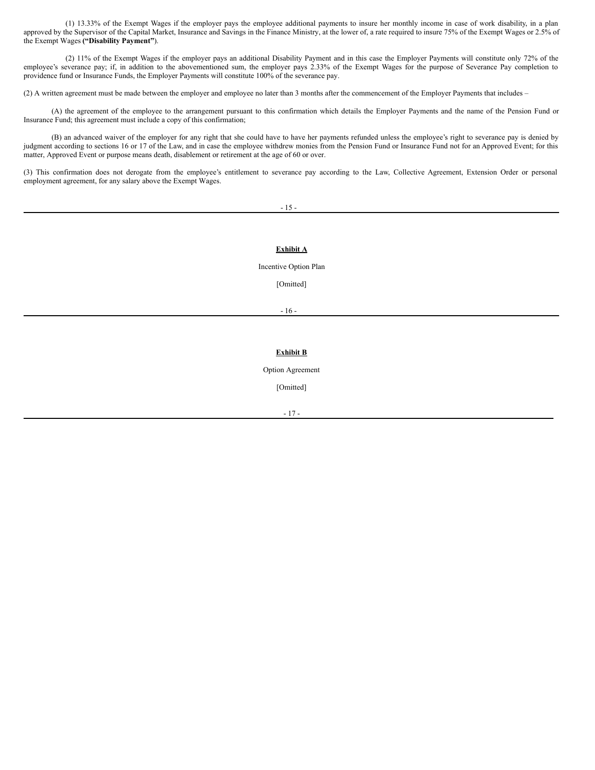(1) 13.33% of the Exempt Wages if the employer pays the employee additional payments to insure her monthly income in case of work disability, in a plan approved by the Supervisor of the Capital Market, Insurance and Savings in the Finance Ministry, at the lower of, a rate required to insure 75% of the Exempt Wages or 2.5% of the Exempt Wages **("Disability Payment"**).

(2) 11% of the Exempt Wages if the employer pays an additional Disability Payment and in this case the Employer Payments will constitute only 72% of the employee's severance pay; if, in addition to the abovementioned sum, the employer pays 2.33% of the Exempt Wages for the purpose of Severance Pay completion to providence fund or Insurance Funds, the Employer Payments will constitute 100% of the severance pay.

(2) A written agreement must be made between the employer and employee no later than 3 months after the commencement of the Employer Payments that includes –

(A) the agreement of the employee to the arrangement pursuant to this confirmation which details the Employer Payments and the name of the Pension Fund or Insurance Fund; this agreement must include a copy of this confirmation;

(B) an advanced waiver of the employer for any right that she could have to have her payments refunded unless the employee's right to severance pay is denied by judgment according to sections 16 or 17 of the Law, and in case the employee withdrew monies from the Pension Fund or Insurance Fund not for an Approved Event; for this matter, Approved Event or purpose means death, disablement or retirement at the age of 60 or over.

(3) This confirmation does not derogate from the employee's entitlement to severance pay according to the Law, Collective Agreement, Extension Order or personal employment agreement, for any salary above the Exempt Wages.

- 15 -

# **Exhibit A**

Incentive Option Plan

[Omitted]

- 16 -

# **Exhibit B**

Option Agreement

[Omitted]

- 17 -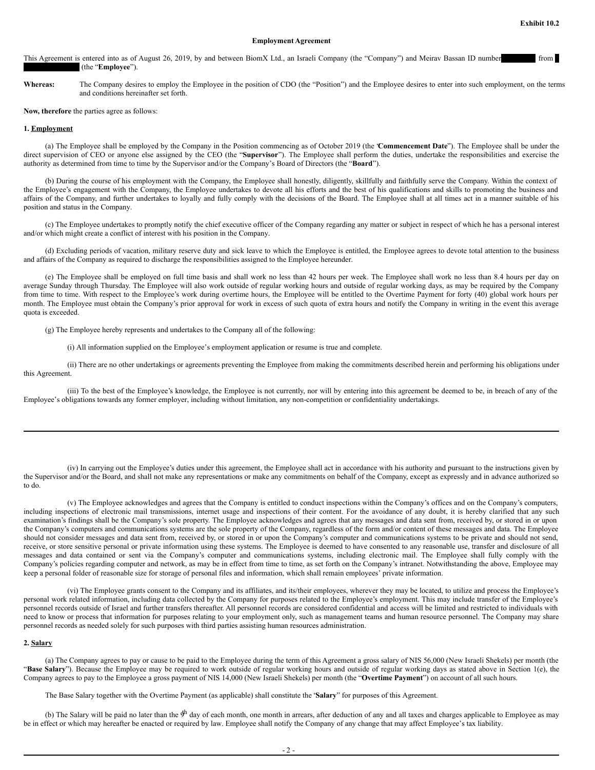### **Employment Agreement**

This Agreement is entered into as of August 26, 2019, by and between BiomX Ltd., an Israeli Company (the "Company") and Meirav Bassan ID number from (the "**Employee**").

Whereas: The Company desires to employ the Employee in the position of CDO (the "Position") and the Employee desires to enter into such employment, on the terms and conditions hereinafter set forth.

**Now, therefore** the parties agree as follows:

# **1. Employment**

(a) The Employee shall be employed by the Company in the Position commencing as of October 2019 (the "**Commencement Date**"). The Employee shall be under the direct supervision of CEO or anyone else assigned by the CEO (the "**Supervisor**"). The Employee shall perform the duties, undertake the responsibilities and exercise the authority as determined from time to time by the Supervisor and/or the Company's Board of Directors (the "**Board**").

(b) During the course of his employment with the Company, the Employee shall honestly, diligently, skillfully and faithfully serve the Company. Within the context of the Employee's engagement with the Company, the Employee undertakes to devote all his efforts and the best of his qualifications and skills to promoting the business and affairs of the Company, and further undertakes to loyally and fully comply with the decisions of the Board. The Employee shall at all times act in a manner suitable of his position and status in the Company.

(c) The Employee undertakes to promptly notify the chief executive officer of the Company regarding any matter or subject in respect of which he has a personal interest and/or which might create a conflict of interest with his position in the Company.

(d) Excluding periods of vacation, military reserve duty and sick leave to which the Employee is entitled, the Employee agrees to devote total attention to the business and affairs of the Company as required to discharge the responsibilities assigned to the Employee hereunder.

(e) The Employee shall be employed on full time basis and shall work no less than 42 hours per week. The Employee shall work no less than 8.4 hours per day on average Sunday through Thursday. The Employee will also work outside of regular working hours and outside of regular working days, as may be required by the Company from time to time. With respect to the Employee's work during overtime hours, the Employee will be entitled to the Overtime Payment for forty (40) global work hours per month. The Employee must obtain the Company's prior approval for work in excess of such quota of extra hours and notify the Company in writing in the event this average quota is exceeded.

(g) The Employee hereby represents and undertakes to the Company all of the following:

(i) All information supplied on the Employee's employment application or resume is true and complete.

(ii) There are no other undertakings or agreements preventing the Employee from making the commitments described herein and performing his obligations under this Agreement.

(iii) To the best of the Employee's knowledge, the Employee is not currently, nor will by entering into this agreement be deemed to be, in breach of any of the Employee's obligations towards any former employer, including without limitation, any non-competition or confidentiality undertakings.

(iv) In carrying out the Employee's duties under this agreement, the Employee shall act in accordance with his authority and pursuant to the instructions given by the Supervisor and/or the Board, and shall not make any representations or make any commitments on behalf of the Company, except as expressly and in advance authorized so to do.

(v) The Employee acknowledges and agrees that the Company is entitled to conduct inspections within the Company's offices and on the Company's computers, including inspections of electronic mail transmissions, internet usage and inspections of their content. For the avoidance of any doubt, it is hereby clarified that any such examination's findings shall be the Company's sole property. The Employee acknowledges and agrees that any messages and data sent from, received by, or stored in or upon the Company's computers and communications systems are the sole property of the Company, regardless of the form and/or content of these messages and data. The Employee should not consider messages and data sent from, received by, or stored in or upon the Company's computer and communications systems to be private and should not send, receive, or store sensitive personal or private information using these systems. The Employee is deemed to have consented to any reasonable use, transfer and disclosure of all messages and data contained or sent via the Company's computer and communications systems, including electronic mail. The Employee shall fully comply with the Company's policies regarding computer and network, as may be in effect from time to time, as set forth on the Company's intranet. Notwithstanding the above, Employee may keep a personal folder of reasonable size for storage of personal files and information, which shall remain employees' private information.

(vi) The Employee grants consent to the Company and its affiliates, and its/their employees, wherever they may be located, to utilize and process the Employee's personal work related information, including data collected by the Company for purposes related to the Employee's employment. This may include transfer of the Employee's personnel records outside of Israel and further transfers thereafter. All personnel records are considered confidential and access will be limited and restricted to individuals with need to know or process that information for purposes relating to your employment only, such as management teams and human resource personnel. The Company may share personnel records as needed solely for such purposes with third parties assisting human resources administration.

#### **2. Salary**

(a) The Company agrees to pay or cause to be paid to the Employee during the term of this Agreement a gross salary of NIS 56,000 (New Israeli Shekels) per month (the "**Base Salary**"). Because the Employee may be required to work outside of regular working hours and outside of regular working days as stated above in Section 1(e), the Company agrees to pay to the Employee a gross payment of NIS 14,000 (New Israeli Shekels) per month (the "**Overtime Payment**") on account of all such hours.

The Base Salary together with the Overtime Payment (as applicable) shall constitute the "**Salary**" for purposes of this Agreement.

(b) The Salary will be paid no later than the  $6<sup>th</sup>$  day of each month, one month in arrears, after deduction of any and all taxes and charges applicable to Employee as may be in effect or which may hereafter be enacted or required by law. Employee shall notify the Company of any change that may affect Employee's tax liability.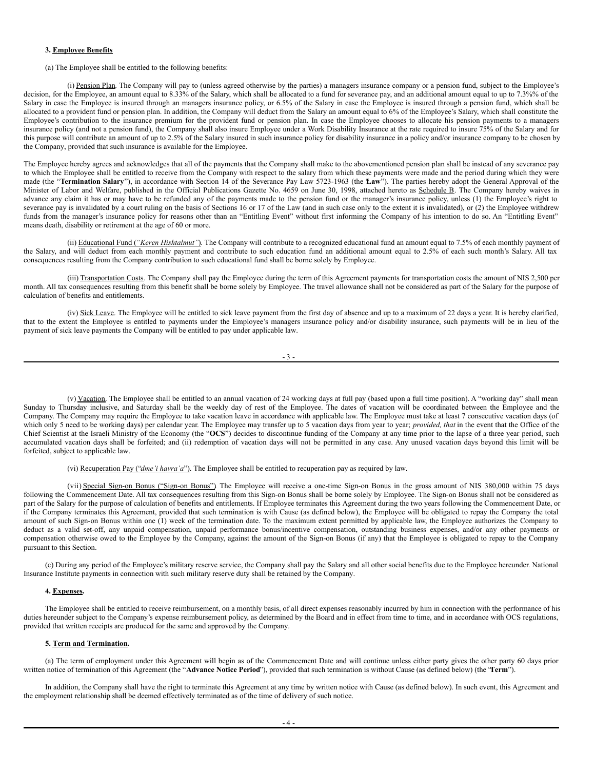## **3. Employee Benefits**

(a) The Employee shall be entitled to the following benefits:

(i) Pension Plan. The Company will pay to (unless agreed otherwise by the parties) a managers insurance company or a pension fund, subject to the Employee's decision, for the Employee, an amount equal to 8.33% of the Salary, which shall be allocated to a fund for severance pay, and an additional amount equal to up to 7.3%% of the Salary in case the Employee is insured through an managers insurance policy, or 6.5% of the Salary in case the Employee is insured through a pension fund, which shall be allocated to a provident fund or pension plan. In addition, the Company will deduct from the Salary an amount equal to  $6\%$  of the Employee's Salary, which shall constitute the Employee's contribution to the insurance premium for the provident fund or pension plan. In case the Employee chooses to allocate his pension payments to a managers insurance policy (and not a pension fund), the Company shall also insure Employee under a Work Disability Insurance at the rate required to insure 75% of the Salary and for this purpose will contribute an amount of up to 2.5% of the Salary insured in such insurance policy for disability insurance in a policy and/or insurance company to be chosen by the Company, provided that such insurance is available for the Employee.

The Employee hereby agrees and acknowledges that all of the payments that the Company shall make to the abovementioned pension plan shall be instead of any severance pay to which the Employee shall be entitled to receive from the Company with respect to the salary from which these payments were made and the period during which they were made (the "**Termination Salary**"), in accordance with Section 14 of the Severance Pay Law 5723-1963 (the **Law**"). The parties hereby adopt the General Approval of the Minister of Labor and Welfare, published in the Official Publications Gazette No. 4659 on June 30, 1998, attached hereto as Schedule B. The Company hereby waives in advance any claim it has or may have to be refunded any of the payments made to the pension fund or the manager's insurance policy, unless (1) the Employee's right to severance pay is invalidated by a court ruling on the basis of Sections 16 or 17 of the Law (and in such case only to the extent it is invalidated), or (2) the Employee withdrew funds from the manager's insurance policy for reasons other than an "Entitling Event" without first informing the Company of his intention to do so. An "Entitling Event" means death, disability or retirement at the age of 60 or more.

(ii) Educational Fund (*"Keren Hishtalmut"*). The Company will contribute to a recognized educational fund an amount equal to 7.5% of each monthly payment of the Salary, and will deduct from each monthly payment and contribute to such education fund an additional amount equal to 2.5% of each such month's Salary. All tax consequences resulting from the Company contribution to such educational fund shall be borne solely by Employee.

(iii) Transportation Costs. The Company shall pay the Employee during the term of this Agreement payments for transportation costs the amount of NIS 2,500 per month. All tax consequences resulting from this benefit shall be borne solely by Employee. The travel allowance shall not be considered as part of the Salary for the purpose of calculation of benefits and entitlements.

(iv) Sick Leave. The Employee will be entitled to sick leave payment from the first day of absence and up to a maximum of 22 days a year. It is hereby clarified, that to the extent the Employee is entitled to payments under the Employee's managers insurance policy and/or disability insurance, such payments will be in lieu of the payment of sick leave payments the Company will be entitled to pay under applicable law.

- 3 -

(v) Vacation. The Employee shall be entitled to an annual vacation of 24 working days at full pay (based upon a full time position). A "working day" shall mean Sunday to Thursday inclusive, and Saturday shall be the weekly day of rest of the Employee. The dates of vacation will be coordinated between the Employee and the Company. The Company may require the Employee to take vacation leave in accordance with applicable law. The Employee must take at least 7 consecutive vacation days (of which only 5 need to be working days) per calendar year. The Employee may transfer up to 5 vacation days from year to year; *provided, that* in the event that the Office of the Chief Scientist at the Israeli Ministry of the Economy (the "**OCS**") decides to discontinue funding of the Company at any time prior to the lapse of a three year period, such accumulated vacation days shall be forfeited; and (ii) redemption of vacation days will not be permitted in any case. Any unused vacation days beyond this limit will be forfeited, subject to applicable law.

(vi) Recuperation Pay ("*dme'i havra'a*"). The Employee shall be entitled to recuperation pay as required by law.

(vii) Special Sign-on Bonus ("Sign-on Bonus"). The Employee will receive a one-time Sign-on Bonus in the gross amount of NIS 380,000 within 75 days following the Commencement Date. All tax consequences resulting from this Sign-on Bonus shall be borne solely by Employee. The Sign-on Bonus shall not be considered as part of the Salary for the purpose of calculation of benefits and entitlements. If Employee terminates this Agreement during the two years following the Commencement Date, or if the Company terminates this Agreement, provided that such termination is with Cause (as defined below), the Employee will be obligated to repay the Company the total amount of such Sign-on Bonus within one (1) week of the termination date. To the maximum extent permitted by applicable law, the Employee authorizes the Company to deduct as a valid set-off, any unpaid compensation, unpaid performance bonus/incentive compensation, outstanding business expenses, and/or any other payments or compensation otherwise owed to the Employee by the Company, against the amount of the Sign-on Bonus (if any) that the Employee is obligated to repay to the Company pursuant to this Section.

(c) During any period of the Employee's military reserve service, the Company shall pay the Salary and all other social benefits due to the Employee hereunder. National Insurance Institute payments in connection with such military reserve duty shall be retained by the Company.

## **4. Expenses.**

The Employee shall be entitled to receive reimbursement, on a monthly basis, of all direct expenses reasonably incurred by him in connection with the performance of his duties hereunder subject to the Company's expense reimbursement policy, as determined by the Board and in effect from time to time, and in accordance with OCS regulations, provided that written receipts are produced for the same and approved by the Company.

# **5. Term and Termination.**

(a) The term of employment under this Agreement will begin as of the Commencement Date and will continue unless either party gives the other party 60 days prior written notice of termination of this Agreement (the "**Advance Notice Period**"), provided that such termination is without Cause (as defined below) (the "**Term**").

In addition, the Company shall have the right to terminate this Agreement at any time by written notice with Cause (as defined below). In such event, this Agreement and the employment relationship shall be deemed effectively terminated as of the time of delivery of such notice.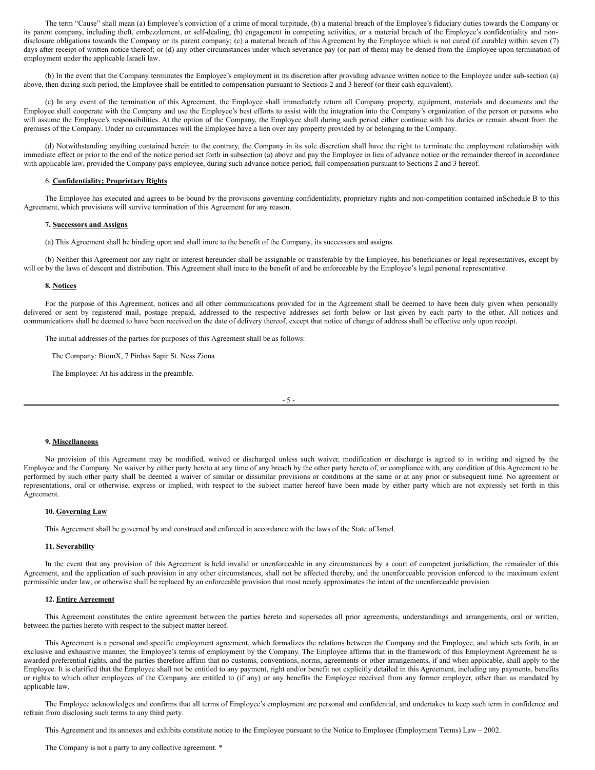<span id="page-21-0"></span>The term "Cause" shall mean (a) Employee's conviction of a crime of moral turpitude, (b) a material breach of the Employee's fiduciary duties towards the Company or its parent company, including theft, embezzlement, or self-dealing, (b) engagement in competing activities, or a material breach of the Employee's confidentiality and nondisclosure obligations towards the Company or its parent company; (c) a material breach of this Agreement by the Employee which is not cured (if curable) within seven (7) days after receipt of written notice thereof; or (d) any other circumstances under which severance pay (or part of them) may be denied from the Employee upon termination of employment under the applicable Israeli law.

(b) In the event that the Company terminates the Employee's employment in its discretion after providing advance written notice to the Employee under sub-section (a) above, then during such period, the Employee shall be entitled to compensation pursuant to Sections 2 and 3 hereof (or their cash equivalent).

(c) In any event of the termination of this Agreement, the Employee shall immediately return all Company property, equipment, materials and documents and the Employee shall cooperate with the Company and use the Employee's best efforts to assist with the integration into the Company's organization of the person or persons who will assume the Employee's responsibilities. At the option of the Company, the Employee shall during such period either continue with his duties or remain absent from the premises of the Company. Under no circumstances will the Employee have a lien over any property provided by or belonging to the Company.

(d) Notwithstanding anything contained herein to the contrary, the Company in its sole discretion shall have the right to terminate the employment relationship with immediate effect or prior to the end of the notice period set forth in subsection (a) above and pay the Employee in lieu of advance notice or the remainder thereof in accordance with applicable law, provided the Company pays employee, during such advance notice period, full compensation pursuant to Sections 2 and 3 hereof.

#### 6. **Confidentiality; Proprietary Rights**

The Employee has executed and agrees to be bound by the provisions governing confidentiality, proprietary rights and non-competition contained in Schedule B to this Agreement, which provisions will survive termination of this Agreement for any reason.

#### **7. Successors and Assigns**

(a) This Agreement shall be binding upon and shall inure to the benefit of the Company, its successors and assigns.

(b) Neither this Agreement nor any right or interest hereunder shall be assignable or transferable by the Employee, his beneficiaries or legal representatives, except by will or by the laws of descent and distribution. This Agreement shall inure to the benefit of and be enforceable by the Employee's legal personal representative.

#### **8. Notices**

For the purpose of this Agreement, notices and all other communications provided for in the Agreement shall be deemed to have been duly given when personally delivered or sent by registered mail, postage prepaid, addressed to the respective addresses set forth below or last given by each party to the other. All notices and communications shall be deemed to have been received on the date of delivery thereof, except that notice of change of address shall be effective only upon receipt.

The initial addresses of the parties for purposes of this Agreement shall be as follows:

The Company: BiomX, 7 Pinhas Sapir St. Ness Ziona

The Employee: At his address in the preamble.

- 5 -

#### **9. Miscellaneous**

No provision of this Agreement may be modified, waived or discharged unless such waiver, modification or discharge is agreed to in writing and signed by the Employee and the Company. No waiver by either party hereto at any time of any breach by the other party hereto of, or compliance with, any condition of this Agreement to be performed by such other party shall be deemed a waiver of similar or dissimilar provisions or conditions at the same or at any prior or subsequent time. No agreement or representations, oral or otherwise, express or implied, with respect to the subject matter hereof have been made by either party which are not expressly set forth in this Agreement.

### **10. Governing Law**

This Agreement shall be governed by and construed and enforced in accordance with the laws of the State of Israel.

### **11. Severability**

In the event that any provision of this Agreement is held invalid or unenforceable in any circumstances by a court of competent jurisdiction, the remainder of this Agreement, and the application of such provision in any other circumstances, shall not be affected thereby, and the unenforceable provision enforced to the maximum extent permissible under law, or otherwise shall be replaced by an enforceable provision that most nearly approximates the intent of the unenforceable provision.

### **12. Entire Agreement**

This Agreement constitutes the entire agreement between the parties hereto and supersedes all prior agreements, understandings and arrangements, oral or written, between the parties hereto with respect to the subject matter hereof.

This Agreement is a personal and specific employment agreement, which formalizes the relations between the Company and the Employee, and which sets forth, in an exclusive and exhaustive manner, the Employee's terms of employment by the Company. The Employee affirms that in the framework of this Employment Agreement he is awarded preferential rights, and the parties therefore affirm that no customs, conventions, norms, agreements or other arrangements, if and when applicable, shall apply to the Employee. It is clarified that the Employee shall not be entitled to any payment, right and/or benefit not explicitly detailed in this Agreement, including any payments, benefits or rights to which other employees of the Company are entitled to (if any) or any benefits the Employee received from any former employer, other than as mandated by applicable law.

The Employee acknowledges and confirms that all terms of Employee's employment are personal and confidential, and undertakes to keep such term in confidence and refrain from disclosing such terms to any third party.

This Agreement and its annexes and exhibits constitute notice to the Employee pursuant to the Notice to Employee (Employment Terms) Law – 2002.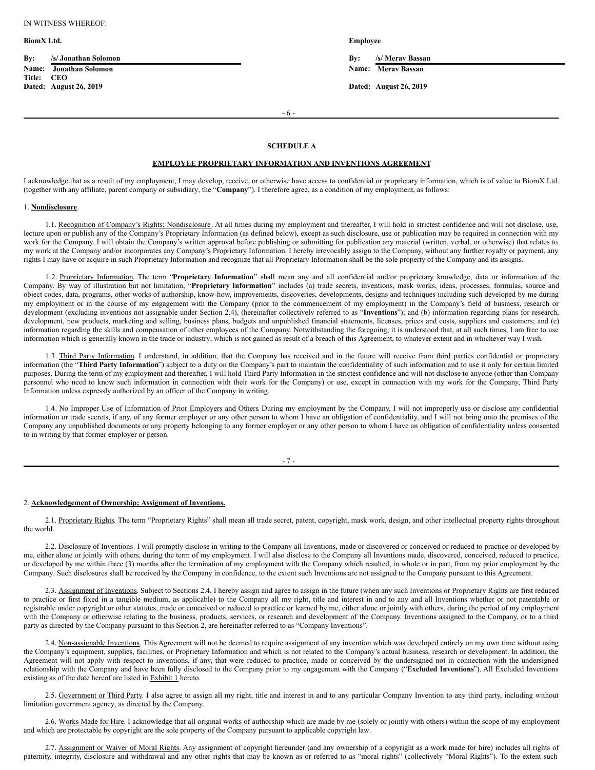#### **BiomX Ltd. Employee**

**By: /s/ Jonathan Solomon By: /s/ Merav Bassan Name: Jonathan Solomon Name: Merav Bassan Title: CEO Dated: August 26, 2019 Dated: August 26, 2019**

- 6 -

### **SCHEDULE A**

### **EMPLOYEE PROPRIETARY INFORMATION AND INVENTIONS AGREEMENT**

I acknowledge that as a result of my employment, I may develop, receive, or otherwise have access to confidential or proprietary information, which is of value to BiomX Ltd. (together with any affiliate, parent company or subsidiary, the "**Company**"). I therefore agree, as a condition of my employment, as follows:

# 1. **Nondisclosure**.

1.1. Recognition of Company's Rights; Nondisclosure. At all times during my employment and thereafter, I will hold in strictest confidence and will not disclose, use, lecture upon or publish any of the Company's Proprietary Information (as defined below), except as such disclosure, use or publication may be required in connection with my work for the Company. I will obtain the Company's written approval before publishing or submitting for publication any material (written, verbal, or otherwise) that relates to my work at the Company and/or incorporates any Company's Proprietary Information. I hereby irrevocably assign to the Company, without any further royalty or payment, any rights I may have or acquire in such Proprietary Information and recognize that all Proprietary Information shall be the sole property of the Company and its assigns.

1.2. Proprietary Information. The term "**Proprietary Information**" shall mean any and all confidential and/or proprietary knowledge, data or information of the Company. By way of illustration but not limitation, "**Proprietary Information**" includes (a) trade secrets, inventions, mask works, ideas, processes, formulas, source and object codes, data, programs, other works of authorship, know-how, improvements, discoveries, developments, designs and techniques including such developed by me during my employment or in the course of my engagement with the Company (prior to the commencement of my employment) in the Company's field of business, research or development (excluding inventions not assignable under Section 2.4), (hereinafter collectively referred to as "**Inventions**"); and (b) information regarding plans for research, development, new products, marketing and selling, business plans, budgets and unpublished financial statements, licenses, prices and costs, suppliers and customers; and (c) information regarding the skills and compensation of other employees of the Company. Notwithstanding the foregoing, it is understood that, at all such times, I am free to use information which is generally known in the trade or industry, which is not gained as result of a breach of this Agreement, to whatever extent and in whichever way I wish.

1.3. Third Party Information. I understand, in addition, that the Company has received and in the future will receive from third parties confidential or proprietary information (the "**Third Party Information**") subject to a duty on the Company's part to maintain the confidentiality of such information and to use it only for certain limited purposes. During the term of my employment and thereafter, I will hold Third Party Information in the strictest confidence and will not disclose to anyone (other than Company personnel who need to know such information in connection with their work for the Company) or use, except in connection with my work for the Company, Third Party Information unless expressly authorized by an officer of the Company in writing.

1.4. No Improper Use of Information of Prior Employers and Others During my employment by the Company, I will not improperly use or disclose any confidential information or trade secrets, if any, of any former employer or any other person to whom I have an obligation of confidentiality, and I will not bring onto the premises of the Company any unpublished documents or any property belonging to any former employer or any other person to whom I have an obligation of confidentiality unless consented to in writing by that former employer or person.

 $-7 -$ 

# 2. **Acknowledgement of Ownership; Assignment of Inventions.**

2.1. Proprietary Rights. The term "Proprietary Rights" shall mean all trade secret, patent, copyright, mask work, design, and other intellectual property rights throughout the world.

2.2. Disclosure of Inventions. I will promptly disclose in writing to the Company all Inventions, made or discovered or conceived or reduced to practice or developed by me, either alone or jointly with others, during the term of my employment. I will also disclose to the Company all Inventions made, discovered, conceived, reduced to practice, or developed by me within three (3) months after the termination of my employment with the Company which resulted, in whole or in part, from my prior employment by the Company. Such disclosures shall be received by the Company in confidence, to the extent such Inventions are not assigned to the Company pursuant to this Agreement.

2.3. Assignment of Inventions. Subject to Sections 2.4, I hereby assign and agree to assign in the future (when any such Inventions or Proprietary Rights are first reduced to practice or first fixed in a tangible medium, as applicable) to the Company all my right, title and interest in and to any and all Inventions whether or not patentable or registrable under copyright or other statutes, made or conceived or reduced to practice or learned by me, either alone or jointly with others, during the period of my employment with the Company or otherwise relating to the business, products, services, or research and development of the Company. Inventions assigned to the Company, or to a third party as directed by the Company pursuant to this Section 2, are hereinafter referred to as "Company Inventions".

2.4. Non-assignable Inventions. This Agreement will not be deemed to require assignment of any invention which was developed entirely on my own time without using the Company's equipment, supplies, facilities, or Proprietary Information and which is not related to the Company's actual business, research or development. In addition, the Agreement will not apply with respect to inventions, if any, that were reduced to practice, made or conceived by the undersigned not in connection with the undersigned relationship with the Company and have been fully disclosed to the Company prior to my engagement with the Company ("**Excluded Inventions**"). All Excluded Inventions existing as of the date hereof are listed in Exhibit 1 hereto.

2.5. Government or Third Party. I also agree to assign all my right, title and interest in and to any particular Company Invention to any third party, including without limitation government agency, as directed by the Company.

2.6. Works Made for Hire. I acknowledge that all original works of authorship which are made by me (solely or jointly with others) within the scope of my employment and which are protectable by copyright are the sole property of the Company pursuant to applicable copyright law.

2.7. Assignment or Waiver of Moral Rights. Any assignment of copyright hereunder (and any ownership of a copyright as a work made for hire) includes all rights of paternity, integrity, disclosure and withdrawal and any other rights that may be known as or referred to as "moral rights" (collectively "Moral Rights"). To the extent such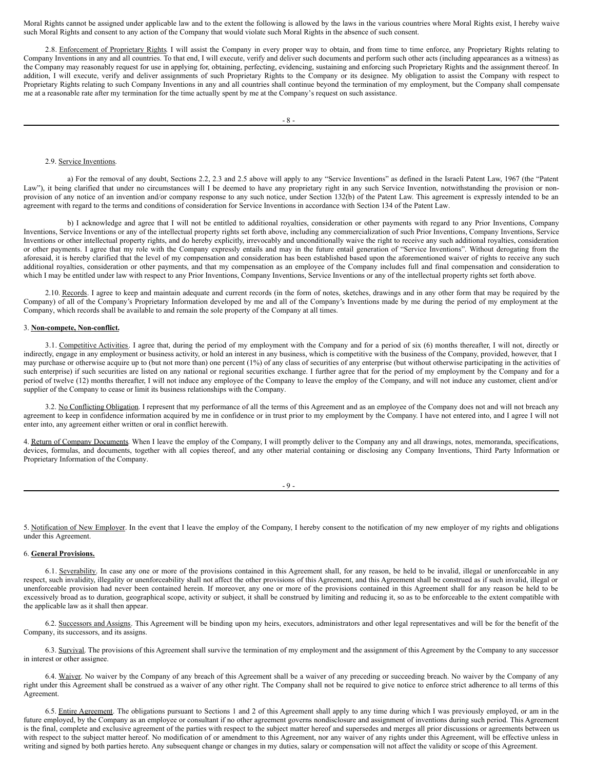Moral Rights cannot be assigned under applicable law and to the extent the following is allowed by the laws in the various countries where Moral Rights exist, I hereby waive such Moral Rights and consent to any action of the Company that would violate such Moral Rights in the absence of such consent.

2.8. Enforcement of Proprietary Rights. I will assist the Company in every proper way to obtain, and from time to time enforce, any Proprietary Rights relating to Company Inventions in any and all countries. To that end, I will execute, verify and deliver such documents and perform such other acts (including appearances as a witness) as the Company may reasonably request for use in applying for, obtaining, perfecting, evidencing, sustaining and enforcing such Proprietary Rights and the assignment thereof. In addition, I will execute, verify and deliver assignments of such Proprietary Rights to the Company or its designee. My obligation to assist the Company with respect to Proprietary Rights relating to such Company Inventions in any and all countries shall continue beyond the termination of my employment, but the Company shall compensate me at a reasonable rate after my termination for the time actually spent by me at the Company's request on such assistance.

#### 2.9. Service Inventions.

a) For the removal of any doubt, Sections 2.2, 2.3 and 2.5 above will apply to any "Service Inventions" as defined in the Israeli Patent Law, 1967 (the "Patent Law"), it being clarified that under no circumstances will I be deemed to have any proprietary right in any such Service Invention, notwithstanding the provision or nonprovision of any notice of an invention and/or company response to any such notice, under Section 132(b) of the Patent Law. This agreement is expressly intended to be an agreement with regard to the terms and conditions of consideration for Service Inventions in accordance with Section 134 of the Patent Law.

b) I acknowledge and agree that I will not be entitled to additional royalties, consideration or other payments with regard to any Prior Inventions, Company Inventions, Service Inventions or any of the intellectual property rights set forth above, including any commercialization of such Prior Inventions, Company Inventions, Service Inventions or other intellectual property rights, and do hereby explicitly, irrevocably and unconditionally waive the right to receive any such additional royalties, consideration or other payments. I agree that my role with the Company expressly entails and may in the future entail generation of "Service Inventions". Without derogating from the aforesaid, it is hereby clarified that the level of my compensation and consideration has been established based upon the aforementioned waiver of rights to receive any such additional royalties, consideration or other payments, and that my compensation as an employee of the Company includes full and final compensation and consideration to which I may be entitled under law with respect to any Prior Inventions, Company Inventions, Service Inventions or any of the intellectual property rights set forth above.

2.10. Records. I agree to keep and maintain adequate and current records (in the form of notes, sketches, drawings and in any other form that may be required by the Company) of all of the Company's Proprietary Information developed by me and all of the Company's Inventions made by me during the period of my employment at the Company, which records shall be available to and remain the sole property of the Company at all times.

#### 3. **Non-compete, Non-conflict.**

3.1. Competitive Activities. I agree that, during the period of my employment with the Company and for a period of six (6) months thereafter, I will not, directly or indirectly, engage in any employment or business activity, or hold an interest in any business, which is competitive with the business of the Company, provided, however, that I may purchase or otherwise acquire up to (but not more than) one percent (1%) of any class of securities of any enterprise (but without otherwise participating in the activities of such enterprise) if such securities are listed on any national or regional securities exchange. I further agree that for the period of my employment by the Company and for a period of twelve (12) months thereafter, I will not induce any employee of the Company to leave the employ of the Company, and will not induce any customer, client and/or supplier of the Company to cease or limit its business relationships with the Company.

3.2. No Conflicting Obligation. I represent that my performance of all the terms of this Agreement and as an employee of the Company does not and will not breach any agreement to keep in confidence information acquired by me in confidence or in trust prior to my employment by the Company. I have not entered into, and I agree I will not enter into, any agreement either written or oral in conflict herewith.

4. Return of Company Documents. When I leave the employ of the Company, I will promptly deliver to the Company any and all drawings, notes, memoranda, specifications, devices, formulas, and documents, together with all copies thereof, and any other material containing or disclosing any Company Inventions, Third Party Information or Proprietary Information of the Company.

5. Notification of New Employer. In the event that I leave the employ of the Company, I hereby consent to the notification of my new employer of my rights and obligations under this Agreement.

### 6. **General Provisions.**

6.1. Severability. In case any one or more of the provisions contained in this Agreement shall, for any reason, be held to be invalid, illegal or unenforceable in any respect, such invalidity, illegality or unenforceability shall not affect the other provisions of this Agreement, and this Agreement shall be construed as if such invalid, illegal or unenforceable provision had never been contained herein. If moreover, any one or more of the provisions contained in this Agreement shall for any reason be held to be excessively broad as to duration, geographical scope, activity or subject, it shall be construed by limiting and reducing it, so as to be enforceable to the extent compatible with the applicable law as it shall then appear.

6.2. Successors and Assigns. This Agreement will be binding upon my heirs, executors, administrators and other legal representatives and will be for the benefit of the Company, its successors, and its assigns.

6.3. Survival. The provisions of this Agreement shall survive the termination of my employment and the assignment of this Agreement by the Company to any successor in interest or other assignee.

6.4. Waiver. No waiver by the Company of any breach of this Agreement shall be a waiver of any preceding or succeeding breach. No waiver by the Company of any right under this Agreement shall be construed as a waiver of any other right. The Company shall not be required to give notice to enforce strict adherence to all terms of this Agreement.

6.5. Entire Agreement. The obligations pursuant to Sections 1 and 2 of this Agreement shall apply to any time during which I was previously employed, or am in the future employed, by the Company as an employee or consultant if no other agreement governs nondisclosure and assignment of inventions during such period. This Agreement is the final, complete and exclusive agreement of the parties with respect to the subject matter hereof and supersedes and merges all prior discussions or agreements between us with respect to the subject matter hereof. No modification of or amendment to this Agreement, nor any waiver of any rights under this Agreement, will be effective unless in writing and signed by both parties hereto. Any subsequent change or changes in my duties, salary or compensation will not affect the validity or scope of this Agreement.

<sup>-</sup> 9 -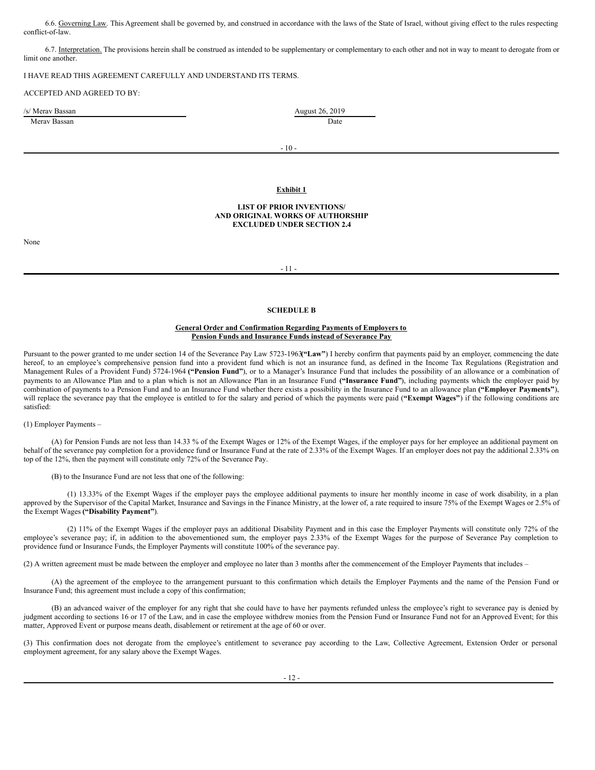6.6. Governing Law. This Agreement shall be governed by, and construed in accordance with the laws of the State of Israel, without giving effect to the rules respecting conflict-of-law.

6.7. Interpretation. The provisions herein shall be construed as intended to be supplementary or complementary to each other and not in way to meant to derogate from or limit one another.

I HAVE READ THIS AGREEMENT CAREFULLY AND UNDERSTAND ITS TERMS.

### ACCEPTED AND AGREED TO BY:

/s/ Merav Bassan August 26, 2019

Merav Bassan Date

- 10 -

# **Exhibit 1**

# **LIST OF PRIOR INVENTIONS/ AND ORIGINAL WORKS OF AUTHORSHIP EXCLUDED UNDER SECTION 2.4**

None

- 11 -

## **SCHEDULE B**

#### **General Order and Confirmation Regarding Payments of Employers to Pension Funds and Insurance Funds instead of Severance Pay**

Pursuant to the power granted to me under section 14 of the Severance Pay Law 5723-1963**("Law"**) I hereby confirm that payments paid by an employer, commencing the date hereof, to an employee's comprehensive pension fund into a provident fund which is not an insurance fund, as defined in the Income Tax Regulations (Registration and Management Rules of a Provident Fund) 5724-1964 **("Pension Fund"**), or to a Manager's Insurance Fund that includes the possibility of an allowance or a combination of payments to an Allowance Plan and to a plan which is not an Allowance Plan in an Insurance Fund **("Insurance Fund"**), including payments which the employer paid by combination of payments to a Pension Fund and to an Insurance Fund whether there exists a possibility in the Insurance Fund to an allowance plan **("Employer Payments"**), will replace the severance pay that the employee is entitled to for the salary and period of which the payments were paid ("**Exempt Wages"**) if the following conditions are satisfied:

## (1) Employer Payments –

(A) for Pension Funds are not less than 14.33 % of the Exempt Wages or 12% of the Exempt Wages, if the employer pays for her employee an additional payment on behalf of the severance pay completion for a providence fund or Insurance Fund at the rate of 2.33% of the Exempt Wages. If an employer does not pay the additional 2.33% on top of the 12%, then the payment will constitute only 72% of the Severance Pay.

(B) to the Insurance Fund are not less that one of the following:

(1) 13.33% of the Exempt Wages if the employer pays the employee additional payments to insure her monthly income in case of work disability, in a plan approved by the Supervisor of the Capital Market, Insurance and Savings in the Finance Ministry, at the lower of, a rate required to insure 75% of the Exempt Wages or 2.5% of the Exempt Wages **("Disability Payment"**).

(2) 11% of the Exempt Wages if the employer pays an additional Disability Payment and in this case the Employer Payments will constitute only 72% of the employee's severance pay; if, in addition to the abovementioned sum, the employer pays 2.33% of the Exempt Wages for the purpose of Severance Pay completion to providence fund or Insurance Funds, the Employer Payments will constitute 100% of the severance pay.

(2) A written agreement must be made between the employer and employee no later than 3 months after the commencement of the Employer Payments that includes –

(A) the agreement of the employee to the arrangement pursuant to this confirmation which details the Employer Payments and the name of the Pension Fund or Insurance Fund; this agreement must include a copy of this confirmation;

(B) an advanced waiver of the employer for any right that she could have to have her payments refunded unless the employee's right to severance pay is denied by judgment according to sections 16 or 17 of the Law, and in case the employee withdrew monies from the Pension Fund or Insurance Fund not for an Approved Event; for this matter, Approved Event or purpose means death, disablement or retirement at the age of 60 or over.

(3) This confirmation does not derogate from the employee's entitlement to severance pay according to the Law, Collective Agreement, Extension Order or personal employment agreement, for any salary above the Exempt Wages.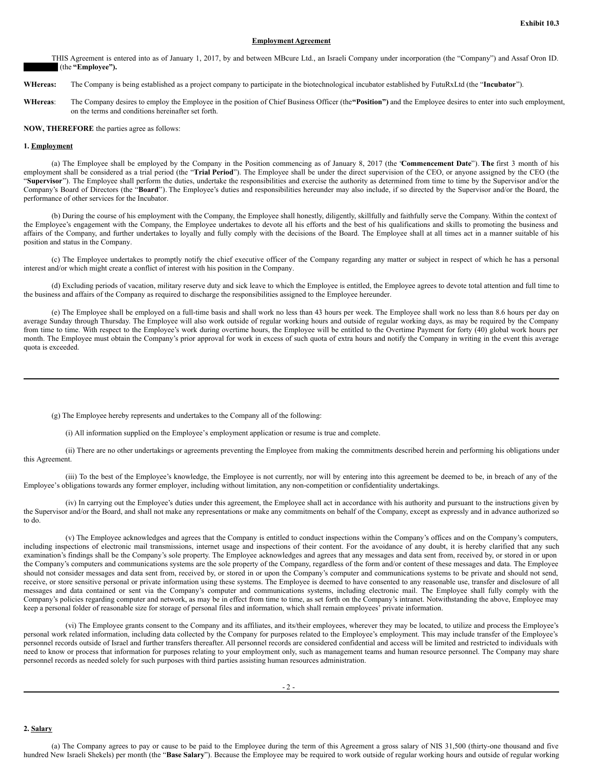#### **Employment Agreement**

THIS Agreement is entered into as of January 1, 2017, by and between MBcure Ltd., an Israeli Company under incorporation (the "Company") and Assaf Oron ID. (the "Employee").

**WHereas:** The Company is being established as a project company to participate in the biotechnological incubator established by FutuRxLtd (the "**Incubator**").

**WHereas**: The Company desires to employ the Employee in the position of Chief Business Officer (the**"Position")** and the Employee desires to enter into such employment, on the terms and conditions hereinafter set forth.

**NOW, THEREFORE** the parties agree as follows:

### **1. Employment**

(a) The Employee shall be employed by the Company in the Position commencing as of January 8, 2017 (the "**Commencement Date**"). **The** first 3 month of his employment shall be considered as a trial period (the "**Trial Period**"). The Employee shall be under the direct supervision of the CEO, or anyone assigned by the CEO (the "**Supervisor**"). The Employee shall perform the duties, undertake the responsibilities and exercise the authority as determined from time to time by the Supervisor and/or the Company's Board of Directors (the "**Board**"). The Employee's duties and responsibilities hereunder may also include, if so directed by the Supervisor and/or the Board, the performance of other services for the Incubator.

(b) During the course of his employment with the Company, the Employee shall honestly, diligently, skillfully and faithfully serve the Company. Within the context of the Employee's engagement with the Company, the Employee undertakes to devote all his efforts and the best of his qualifications and skills to promoting the business and affairs of the Company, and further undertakes to loyally and fully comply with the decisions of the Board. The Employee shall at all times act in a manner suitable of his position and status in the Company.

(c) The Employee undertakes to promptly notify the chief executive officer of the Company regarding any matter or subject in respect of which he has a personal interest and/or which might create a conflict of interest with his position in the Company.

(d) Excluding periods of vacation, military reserve duty and sick leave to which the Employee is entitled, the Employee agrees to devote total attention and full time to the business and affairs of the Company as required to discharge the responsibilities assigned to the Employee hereunder.

(e) The Employee shall be employed on a full-time basis and shall work no less than 43 hours per week. The Employee shall work no less than 8.6 hours per day on average Sunday through Thursday. The Employee will also work outside of regular working hours and outside of regular working days, as may be required by the Company from time to time. With respect to the Employee's work during overtime hours, the Employee will be entitled to the Overtime Payment for forty (40) global work hours per month. The Employee must obtain the Company's prior approval for work in excess of such quota of extra hours and notify the Company in writing in the event this average quota is exceeded.

(g) The Employee hereby represents and undertakes to the Company all of the following:

(i) All information supplied on the Employee's employment application or resume is true and complete.

(ii) There are no other undertakings or agreements preventing the Employee from making the commitments described herein and performing his obligations under this Agreement.

(iii) To the best of the Employee's knowledge, the Employee is not currently, nor will by entering into this agreement be deemed to be, in breach of any of the Employee's obligations towards any former employer, including without limitation, any non-competition or confidentiality undertakings.

(iv) In carrying out the Employee's duties under this agreement, the Employee shall act in accordance with his authority and pursuant to the instructions given by the Supervisor and/or the Board, and shall not make any representations or make any commitments on behalf of the Company, except as expressly and in advance authorized so to do.

(v) The Employee acknowledges and agrees that the Company is entitled to conduct inspections within the Company's offices and on the Company's computers, including inspections of electronic mail transmissions, internet usage and inspections of their content. For the avoidance of any doubt, it is hereby clarified that any such examination's findings shall be the Company's sole property. The Employee acknowledges and agrees that any messages and data sent from, received by, or stored in or upon the Company's computers and communications systems are the sole property of the Company, regardless of the form and/or content of these messages and data. The Employee should not consider messages and data sent from, received by, or stored in or upon the Company's computer and communications systems to be private and should not send, receive, or store sensitive personal or private information using these systems. The Employee is deemed to have consented to any reasonable use, transfer and disclosure of all messages and data contained or sent via the Company's computer and communications systems, including electronic mail. The Employee shall fully comply with the Company's policies regarding computer and network, as may be in effect from time to time, as set forth on the Company's intranet. Notwithstanding the above, Employee may keep a personal folder of reasonable size for storage of personal files and information, which shall remain employees' private information.

(vi) The Employee grants consent to the Company and its affiliates, and its/their employees, wherever they may be located, to utilize and process the Employee's personal work related information, including data collected by the Company for purposes related to the Employee's employment. This may include transfer of the Employee's personnel records outside of Israel and further transfers thereafter. All personnel records are considered confidential and access will be limited and restricted to individuals with need to know or process that information for purposes relating to your employment only, such as management teams and human resource personnel. The Company may share personnel records as needed solely for such purposes with third parties assisting human resources administration.

**2. Salary**

(a) The Company agrees to pay or cause to be paid to the Employee during the term of this Agreement a gross salary of NIS 31,500 (thirty-one thousand and five hundred New Israeli Shekels) per month (the "**Base Salary**"). Because the Employee may be required to work outside of regular working hours and outside of regular working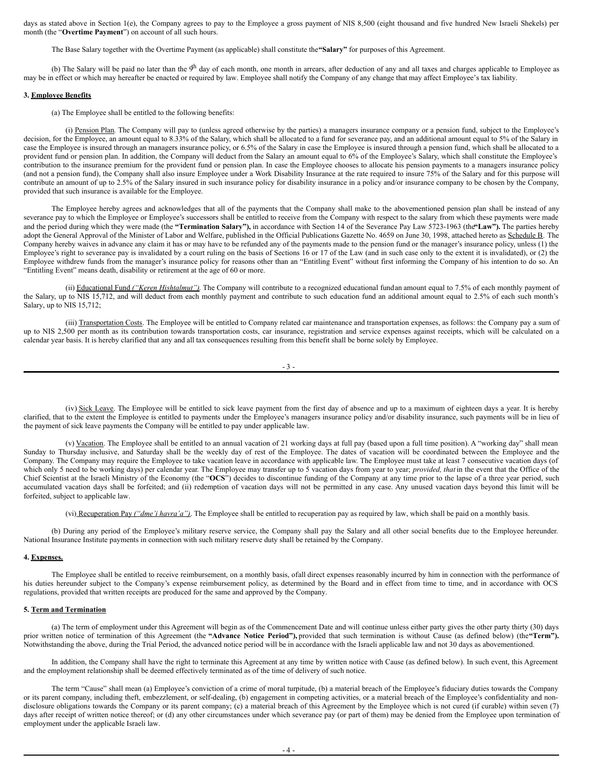days as stated above in Section 1(e), the Company agrees to pay to the Employee a gross payment of NIS 8,500 (eight thousand and five hundred New Israeli Shekels) per month (the "**Overtime Payment**") on account of all such hours.

The Base Salary together with the Overtime Payment (as applicable) shall constitute the**"Salary"** for purposes of this Agreement.

(b) The Salary will be paid no later than the  $9<sup>h</sup>$  day of each month, one month in arrears, after deduction of any and all taxes and charges applicable to Employee as may be in effect or which may hereafter be enacted or required by law. Employee shall notify the Company of any change that may affect Employee's tax liability.

# **3. Employee Benefits**

(a) The Employee shall be entitled to the following benefits:

(i) Pension Plan. The Company will pay to (unless agreed otherwise by the parties) a managers insurance company or a pension fund, subject to the Employee's decision, for the Employee, an amount equal to 8.33% of the Salary, which shall be allocated to a fund for severance pay, and an additional amount equal to 5% of the Salary in case the Employee is insured through an managers insurance policy, or 6.5% of the Salary in case the Employee is insured through a pension fund, which shall be allocated to a provident fund or pension plan. In addition, the Company will deduct from the Salary an amount equal to 6% of the Employee's Salary, which shall constitute the Employee's contribution to the insurance premium for the provident fund or pension plan. In case the Employee chooses to allocate his pension payments to a managers insurance policy (and not a pension fund), the Company shall also insure Employee under a Work Disability Insurance at the rate required to insure 75% of the Salary and for this purpose will contribute an amount of up to 2.5% of the Salary insured in such insurance policy for disability insurance in a policy and/or insurance company to be chosen by the Company, provided that such insurance is available for the Employee.

The Employee hereby agrees and acknowledges that all of the payments that the Company shall make to the abovementioned pension plan shall be instead of any severance pay to which the Employee or Employee's successors shall be entitled to receive from the Company with respect to the salary from which these payments were made and the period during which they were made (the **"Termination Salary"),** in accordance with Section 14 of the Severance Pay Law 5723-1963 (the**"Law").** The parties hereby adopt the General Approval of the Minister of Labor and Welfare, published in the Official Publications Gazette No. 4659 on June 30, 1998, attached hereto as Schedule B. The Company hereby waives in advance any claim it has or may have to be refunded any of the payments made to the pension fund or the manager's insurance policy, unless (1) the Employee's right to severance pay is invalidated by a court ruling on the basis of Sections 16 or 17 of the Law (and in such case only to the extent it is invalidated), or (2) the Employee withdrew funds from the manager's insurance policy for reasons other than an "Entitling Event" without first informing the Company of his intention to do so. An "Entitling Event" means death, disability or retirement at the age of 60 or more.

(ii) Educational Fund *("Keren Hishtalmut")*. The Company will contribute to a recognized educational fundan amount equal to 7.5% of each monthly payment of the Salary, up to NIS 15,712, and will deduct from each monthly payment and contribute to such education fund an additional amount equal to 2.5% of each such month's Salary, up to NIS 15,712;

(iii) Transportation Costs. The Employee will be entitled to Company related car maintenance and transportation expenses, as follows: the Company pay a sum of up to NIS 2,500 per month as its contribution towards transportation costs, car insurance, registration and service expenses against receipts, which will be calculated on a calendar year basis. It is hereby clarified that any and all tax consequences resulting from this benefit shall be borne solely by Employee.

$$
-3 -
$$

(iv) Sick Leave. The Employee will be entitled to sick leave payment from the first day of absence and up to a maximum of eighteen days a year. It is hereby clarified, that to the extent the Employee is entitled to payments under the Employee's managers insurance policy and/or disability insurance, such payments will be in lieu of the payment of sick leave payments the Company will be entitled to pay under applicable law.

(v) Vacation. The Employee shall be entitled to an annual vacation of 21 working days at full pay (based upon a full time position). A "working day" shall mean Sunday to Thursday inclusive, and Saturday shall be the weekly day of rest of the Employee. The dates of vacation will be coordinated between the Employee and the Company. The Company may require the Employee to take vacation leave in accordance with applicable law. The Employee must take at least 7 consecutive vacation days (of which only 5 need to be working days) per calendar year. The Employee may transfer up to 5 vacation days from year to year; *provided, that* in the event that the Office of the Chief Scientist at the Israeli Ministry of the Economy (the "**OCS**") decides to discontinue funding of the Company at any time prior to the lapse of a three year period, such accumulated vacation days shall be forfeited; and (ii) redemption of vacation days will not be permitted in any case. Any unused vacation days beyond this limit will be forfeited, subject to applicable law.

(vi) Recuperation Pay *("dme'i havra'a")*. The Employee shall be entitled to recuperation pay as required by law, which shall be paid on a monthly basis.

(b) During any period of the Employee's military reserve service, the Company shall pay the Salary and all other social benefits due to the Employee hereunder. National Insurance Institute payments in connection with such military reserve duty shall be retained by the Company.

### **4. Expenses.**

The Employee shall be entitled to receive reimbursement, on a monthly basis, ofall direct expenses reasonably incurred by him in connection with the performance of his duties hereunder subject to the Company's expense reimbursement policy, as determined by the Board and in effect from time to time, and in accordance with OCS regulations, provided that written receipts are produced for the same and approved by the Company.

### **5. Term and Termination**

(a) The term of employment under this Agreement will begin as of the Commencement Date and will continue unless either party gives the other party thirty (30) days prior written notice of termination of this Agreement (the **"Advance Notice Period"),** provided that such termination is without Cause (as defined below) (the**"Term").** Notwithstanding the above, during the Trial Period, the advanced notice period will be in accordance with the Israeli applicable law and not 30 days as abovementioned.

In addition, the Company shall have the right to terminate this Agreement at any time by written notice with Cause (as defined below). In such event, this Agreement and the employment relationship shall be deemed effectively terminated as of the time of delivery of such notice.

The term "Cause" shall mean (a) Employee's conviction of a crime of moral turpitude, (b) a material breach of the Employee's fiduciary duties towards the Company or its parent company, including theft, embezzlement, or self-dealing, (b) engagement in competing activities, or a material breach of the Employee's confidentiality and nondisclosure obligations towards the Company or its parent company; (c) a material breach of this Agreement by the Employee which is not cured (if curable) within seven (7) days after receipt of written notice thereof; or (d) any other circumstances under which severance pay (or part of them) may be denied from the Employee upon termination of employment under the applicable Israeli law.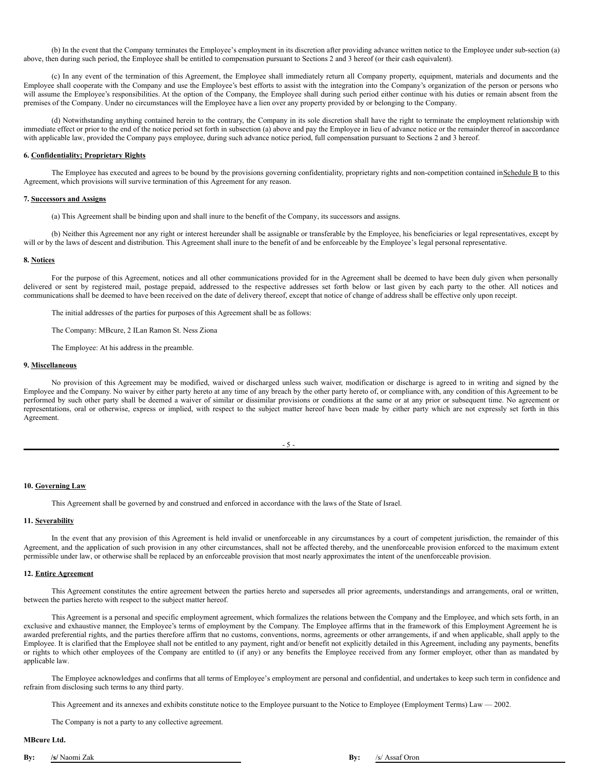(b) In the event that the Company terminates the Employee's employment in its discretion after providing advance written notice to the Employee under sub-section (a) above, then during such period, the Employee shall be entitled to compensation pursuant to Sections 2 and 3 hereof (or their cash equivalent).

(c) In any event of the termination of this Agreement, the Employee shall immediately return all Company property, equipment, materials and documents and the Employee shall cooperate with the Company and use the Employee's best efforts to assist with the integration into the Company's organization of the person or persons who will assume the Employee's responsibilities. At the option of the Company, the Employee shall during such period either continue with his duties or remain absent from the premises of the Company. Under no circumstances will the Employee have a lien over any property provided by or belonging to the Company.

(d) Notwithstanding anything contained herein to the contrary, the Company in its sole discretion shall have the right to terminate the employment relationship with immediate effect or prior to the end of the notice period set forth in subsection (a) above and pay the Employee in lieu of advance notice or the remainder thereof in aaccordance with applicable law, provided the Company pays employee, during such advance notice period, full compensation pursuant to Sections 2 and 3 hereof.

### **6. Confidentiality; Proprietary Rights**

The Employee has executed and agrees to be bound by the provisions governing confidentiality, proprietary rights and non-competition contained inSchedule B to this Agreement, which provisions will survive termination of this Agreement for any reason.

#### **7. Successors and Assigns**

(a) This Agreement shall be binding upon and shall inure to the benefit of the Company, its successors and assigns.

(b) Neither this Agreement nor any right or interest hereunder shall be assignable or transferable by the Employee, his beneficiaries or legal representatives, except by will or by the laws of descent and distribution. This Agreement shall inure to the benefit of and be enforceable by the Employee's legal personal representative.

### **8. Notices**

For the purpose of this Agreement, notices and all other communications provided for in the Agreement shall be deemed to have been duly given when personally delivered or sent by registered mail, postage prepaid, addressed to the respective addresses set forth below or last given by each party to the other. All notices and communications shall be deemed to have been received on the date of delivery thereof, except that notice of change of address shall be effective only upon receipt.

The initial addresses of the parties for purposes of this Agreement shall be as follows:

The Company: MBcure, 2 ILan Ramon St. Ness Ziona

The Employee: At his address in the preamble.

#### **9. Miscellaneous**

No provision of this Agreement may be modified, waived or discharged unless such waiver, modification or discharge is agreed to in writing and signed by the Employee and the Company. No waiver by either party hereto at any time of any breach by the other party hereto of, or compliance with, any condition of this Agreement to be performed by such other party shall be deemed a waiver of similar or dissimilar provisions or conditions at the same or at any prior or subsequent time. No agreement or representations, oral or otherwise, express or implied, with respect to the subject matter hereof have been made by either party which are not expressly set forth in this Agreement.

| _<br>I<br>I<br>$\sim$ |  |
|-----------------------|--|
|-----------------------|--|

# **10. Governing Law**

This Agreement shall be governed by and construed and enforced in accordance with the laws of the State of Israel.

# **11. Severability**

In the event that any provision of this Agreement is held invalid or unenforceable in any circumstances by a court of competent jurisdiction, the remainder of this Agreement, and the application of such provision in any other circumstances, shall not be affected thereby, and the unenforceable provision enforced to the maximum extent permissible under law, or otherwise shall be replaced by an enforceable provision that most nearly approximates the intent of the unenforceable provision.

# **12. Entire Agreement**

This Agreement constitutes the entire agreement between the parties hereto and supersedes all prior agreements, understandings and arrangements, oral or written, between the parties hereto with respect to the subject matter hereof.

This Agreement is a personal and specific employment agreement, which formalizes the relations between the Company and the Employee, and which sets forth, in an exclusive and exhaustive manner, the Employee's terms of employment by the Company. The Employee affirms that in the framework of this Employment Agreement he is awarded preferential rights, and the parties therefore affirm that no customs, conventions, norms, agreements or other arrangements, if and when applicable, shall apply to the Employee. It is clarified that the Employee shall not be entitled to any payment, right and/or benefit not explicitly detailed in this Agreement, including any payments, benefits or rights to which other employees of the Company are entitled to (if any) or any benefits the Employee received from any former employer, other than as mandated by applicable law.

The Employee acknowledges and confirms that all terms of Employee's employment are personal and confidential, and undertakes to keep such term in confidence and refrain from disclosing such terms to any third party.

This Agreement and its annexes and exhibits constitute notice to the Employee pursuant to the Notice to Employee (Employment Terms) Law - 2002.

The Company is not a party to any collective agreement.

# **MBcure Ltd.**

**By: /s/** Naomi Zak **By:** /s/ Assaf Oron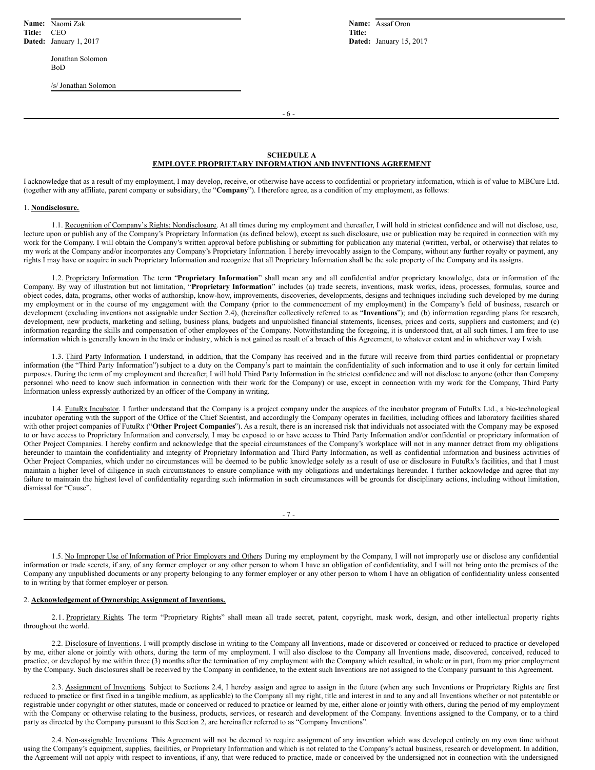<span id="page-28-0"></span>**Name:** Naomi Zak **Name:** Assaf Oron **Title:** CEO **Title: Dated:** January 1, 2017 **Dated:** January 15, 2017

Jonathan Solomon BoD

/s/ Jonathan Solomon

- 6 -

# **SCHEDULE A EMPLOYEE PROPRIETARY INFORMATION AND INVENTIONS AGREEMENT**

I acknowledge that as a result of my employment, I may develop, receive, or otherwise have access to confidential or proprietary information, which is of value to MBCure Ltd. (together with any affiliate, parent company or subsidiary, the "**Company**"). Itherefore agree, as a condition of my employment, as follows:

# 1. **Nondisclosure.**

1.1. Recognition of Company's Rights; Nondisclosure. At all times during my employment and thereafter, I will hold in strictest confidence and will not disclose, use, lecture upon or publish any of the Company's Proprietary Information (as defined below), except as such disclosure, use or publication may be required in connection with my work for the Company. I will obtain the Company's written approval before publishing or submitting for publication any material (written, verbal, or otherwise) that relates to my work at the Company and/or incorporates any Company's Proprietary Information. I hereby irrevocably assign to the Company, without any further royalty or payment, any rights I may have or acquire in such Proprietary Information and recognize that all Proprietary Information shall be the sole property of the Company and its assigns.

1.2. Proprietary Information. The term "**Proprietary Information**" shall mean any and all confidential and/or proprietary knowledge, data or information of the Company. By way of illustration but not limitation, "**Proprietary Information**" includes (a) trade secrets, inventions, mask works, ideas, processes, formulas, source and object codes, data, programs, other works of authorship, know-how, improvements, discoveries, developments, designs and techniques including such developed by me during my employment or in the course of my engagement with the Company (prior to the commencement of my employment) in the Company's field of business, research or development (excluding inventions not assignable under Section 2.4), (hereinafter collectively referred to as "**Inventions**"); and (b) information regarding plans for research, development, new products, marketing and selling, business plans, budgets and unpublished financial statements, licenses, prices and costs, suppliers and customers; and (c) information regarding the skills and compensation of other employees of the Company. Notwithstanding the foregoing, it is understood that, at all such times, I am free to use information which is generally known in the trade or industry, which is not gained as result of a breach of this Agreement, to whatever extent and in whichever way I wish.

1.3. Third Party Information. I understand, in addition, that the Company has received and in the future will receive from third parties confidential or proprietary information (the "Third Party Information") subject to a duty on the Company's part to maintain the confidentiality of such information and to use it only for certain limited purposes. During the term of my employment and thereafter, I will hold Third Party Information in the strictest confidence and will not disclose to anyone (other than Company personnel who need to know such information in connection with their work for the Company) or use, except in connection with my work for the Company, Third Party Information unless expressly authorized by an officer of the Company in writing.

1.4. FutuRx Incubator. I further understand that the Company is a project company under the auspices of the incubator program of FutuRx Ltd., a bio-technological incubator operating with the support of the Office of the Chief Scientist, and accordingly the Company operates in facilities, including offices and laboratory facilities shared with other project companies of FutuRx ("Other Project Companies"). As a result, there is an increased risk that individuals not associated with the Company may be exposed to or have access to Proprietary Information and conversely, I may be exposed to or have access to Third Party Information and/or confidential or proprietary information of Other Project Companies. I hereby confirm and acknowledge that the special circumstances of the Company's workplace will not in any manner detract from my obligations hereunder to maintain the confidentiality and integrity of Proprietary Information and Third Party Information, as well as confidential information and business activities of Other Project Companies, which under no circumstances will be deemed to be public knowledge solely as a result of use or disclosure in FutuRx's facilities, and that I must maintain a higher level of diligence in such circumstances to ensure compliance with my obligations and undertakings hereunder. I further acknowledge and agree that my failure to maintain the highest level of confidentiality regarding such information in such circumstances will be grounds for disciplinary actions, including without limitation, dismissal for "Cause".

- 7 -

1.5. No Improper Use of Information of Prior Employers and Others During my employment by the Company, I will not improperly use or disclose any confidential information or trade secrets, if any, of any former employer or any other person to whom I have an obligation of confidentiality, and I will not bring onto the premises of the Company any unpublished documents or any property belonging to any former employer or any other person to whom I have an obligation of confidentiality unless consented to in writing by that former employer or person.

### 2. **Acknowledgement of Ownership; Assignment of Inventions.**

2.1. Proprietary Rights. The term "Proprietary Rights" shall mean all trade secret, patent, copyright, mask work, design, and other intellectual property rights throughout the world.

2.2. Disclosure of Inventions. I will promptly disclose in writing to the Company all Inventions, made or discovered or conceived or reduced to practice or developed by me, either alone or jointly with others, during the term of my employment. I will also disclose to the Company all Inventions made, discovered, conceived, reduced to practice, or developed by me within three (3) months after the termination of my employment with the Company which resulted, in whole or in part, from my prior employment by the Company. Such disclosures shall be received by the Company in confidence, to the extent such Inventions are not assigned to the Company pursuant to this Agreement.

2.3. Assignment of Inventions. Subject to Sections 2.4, I hereby assign and agree to assign in the future (when any such Inventions or Proprietary Rights are first reduced to practice or first fixed in a tangible medium, as applicable) to the Company all my right, title and interest in and to any and all Inventions whether or not patentable or registrable under copyright or other statutes, made or conceived or reduced to practice or learned by me, either alone or jointly with others, during the period of my employment with the Company or otherwise relating to the business, products, services, or research and development of the Company. Inventions assigned to the Company, or to a third party as directed by the Company pursuant to this Section 2, are hereinafter referred to as "Company Inventions".

2.4. Non-assignable Inventions. This Agreement will not be deemed to require assignment of any invention which was developed entirely on my own time without using the Company's equipment, supplies, facilities, or Proprietary Information and which is not related to the Company's actual business, research or development. In addition, the Agreement will not apply with respect to inventions, if any, that were reduced to practice, made or conceived by the undersigned not in connection with the undersigned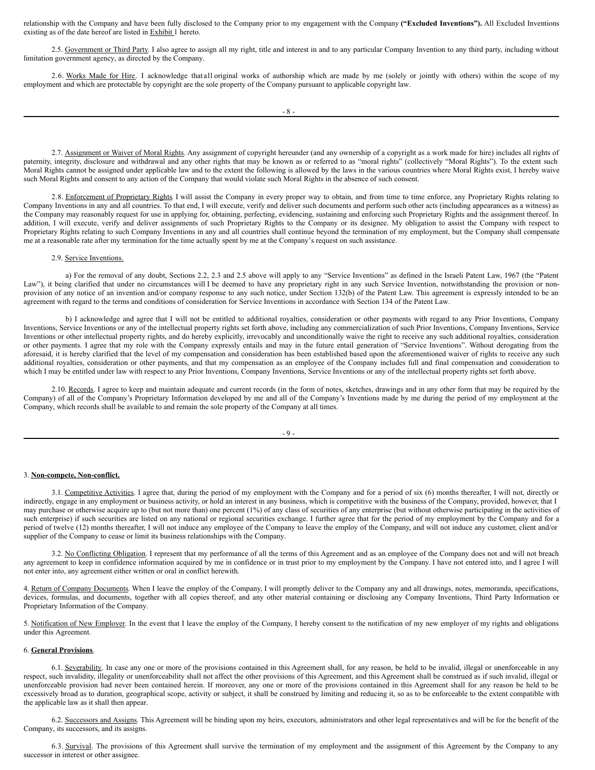relationship with the Company and have been fully disclosed to the Company prior to my engagement with the Company **("Excluded Inventions").** All Excluded Inventions existing as of the date hereof are listed in **Exhibit** 1 hereto.

2.5. Government or Third Party. I also agree to assign all my right, title and interest in and to any particular Company Invention to any third party, including without limitation government agency, as directed by the Company.

2.6. Works Made for Hire. I acknowledge that all original works of authorship which are made by me (solely or jointly with others) within the scope of my employment and which are protectable by copyright are the sole property of the Company pursuant to applicable copyright law.

2.7. Assignment or Waiver of Moral Rights. Any assignment of copyright hereunder (and any ownership of a copyright as a work made for hire) includes all rights of paternity, integrity, disclosure and withdrawal and any other rights that may be known as or referred to as "moral rights" (collectively "Moral Rights"). To the extent such Moral Rights cannot be assigned under applicable law and to the extent the following is allowed by the laws in the various countries where Moral Rights exist, I hereby waive such Moral Rights and consent to any action of the Company that would violate such Moral Rights in the absence of such consent.

2.8. Enforcement of Proprietary Rights. I will assist the Company in every proper way to obtain, and from time to time enforce, any Proprietary Rights relating to Company Inventions in any and all countries. To that end, I will execute, verify and deliver such documents and perform such other acts (including appearances as a witness) as the Company may reasonably request for use in applying for, obtaining, perfecting, evidencing, sustaining and enforcing such Proprietary Rights and the assignment thereof. In addition, I will execute, verify and deliver assignments of such Proprietary Rights to the Company or its designee. My obligation to assist the Company with respect to Proprietary Rights relating to such Company Inventions in any and all countries shall continue beyond the termination of my employment, but the Company shall compensate me at a reasonable rate after my termination for the time actually spent by me at the Company's request on such assistance.

#### 2.9. Service Inventions.

a) For the removal of any doubt, Sections 2.2, 2.3 and 2.5 above will apply to any "Service Inventions" as defined in the Israeli Patent Law, 1967 (the "Patent Law"), it being clarified that under no circumstances will I be deemed to have any proprietary right in any such Service Invention, notwithstanding the provision or nonprovision of any notice of an invention and/or company response to any such notice, under Section 132(b) of the Patent Law. This agreement is expressly intended to be an agreement with regard to the terms and conditions of consideration for Service Inventions in accordance with Section 134 of the Patent Law.

b) I acknowledge and agree that I will not be entitled to additional royalties, consideration or other payments with regard to any Prior Inventions, Company Inventions, Service Inventions or any of the intellectual property rights set forth above, including any commercialization of such Prior Inventions, Company Inventions, Service Inventions or other intellectual property rights, and do hereby explicitly, irrevocably and unconditionally waive the right to receive any such additional royalties, consideration or other payments. I agree that my role with the Company expressly entails and may in the future entail generation of "Service Inventions". Without derogating from the aforesaid, it is hereby clarified that the level of my compensation and consideration has been established based upon the aforementioned waiver of rights to receive any such additional royalties, consideration or other payments, and that my compensation as an employee of the Company includes full and final compensation and consideration to which I may be entitled under law with respect to any Prior Inventions, Company Inventions, Service Inventions or any of the intellectual property rights set forth above.

2.10. Records. I agree to keep and maintain adequate and current records (in the form of notes, sketches, drawings and in any other form that may be required by the Company) of all of the Company's Proprietary Information developed by me and all of the Company's Inventions made by me during the period of my employment at the Company, which records shall be available to and remain the sole property of the Company at all times.

# 3. **Non-compete, Non-conflict.**

3.1. Competitive Activities. I agree that, during the period of my employment with the Company and for a period of six (6) months thereafter, I will not, directly or indirectly, engage in any employment or business activity, or hold an interest in any business, which is competitive with the business of the Company, provided, however, that I may purchase or otherwise acquire up to (but not more than) one percent (1%) of any class of securities of any enterprise (but without otherwise participating in the activities of such enterprise) if such securities are listed on any national or regional securities exchange. I further agree that for the period of my employment by the Company and for a period of twelve (12) months thereafter, I will not induce any employee of the Company to leave the employ of the Company, and will not induce any customer, client and/or supplier of the Company to cease or limit its business relationships with the Company.

3.2. No Conflicting Obligation. I represent that my performance of all the terms of this Agreement and as an employee of the Company does not and will not breach any agreement to keep in confidence information acquired by me in confidence or in trust prior to my employment by the Company. I have not entered into, and I agree I will not enter into, any agreement either written or oral in conflict herewith.

4. Return of Company Documents. When I leave the employ of the Company, I will promptly deliver to the Company any and all drawings, notes, memoranda, specifications, devices, formulas, and documents, together with all copies thereof, and any other material containing or disclosing any Company Inventions, Third Party Information or Proprietary Information of the Company.

5. Notification of New Employer. In the event that I leave the employ of the Company, I hereby consent to the notification of my new employer of my rights and obligations under this Agreement.

### 6. **General Provisions**.

6.1. Severability. In case any one or more of the provisions contained in this Agreement shall, for any reason, be held to be invalid, illegal or unenforceable in any respect, such invalidity, illegality or unenforceability shall not affect the other provisions of this Agreement, and this Agreement shall be construed as if such invalid, illegal or unenforceable provision had never been contained herein. If moreover, any one or more of the provisions contained in this Agreement shall for any reason be held to be excessively broad as to duration, geographical scope, activity or subject, it shall be construed by limiting and reducing it, so as to be enforceable to the extent compatible with the applicable law as it shall then appear.

6.2. Successors and Assigns. This Agreement will be binding upon my heirs, executors, administrators and other legal representatives and will be for the benefit of the Company, its successors, and its assigns.

6.3. Survival. The provisions of this Agreement shall survive the termination of my employment and the assignment of this Agreement by the Company to any successor in interest or other assignee.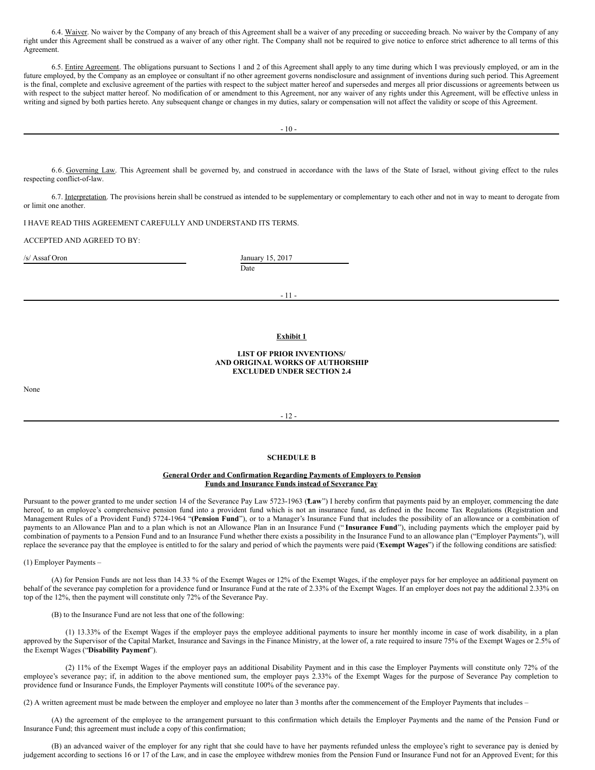6.4. Waiver. No waiver by the Company of any breach of this Agreement shall be a waiver of any preceding or succeeding breach. No waiver by the Company of any right under this Agreement shall be construed as a waiver of any other right. The Company shall not be required to give notice to enforce strict adherence to all terms of this Agreement.

6.5. Entire Agreement. The obligations pursuant to Sections 1 and 2 of this Agreement shall apply to any time during which I was previously employed, or am in the future employed, by the Company as an employee or consultant if no other agreement governs nondisclosure and assignment of inventions during such period. This Agreement is the final, complete and exclusive agreement of the parties with respect to the subject matter hereof and supersedes and merges all prior discussions or agreements between us with respect to the subject matter hereof. No modification of or amendment to this Agreement, nor any waiver of any rights under this Agreement, will be effective unless in writing and signed by both parties hereto. Any subsequent change or changes in my duties, salary or compensation will not affect the validity or scope of this Agreement.

 $-10-$ 

6.6. Governing Law. This Agreement shall be governed by, and construed in accordance with the laws of the State of Israel, without giving effect to the rules respecting conflict-of-law.

6.7. Interpretation. The provisions herein shall be construed as intended to be supplementary or complementary to each other and not in way to meant to derogate from or limit one another.

I HAVE READ THIS AGREEMENT CAREFULLY AND UNDERSTAND ITS TERMS.

ACCEPTED AND AGREED TO BY:

/s/ Assaf Oron January 15, 2017 Date

 $-11 -$ 

# **Exhibit 1**

### **LIST OF PRIOR INVENTIONS/ AND ORIGINAL WORKS OF AUTHORSHIP EXCLUDED UNDER SECTION 2.4**

None

# $-12-$

### **SCHEDULE B**

# **General Order and Confirmation Regarding Payments of Employers to Pension Funds and Insurance Funds instead of Severance Pay**

Pursuant to the power granted to me under section 14 of the Severance Pay Law 5723-1963 (Law") I hereby confirm that payments paid by an employer, commencing the date hereof, to an employee's comprehensive pension fund into a provident fund which is not an insurance fund, as defined in the Income Tax Regulations (Registration and Management Rules of a Provident Fund) 5724-1964 "**(Pension Fund**"), or to a Manager's Insurance Fund that includes the possibility of an allowance or a combination of payments to an Allowance Plan and to a plan which is not an Allowance Plan in an Insurance Fund (" **Insurance Fund**"), including payments which the employer paid by combination of payments to a Pension Fund and to an Insurance Fund whether there exists a possibility in the Insurance Fund to an allowance plan ("Employer Payments"), will replace the severance pay that the employee is entitled to for the salary and period of which the payments were paid ("**Exempt Wages**") if the following conditions are satisfied:

(1) Employer Payments –

(A) for Pension Funds are not less than 14.33 % of the Exempt Wages or 12% of the Exempt Wages, if the employer pays for her employee an additional payment on behalf of the severance pay completion for a providence fund or Insurance Fund at the rate of 2.33% of the Exempt Wages. If an employer does not pay the additional 2.33% on top of the 12%, then the payment will constitute only 72% of the Severance Pay.

(B) to the Insurance Fund are not less that one of the following:

(1) 13.33% of the Exempt Wages if the employer pays the employee additional payments to insure her monthly income in case of work disability, in a plan approved by the Supervisor of the Capital Market, Insurance and Savings in the Finance Ministry, at the lower of, a rate required to insure 75% of the Exempt Wages or 2.5% of the Exempt Wages ("**Disability Payment**").

(2) 11% of the Exempt Wages if the employer pays an additional Disability Payment and in this case the Employer Payments will constitute only 72% of the employee's severance pay; if, in addition to the above mentioned sum, the employer pays 2.33% of the Exempt Wages for the purpose of Severance Pay completion to providence fund or Insurance Funds, the Employer Payments will constitute 100% of the severance pay.

(2) A written agreement must be made between the employer and employee no later than 3 months after the commencement of the Employer Payments that includes –

(A) the agreement of the employee to the arrangement pursuant to this confirmation which details the Employer Payments and the name of the Pension Fund or Insurance Fund; this agreement must include a copy of this confirmation;

(B) an advanced waiver of the employer for any right that she could have to have her payments refunded unless the employee's right to severance pay is denied by judgement according to sections 16 or 17 of the Law, and in case the employee withdrew monies from the Pension Fund or Insurance Fund not for an Approved Event; for this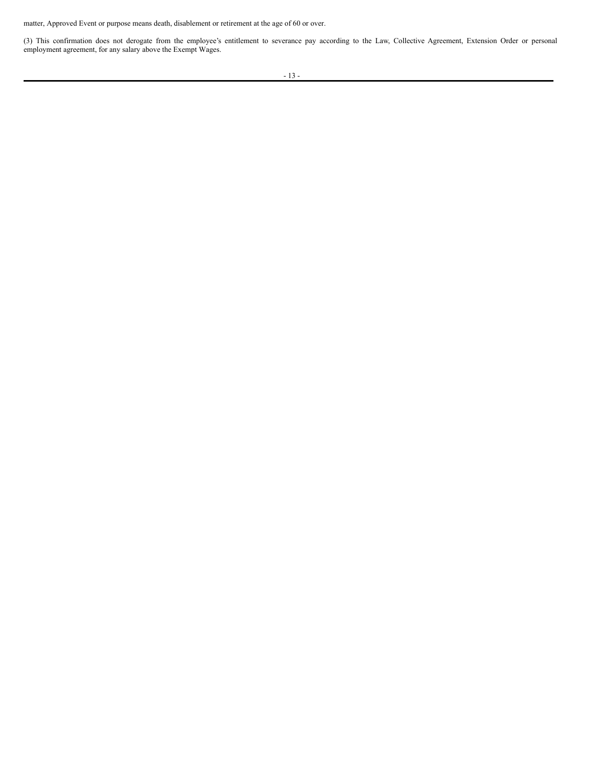matter, Approved Event or purpose means death, disablement or retirement at the age of 60 or over.

(3) This confirmation does not derogate from the employee's entitlement to severance pay according to the Law, Collective Agreement, Extension Order or personal employment agreement, for any salary above the Exempt Wages.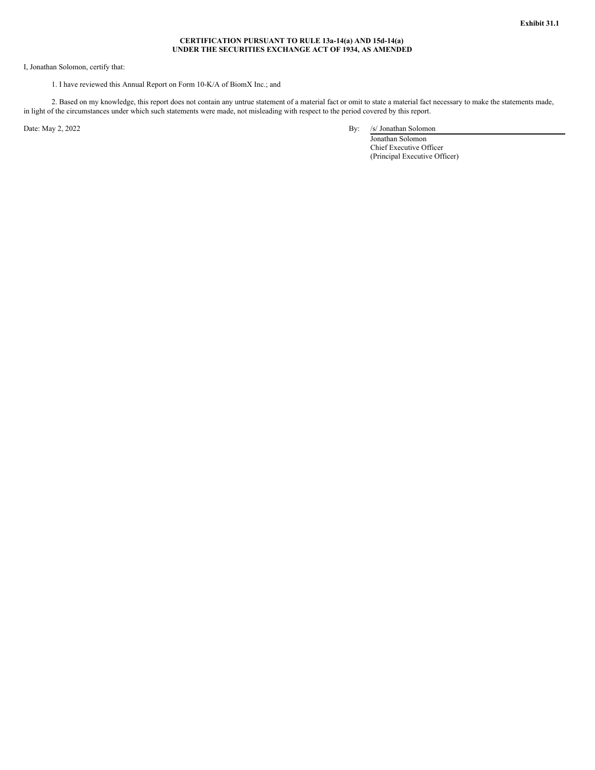# **CERTIFICATION PURSUANT TO RULE 13a-14(a) AND 15d-14(a) UNDER THE SECURITIES EXCHANGE ACT OF 1934, AS AMENDED**

<span id="page-32-0"></span>I, Jonathan Solomon, certify that:

1. I have reviewed this Annual Report on Form 10-K/A of BiomX Inc.; and

2. Based on my knowledge, this report does not contain any untrue statement of a material fact or omit to state a material fact necessary to make the statements made, in light of the circumstances under which such statements were made, not misleading with respect to the period covered by this report.

Date: May 2, 2022 By: /s/ Jonathan Solomon

Jonathan Solomon Chief Executive Officer (Principal Executive Officer)